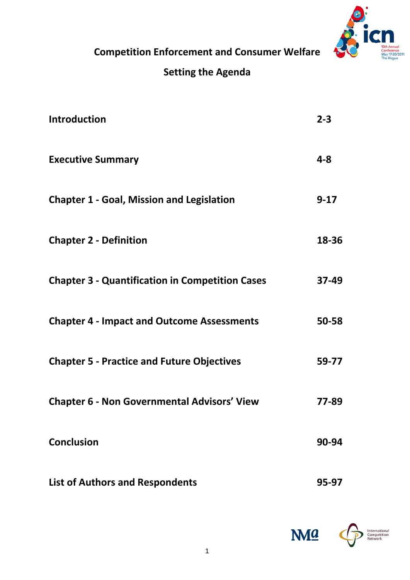

**Competition Enforcement and Consumer Welfare** 

# **Setting the Agenda**

| <b>Introduction</b>                                    | $2 - 3$  |
|--------------------------------------------------------|----------|
| <b>Executive Summary</b>                               | $4 - 8$  |
| <b>Chapter 1 - Goal, Mission and Legislation</b>       | $9 - 17$ |
| <b>Chapter 2 - Definition</b>                          | 18-36    |
| <b>Chapter 3 - Quantification in Competition Cases</b> | 37-49    |
| <b>Chapter 4 - Impact and Outcome Assessments</b>      | 50-58    |
| <b>Chapter 5 - Practice and Future Objectives</b>      | 59-77    |
| <b>Chapter 6 - Non Governmental Advisors' View</b>     | 77-89    |
| <b>Conclusion</b>                                      | 90-94    |
| <b>List of Authors and Respondents</b>                 | 95-97    |

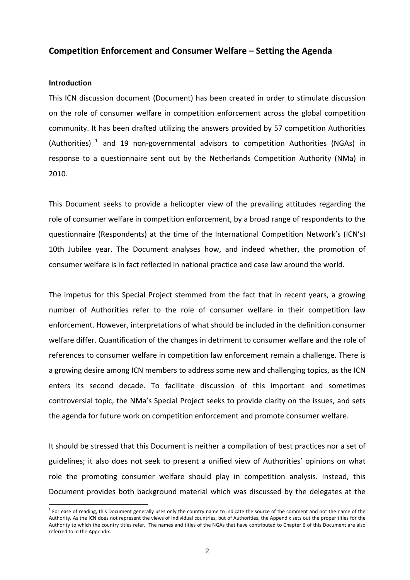# **Competition Enforcement and Consumer Welfare – Setting the Agenda**

#### **Introduction**

1

This ICN discussion document (Document) has been created in order to stimulate discussion on the role of consumer welfare in competition enforcement across the global competition community. It has been drafted utilizing the answers provided by 57 competition Authorities (Authorities)  $1$  and 19 non-governmental advisors to competition Authorities (NGAs) in response to a questionnaire sent out by the Netherlands Competition Authority (NMa) in 2010.

This Document seeks to provide a helicopter view of the prevailing attitudes regarding the role of consumer welfare in competition enforcement, by a broad range of respondents to the questionnaire (Respondents) at the time of the International Competition Network's (ICN's) 10th Jubilee year. The Document analyses how, and indeed whether, the promotion of consumer welfare is in fact reflected in national practice and case law around the world.

The impetus for this Special Project stemmed from the fact that in recent years, a growing number of Authorities refer to the role of consumer welfare in their competition law enforcement. However, interpretations of what should be included in the definition consumer welfare differ. Quantification of the changes in detriment to consumer welfare and the role of references to consumer welfare in competition law enforcement remain a challenge. There is a growing desire among ICN members to address some new and challenging topics, as the ICN enters its second decade. To facilitate discussion of this important and sometimes controversial topic, the NMa's Special Project seeks to provide clarity on the issues, and sets the agenda for future work on competition enforcement and promote consumer welfare.

It should be stressed that this Document is neither a compilation of best practices nor a set of guidelines; it also does not seek to present a unified view of Authorities' opinions on what role the promoting consumer welfare should play in competition analysis. Instead, this Document provides both background material which was discussed by the delegates at the

<span id="page-1-0"></span> $1$  For ease of reading, this Document generally uses only the country name to indicate the source of the comment and not the name of the Authority. As the ICN does not represent the views of individual countries, but of Authorities, the Appendix sets out the proper titles for the Authority to which the country titles refer. The names and titles of the NGAs that have contributed to Chapter 6 of this Document are also referred to in the Appendix.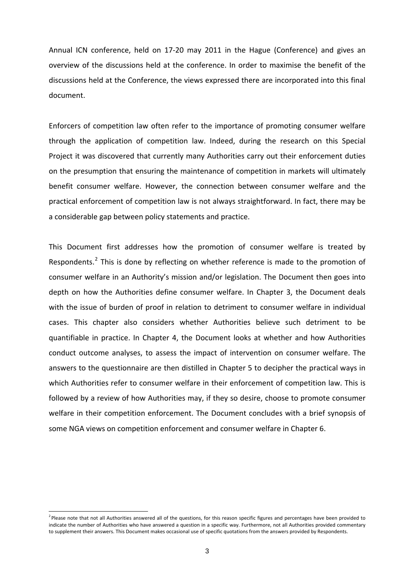Annual ICN conference, held on 17‐20 may 2011 in the Hague (Conference) and gives an overview of the discussions held at the conference. In order to maximise the benefit of the discussions held at the Conference, the views expressed there are incorporated into this final document.

Enforcers of competition law often refer to the importance of promoting consumer welfare through the application of competition law. Indeed, during the research on this Special Project it was discovered that currently many Authorities carry out their enforcement duties on the presumption that ensuring the maintenance of competition in markets will ultimately benefit consumer welfare. However, the connection between consumer welfare and the practical enforcement of competition law is not always straightforward. In fact, there may be a considerable gap between policy statements and practice.

This Document first addresses how the promotion of consumer welfare is treated by Respondents.<sup>[2](#page-2-0)</sup> This is done by reflecting on whether reference is made to the promotion of consumer welfare in an Authority's mission and/or legislation. The Document then goes into depth on how the Authorities define consumer welfare. In Chapter 3, the Document deals with the issue of burden of proof in relation to detriment to consumer welfare in individual cases. This chapter also considers whether Authorities believe such detriment to be quantifiable in practice. In Chapter 4, the Document looks at whether and how Authorities conduct outcome analyses, to assess the impact of intervention on consumer welfare. The answers to the questionnaire are then distilled in Chapter 5 to decipher the practical ways in which Authorities refer to consumer welfare in their enforcement of competition law. This is followed by a review of how Authorities may, if they so desire, choose to promote consumer welfare in their competition enforcement. The Document concludes with a brief synopsis of some NGA views on competition enforcement and consumer welfare in Chapter 6.

<span id="page-2-0"></span><sup>&</sup>lt;sup>2</sup> Please note that not all Authorities answered all of the questions, for this reason specific figures and percentages have been provided to indicate the number of Authorities who have answered a question in a specific way. Furthermore, not all Authorities provided commentary to supplement their answers. This Document makes occasional use of specific quotations from the answers provided by Respondents.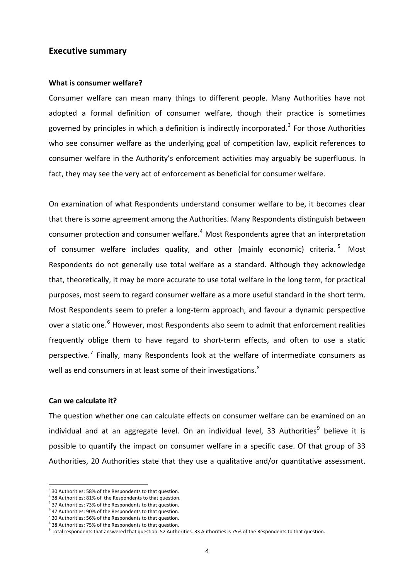# **Executive summary**

#### **What is consumer welfare?**

Consumer welfare can mean many things to different people. Many Authorities have not adopted a formal definition of consumer welfare, though their practice is sometimes governed by principles in which a definition is indirectly incorporated.<sup>[3](#page-3-0)</sup> For those Authorities who see consumer welfare as the underlying goal of competition law, explicit references to consumer welfare in the Authority's enforcement activities may arguably be superfluous. In fact, they may see the very act of enforcement as beneficial for consumer welfare.

On examination of what Respondents understand consumer welfare to be, it becomes clear that there is some agreement among the Authorities. Many Respondents distinguish between consumer protection and consumer welfare.<sup>[4](#page-3-1)</sup> Most Respondents agree that an interpretation of consumer welfare includes quality, and other (mainly economic) criteria.<sup>[5](#page-3-2)</sup> Most Respondents do not generally use total welfare as a standard. Although they acknowledge that, theoretically, it may be more accurate to use total welfare in the long term, for practical purposes, most seem to regard consumer welfare as a more useful standard in the short term. Most Respondents seem to prefer a long‐term approach, and favour a dynamic perspective over a static one.<sup>[6](#page-3-3)</sup> However, most Respondents also seem to admit that enforcement realities frequently oblige them to have regard to short‐term effects, and often to use a static perspective.<sup>[7](#page-3-4)</sup> Finally, many Respondents look at the welfare of intermediate consumers as well as end consumers in at least some of their investigations.<sup>[8](#page-3-5)</sup>

#### **Can we calculate it?**

1

The question whether one can calculate effects on consumer welfare can be examined on an individual and at an aggregate level. On an individual level, 33 Authorities<sup>[9](#page-3-6)</sup> believe it is possible to quantify the impact on consumer welfare in a specific case. Of that group of 33 Authorities, 20 Authorities state that they use a qualitative and/or quantitative assessment.

<span id="page-3-0"></span> $3$  30 Authorities: 58% of the Respondents to that question.<br> $4$  38 Authorities: 81% of the Respondents to that question.

<span id="page-3-1"></span>

<span id="page-3-2"></span><sup>5</sup> 37 Authorities: 73% of the Respondents to that question.

<span id="page-3-3"></span> $6$  47 Authorities: 90% of the Respondents to that question.

<span id="page-3-4"></span> $^7$  30 Authorities: 56% of the Respondents to that question.  $^8$  38 Authorities: 75% of the Respondents to that question.

<span id="page-3-5"></span>

<span id="page-3-6"></span><sup>&</sup>lt;sup>9</sup> Total respondents that answered that question: 52 Authorities. 33 Authorities is 75% of the Respondents to that question.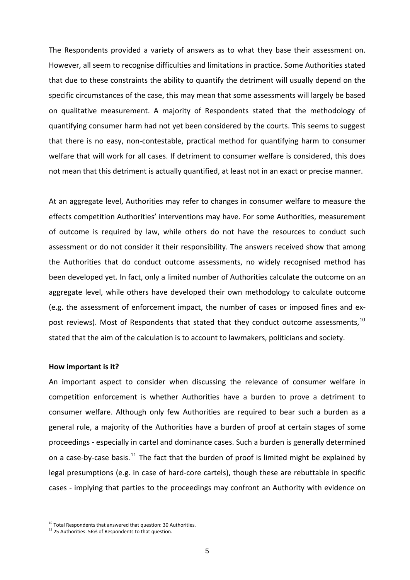The Respondents provided a variety of answers as to what they base their assessment on. However, all seem to recognise difficulties and limitations in practice. Some Authorities stated that due to these constraints the ability to quantify the detriment will usually depend on the specific circumstances of the case, this may mean that some assessments will largely be based on qualitative measurement. A majority of Respondents stated that the methodology of quantifying consumer harm had not yet been considered by the courts. This seems to suggest that there is no easy, non‐contestable, practical method for quantifying harm to consumer welfare that will work for all cases. If detriment to consumer welfare is considered, this does not mean that this detriment is actually quantified, at least not in an exact or precise manner.

At an aggregate level, Authorities may refer to changes in consumer welfare to measure the effects competition Authorities' interventions may have. For some Authorities, measurement of outcome is required by law, while others do not have the resources to conduct such assessment or do not consider it their responsibility. The answers received show that among the Authorities that do conduct outcome assessments, no widely recognised method has been developed yet. In fact, only a limited number of Authorities calculate the outcome on an aggregate level, while others have developed their own methodology to calculate outcome (e.g. the assessment of enforcement impact, the number of cases or imposed fines and ex‐ post reviews). Most of Respondents that stated that they conduct outcome assessments.<sup>[10](#page-4-0)</sup> stated that the aim of the calculation is to account to lawmakers, politicians and society.

#### **How important is it?**

1

An important aspect to consider when discussing the relevance of consumer welfare in competition enforcement is whether Authorities have a burden to prove a detriment to consumer welfare. Although only few Authorities are required to bear such a burden as a general rule, a majority of the Authorities have a burden of proof at certain stages of some proceedings ‐ especially in cartel and dominance cases. Such a burden is generally determined on a case-by-case basis.<sup>[11](#page-4-1)</sup> The fact that the burden of proof is limited might be explained by legal presumptions (e.g. in case of hard‐core cartels), though these are rebuttable in specific cases ‐ implying that parties to the proceedings may confront an Authority with evidence on

<span id="page-4-0"></span> $10$  Total Respondents that answered that question: 30 Authorities.

<span id="page-4-1"></span> $11$  25 Authorities: 56% of Respondents to that question.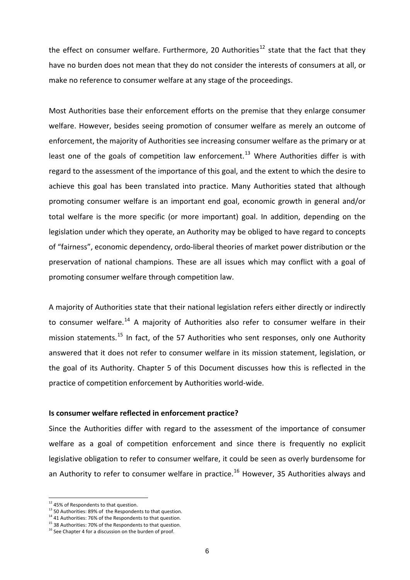the effect on consumer welfare. Furthermore, 20 Authorities<sup>[12](#page-5-0)</sup> state that the fact that they have no burden does not mean that they do not consider the interests of consumers at all, or make no reference to consumer welfare at any stage of the proceedings.

Most Authorities base their enforcement efforts on the premise that they enlarge consumer welfare. However, besides seeing promotion of consumer welfare as merely an outcome of enforcement, the majority of Authorities see increasing consumer welfare as the primary or at least one of the goals of competition law enforcement.<sup>[13](#page-5-1)</sup> Where Authorities differ is with regard to the assessment of the importance of this goal, and the extent to which the desire to achieve this goal has been translated into practice. Many Authorities stated that although promoting consumer welfare is an important end goal, economic growth in general and/or total welfare is the more specific (or more important) goal. In addition, depending on the legislation under which they operate, an Authority may be obliged to have regard to concepts of "fairness", economic dependency, ordo‐liberal theories of market power distribution or the preservation of national champions. These are all issues which may conflict with a goal of promoting consumer welfare through competition law.

A majority of Authorities state that their national legislation refers either directly or indirectly to consumer welfare.<sup>[14](#page-5-2)</sup> A majority of Authorities also refer to consumer welfare in their mission statements.<sup>[15](#page-5-3)</sup> In fact, of the 57 Authorities who sent responses, only one Authority answered that it does not refer to consumer welfare in its mission statement, legislation, or the goal of its Authority. Chapter 5 of this Document discusses how this is reflected in the practice of competition enforcement by Authorities world‐wide.

#### **Is consumer welfare reflected in enforcement practice?**

Since the Authorities differ with regard to the assessment of the importance of consumer welfare as a goal of competition enforcement and since there is frequently no explicit legislative obligation to refer to consumer welfare, it could be seen as overly burdensome for an Authority to refer to consumer welfare in practice.<sup>[16](#page-5-4)</sup> However, 35 Authorities always and

<span id="page-5-0"></span><sup>&</sup>lt;sup>12</sup> 45% of Respondents to that question.

<span id="page-5-1"></span> $13$  50 Authorities: 89% of the Respondents to that question.<br> $14$  41 Authorities: 76% of the Respondents to that question.

<span id="page-5-3"></span><span id="page-5-2"></span> $15$  38 Authorities: 70% of the Respondents to that question.

<span id="page-5-4"></span><sup>&</sup>lt;sup>16</sup> See Chapter 4 for a discussion on the burden of proof.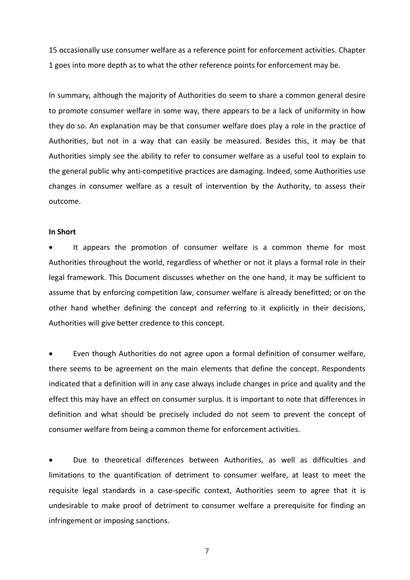15 occasionally use consumer welfare as a reference point for enforcement activities. Chapter 1 goes into more depth as to what the other reference points for enforcement may be.

In summary, although the majority of Authorities do seem to share a common general desire to promote consumer welfare in some way, there appears to be a lack of uniformity in how they do so. An explanation may be that consumer welfare does play a role in the practice of Authorities, but not in a way that can easily be measured. Besides this, it may be that Authorities simply see the ability to refer to consumer welfare as a useful tool to explain to the general public why anti‐competitive practices are damaging. Indeed, some Authorities use changes in consumer welfare as a result of intervention by the Authority, to assess their outcome.

#### **In Short**

 It appears the promotion of consumer welfare is a common theme for most Authorities throughout the world, regardless of whether or not it plays a formal role in their legal framework. This Document discusses whether on the one hand, it may be sufficient to assume that by enforcing competition law, consumer welfare is already benefitted; or on the other hand whether defining the concept and referring to it explicitly in their decisions, Authorities will give better credence to this concept.

 Even though Authorities do not agree upon a formal definition of consumer welfare, there seems to be agreement on the main elements that define the concept. Respondents indicated that a definition will in any case always include changes in price and quality and the effect this may have an effect on consumer surplus. It is important to note that differences in definition and what should be precisely included do not seem to prevent the concept of consumer welfare from being a common theme for enforcement activities.

 Due to theoretical differences between Authorities, as well as difficulties and limitations to the quantification of detriment to consumer welfare, at least to meet the requisite legal standards in a case‐specific context, Authorities seem to agree that it is undesirable to make proof of detriment to consumer welfare a prerequisite for finding an infringement or imposing sanctions.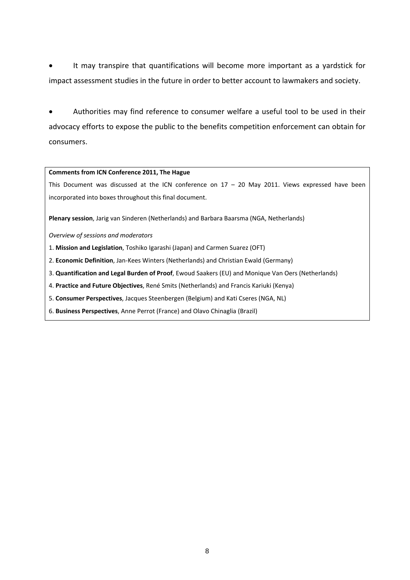It may transpire that quantifications will become more important as a yardstick for impact assessment studies in the future in order to better account to lawmakers and society.

 Authorities may find reference to consumer welfare a useful tool to be used in their advocacy efforts to expose the public to the benefits competition enforcement can obtain for consumers.

#### **Comments from ICN Conference 2011, The Hague**

This Document was discussed at the ICN conference on  $17 - 20$  May 2011. Views expressed have been incorporated into boxes throughout this final document.

**Plenary session**, Jarig van Sinderen (Netherlands) and Barbara Baarsma (NGA, Netherlands)

*Overview of sessions and moderators*

- 1. **Mission and Legislation**, Toshiko Igarashi (Japan) and Carmen Suarez (OFT)
- 2. **Economic Definition**, Jan‐Kees Winters (Netherlands) and Christian Ewald (Germany)
- 3. **Quantification and Legal Burden of Proof**, Ewoud Saakers (EU) and Monique Van Oers (Netherlands)
- 4. **Practice and Future Objectives**, René Smits (Netherlands) and Francis Kariuki (Kenya)
- 5. **Consumer Perspectives**, Jacques Steenbergen (Belgium) and Kati Cseres (NGA, NL)
- 6. **Business Perspectives**, Anne Perrot (France) and Olavo Chinaglia (Brazil)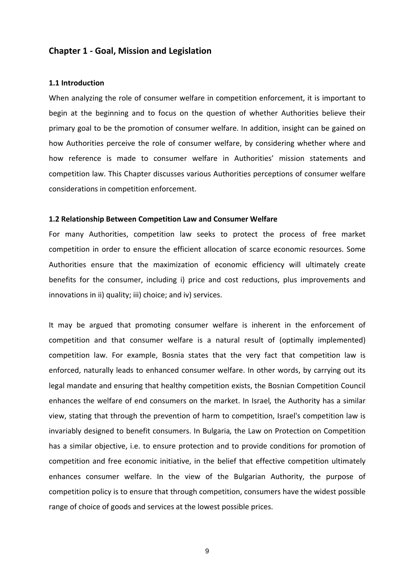# **Chapter 1 ‐ Goal, Mission and Legislation**

#### **1.1 Introduction**

When analyzing the role of consumer welfare in competition enforcement, it is important to begin at the beginning and to focus on the question of whether Authorities believe their primary goal to be the promotion of consumer welfare. In addition, insight can be gained on how Authorities perceive the role of consumer welfare, by considering whether where and how reference is made to consumer welfare in Authorities' mission statements and competition law. This Chapter discusses various Authorities perceptions of consumer welfare considerations in competition enforcement.

#### **1.2 Relationship Between Competition Law and Consumer Welfare**

For many Authorities, competition law seeks to protect the process of free market competition in order to ensure the efficient allocation of scarce economic resources. Some Authorities ensure that the maximization of economic efficiency will ultimately create benefits for the consumer, including i) price and cost reductions, plus improvements and innovations in ii) quality; iii) choice; and iv) services.

It may be argued that promoting consumer welfare is inherent in the enforcement of competition and that consumer welfare is a natural result of (optimally implemented) competition law. For example, Bosnia states that the very fact that competition law is enforced, naturally leads to enhanced consumer welfare. In other words, by carrying out its legal mandate and ensuring that healthy competition exists, the Bosnian Competition Council enhances the welfare of end consumers on the market. In Israel*,* the Authority has a similar view, stating that through the prevention of harm to competition, Israel's competition law is invariably designed to benefit consumers. In Bulgaria*,* the Law on Protection on Competition has a similar objective, i.e. to ensure protection and to provide conditions for promotion of competition and free economic initiative, in the belief that effective competition ultimately enhances consumer welfare. In the view of the Bulgarian Authority, the purpose of competition policy is to ensure that through competition, consumers have the widest possible range of choice of goods and services at the lowest possible prices.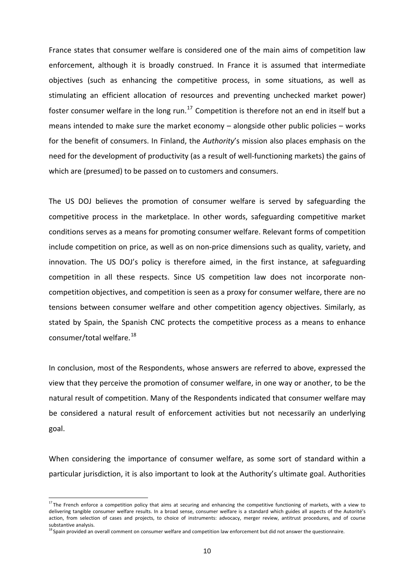France states that consumer welfare is considered one of the main aims of competition law enforcement, although it is broadly construed. In France it is assumed that intermediate objectives (such as enhancing the competitive process, in some situations, as well as stimulating an efficient allocation of resources and preventing unchecked market power) foster consumer welfare in the long run.<sup>[17](#page-9-0)</sup> Competition is therefore not an end in itself but a means intended to make sure the market economy – alongside other public policies – works for the benefit of consumers. In Finland, the *Authority*'s mission also places emphasis on the need for the development of productivity (as a result of well-functioning markets) the gains of which are (presumed) to be passed on to customers and consumers.

The US DOJ believes the promotion of consumer welfare is served by safeguarding the competitive process in the marketplace. In other words, safeguarding competitive market conditions serves as a means for promoting consumer welfare. Relevant forms of competition include competition on price, as well as on non‐price dimensions such as quality, variety, and innovation. The US DOJ's policy is therefore aimed, in the first instance, at safeguarding competition in all these respects. Since US competition law does not incorporate non‐ competition objectives, and competition is seen as a proxy for consumer welfare, there are no tensions between consumer welfare and other competition agency objectives. Similarly, as stated by Spain, the Spanish CNC protects the competitive process as a means to enhance consumer/total welfare.<sup>[18](#page-9-1)</sup>

In conclusion, most of the Respondents, whose answers are referred to above, expressed the view that they perceive the promotion of consumer welfare, in one way or another, to be the natural result of competition. Many of the Respondents indicated that consumer welfare may be considered a natural result of enforcement activities but not necessarily an underlying goal.

When considering the importance of consumer welfare, as some sort of standard within a particular jurisdiction, it is also important to look at the Authority's ultimate goal. Authorities

<span id="page-9-0"></span><sup>&</sup>lt;sup>17</sup> The French enforce a competition policy that aims at securing and enhancing the competitive functioning of markets, with a view to delivering tangible consumer welfare results. In a broad sense, consumer welfare is a standard which guides all aspects of the Autorité's action, from selection of cases and projects, to choice of instruments: advocacy, merger review, antitrust procedures, and of course substantive analysis.

<span id="page-9-1"></span><sup>&</sup>lt;sup>18</sup> Spain provided an overall comment on consumer welfare and competition law enforcement but did not answer the questionnaire.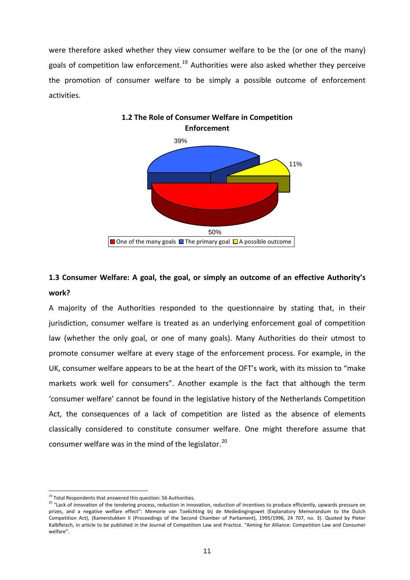were therefore asked whether they view consumer welfare to be the (or one of the many) goals of competition law enforcement.<sup>[19](#page-10-0)</sup> Authorities were also asked whether they perceive the promotion of consumer welfare to be simply a possible outcome of enforcement activities.



# **1.3 Consumer Welfare: A goal, the goal, or simply an outcome of an effective Authority's work?**

A majority of the Authorities responded to the questionnaire by stating that, in their jurisdiction, consumer welfare is treated as an underlying enforcement goal of competition law (whether the only goal, or one of many goals). Many Authorities do their utmost to promote consumer welfare at every stage of the enforcement process. For example, in the UK, consumer welfare appears to be at the heart of the OFT's work, with its mission to "make markets work well for consumers". Another example is the fact that although the term 'consumer welfare' cannot be found in the legislative history of the Netherlands Competition Act, the consequences of a lack of competition are listed as the absence of elements classically considered to constitute consumer welfare. One might therefore assume that consumer welfare was in the mind of the legislator.<sup>[20](#page-10-1)</sup>

 $19$  Total Respondents that answered this question: 56 Authorities.

<span id="page-10-1"></span><span id="page-10-0"></span><sup>20 &</sup>quot;Lack of innovation of the tendering process, reduction in innovation, reduction of incentives to produce efficiently, upwards pressure on prizes, and a negative welfare effect": Memorie van Toelichting bij de Mededingingswet (Explanatory Memorandum to the Dutch Competition Act), (Kamerstukken II (Proceedings of the Second Chamber of Parliament), 1995/1996, 24 707, no. 3). Quoted by Pieter Kalbfleisch, in article to be published in the Journal of Competition Law and Practice. "Aiming for Alliance: Competition Law and Consumer welfare".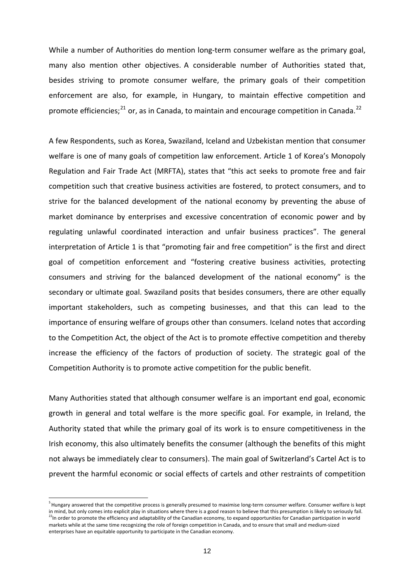While a number of Authorities do mention long-term consumer welfare as the primary goal, many also mention other objectives. A considerable number of Authorities stated that, besides striving to promote consumer welfare, the primary goals of their competition enforcement are also, for example, in Hungary, to maintain effective competition and promote efficiencies; $^{21}$  $^{21}$  $^{21}$  or, as in Canada, to maintain and encourage competition in Canada.<sup>[22](#page-11-1)</sup>

A few Respondents, such as Korea, Swaziland, Iceland and Uzbekistan mention that consumer welfare is one of many goals of competition law enforcement. Article 1 of Korea's Monopoly Regulation and Fair Trade Act (MRFTA), states that "this act seeks to promote free and fair competition such that creative business activities are fostered, to protect consumers, and to strive for the balanced development of the national economy by preventing the abuse of market dominance by enterprises and excessive concentration of economic power and by regulating unlawful coordinated interaction and unfair business practices". The general interpretation of Article 1 is that "promoting fair and free competition" is the first and direct goal of competition enforcement and "fostering creative business activities, protecting consumers and striving for the balanced development of the national economy" is the secondary or ultimate goal. Swaziland posits that besides consumers, there are other equally important stakeholders, such as competing businesses, and that this can lead to the importance of ensuring welfare of groups other than consumers. Iceland notes that according to the Competition Act, the object of the Act is to promote effective competition and thereby increase the efficiency of the factors of production of society. The strategic goal of the Competition Authority is to promote active competition for the public benefit.

Many Authorities stated that although consumer welfare is an important end goal, economic growth in general and total welfare is the more specific goal. For example, in Ireland, the Authority stated that while the primary goal of its work is to ensure competitiveness in the Irish economy, this also ultimately benefits the consumer (although the benefits of this might not always be immediately clear to consumers). The main goal of Switzerland's Cartel Act is to prevent the harmful economic or social effects of cartels and other restraints of competition

<span id="page-11-1"></span><span id="page-11-0"></span><sup>&</sup>lt;sup>5</sup> Hungary answered that the competitive process is generally presumed to maximise long-term consumer welfare. Consumer welfare is kept in mind, but only comes into explicit play in situations where there is a good reason to believe that this presumption is likely to seriously fail.  $^{22}$ In order to promote the efficiency and adaptability of the Canadian economy, to expand opportunities for Canadian participation in world markets while at the same time recognizing the role of foreign competition in Canada, and to ensure that small and medium‐sized enterprises have an equitable opportunity to participate in the Canadian economy.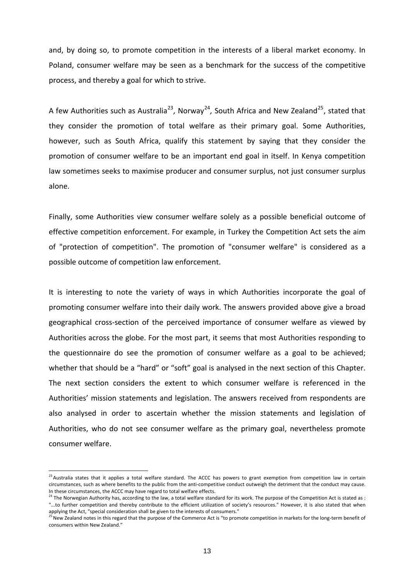and, by doing so, to promote competition in the interests of a liberal market economy. In Poland, consumer welfare may be seen as a benchmark for the success of the competitive process, and thereby a goal for which to strive.

A few Authorities such as Australia<sup>[23](#page-12-0)</sup>, Norway<sup>[24](#page-12-1)</sup>, South Africa and New Zealand<sup>[25](#page-12-2)</sup>, stated that they consider the promotion of total welfare as their primary goal. Some Authorities, however, such as South Africa, qualify this statement by saying that they consider the promotion of consumer welfare to be an important end goal in itself. In Kenya competition law sometimes seeks to maximise producer and consumer surplus, not just consumer surplus alone.

Finally, some Authorities view consumer welfare solely as a possible beneficial outcome of effective competition enforcement. For example, in Turkey the Competition Act sets the aim of "protection of competition". The promotion of "consumer welfare" is considered as a possible outcome of competition law enforcement.

It is interesting to note the variety of ways in which Authorities incorporate the goal of promoting consumer welfare into their daily work. The answers provided above give a broad geographical cross‐section of the perceived importance of consumer welfare as viewed by Authorities across the globe. For the most part, it seems that most Authorities responding to the questionnaire do see the promotion of consumer welfare as a goal to be achieved; whether that should be a "hard" or "soft" goal is analysed in the next section of this Chapter. The next section considers the extent to which consumer welfare is referenced in the Authorities' mission statements and legislation. The answers received from respondents are also analysed in order to ascertain whether the mission statements and legislation of Authorities, who do not see consumer welfare as the primary goal, nevertheless promote consumer welfare.

<span id="page-12-0"></span><sup>&</sup>lt;sup>23</sup> Australia states that it applies a total welfare standard. The ACCC has powers to grant exemption from competition law in certain circumstances, such as where benefits to the public from the anti-competitive conduct outweigh the detriment that the conduct may cause.<br>In these circumstances, the ACCC may have regard to total welfare effects.

<span id="page-12-1"></span><sup>&</sup>lt;sup>24</sup> The Norwegian Authority has, according to the law, a total welfare standard for its work. The purpose of the Competition Act is stated as : "...to further competition and thereby contribute to the efficient utilization of society's resources." However, it is also stated that when applying the Act, "special consideration shall be given to the interests of consumers."

<span id="page-12-2"></span><sup>&</sup>lt;sup>25</sup> New Zealand notes in this regard that the purpose of the Commerce Act is "to promote competition in markets for the long-term benefit of consumers within New Zealand."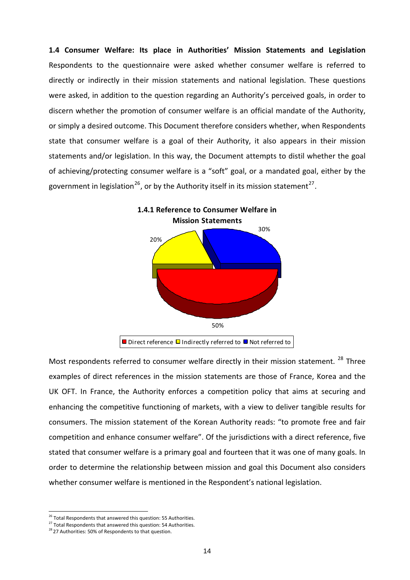**1.4 Consumer Welfare: Its place in Authorities' Mission Statements and Legislation** Respondents to the questionnaire were asked whether consumer welfare is referred to directly or indirectly in their mission statements and national legislation. These questions were asked, in addition to the question regarding an Authority's perceived goals, in order to discern whether the promotion of consumer welfare is an official mandate of the Authority, or simply a desired outcome. This Document therefore considers whether, when Respondents state that consumer welfare is a goal of their Authority, it also appears in their mission statements and/or legislation. In this way, the Document attempts to distil whether the goal of achieving/protecting consumer welfare is a "soft" goal, or a mandated goal, either by the government in legislation<sup>[26](#page-13-0)</sup>, or by the Authority itself in its mission statement<sup>[27](#page-13-1)</sup>.



Most respondents referred to consumer welfare directly in their mission statement.<sup>[28](#page-13-2)</sup> Three examples of direct references in the mission statements are those of France, Korea and the UK OFT. In France, the Authority enforces a competition policy that aims at securing and enhancing the competitive functioning of markets, with a view to deliver tangible results for consumers. The mission statement of the Korean Authority reads: "to promote free and fair competition and enhance consumer welfare". Of the jurisdictions with a direct reference, five stated that consumer welfare is a primary goal and fourteen that it was one of many goals. In order to determine the relationship between mission and goal this Document also considers whether consumer welfare is mentioned in the Respondent's national legislation.

<span id="page-13-1"></span><span id="page-13-0"></span><sup>&</sup>lt;sup>26</sup> Total Respondents that answered this question: 55 Authorities.<br><sup>27</sup> Total Respondents that answered this question: 54 Authorities.

<span id="page-13-2"></span><sup>&</sup>lt;sup>28</sup> 27 Authorities: 50% of Respondents to that question.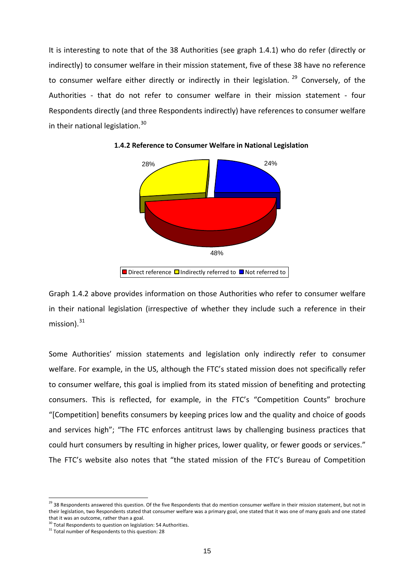It is interesting to note that of the 38 Authorities (see graph 1.4.1) who do refer (directly or indirectly) to consumer welfare in their mission statement, five of these 38 have no reference to consumer welfare either directly or indirectly in their legislation.  $29$  Conversely, of the Authorities - that do not refer to consumer welfare in their mission statement - four Respondents directly (and three Respondents indirectly) have references to consumer welfare in their national legislation.<sup>[30](#page-14-1)</sup>



**1.4.2 Reference to Consumer Welfare in National Legislation**

Graph 1.4.2 above provides information on those Authorities who refer to consumer welfare in their national legislation (irrespective of whether they include such a reference in their mission). $31$ 

Some Authorities' mission statements and legislation only indirectly refer to consumer welfare. For example, in the US, although the FTC's stated mission does not specifically refer to consumer welfare, this goal is implied from its stated mission of benefiting and protecting consumers. This is reflected, for example, in the FTC's "Competition Counts" brochure "[Competition] benefits consumers by keeping prices low and the quality and choice of goods and services high"; "The FTC enforces antitrust laws by challenging business practices that could hurt consumers by resulting in higher prices, lower quality, or fewer goods or services." The FTC's website also notes that "the stated mission of the FTC's Bureau of Competition

<span id="page-14-0"></span><sup>&</sup>lt;sup>29</sup> 38 Respondents answered this question. Of the five Respondents that do mention consumer welfare in their mission statement, but not in their legislation, two Respondents stated that consumer welfare was a primary goal, one stated that it was one of many goals and one stated

that it was an outcome, rather than a goal.<br><sup>30</sup> Total Respondents to question on legislation: 54 Authorities.

<span id="page-14-2"></span><span id="page-14-1"></span> $31$  Total number of Respondents to this question: 28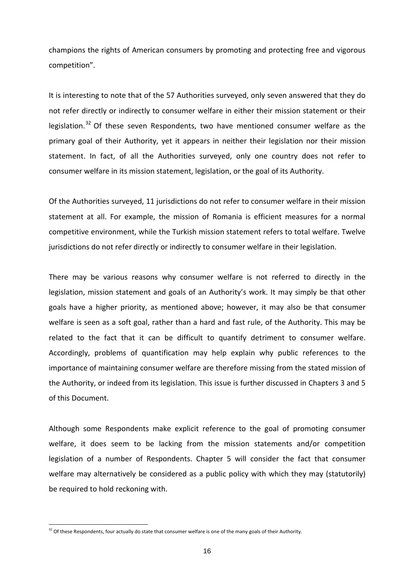champions the rights of American consumers by promoting and protecting free and vigorous competition".

It is interesting to note that of the 57 Authorities surveyed, only seven answered that they do not refer directly or indirectly to consumer welfare in either their mission statement or their legislation.<sup>[32](#page-15-0)</sup> Of these seven Respondents, two have mentioned consumer welfare as the primary goal of their Authority, yet it appears in neither their legislation nor their mission statement. In fact, of all the Authorities surveyed, only one country does not refer to consumer welfare in its mission statement, legislation, or the goal of its Authority.

Of the Authorities surveyed, 11 jurisdictions do not refer to consumer welfare in their mission statement at all. For example, the mission of Romania is efficient measures for a normal competitive environment, while the Turkish mission statement refers to total welfare. Twelve jurisdictions do not refer directly or indirectly to consumer welfare in their legislation.

There may be various reasons why consumer welfare is not referred to directly in the legislation, mission statement and goals of an Authority's work. It may simply be that other goals have a higher priority, as mentioned above; however, it may also be that consumer welfare is seen as a soft goal, rather than a hard and fast rule, of the Authority. This may be related to the fact that it can be difficult to quantify detriment to consumer welfare. Accordingly, problems of quantification may help explain why public references to the importance of maintaining consumer welfare are therefore missing from the stated mission of the Authority, or indeed from its legislation. This issue is further discussed in Chapters 3 and 5 of this Document.

Although some Respondents make explicit reference to the goal of promoting consumer welfare, it does seem to be lacking from the mission statements and/or competition legislation of a number of Respondents. Chapter 5 will consider the fact that consumer welfare may alternatively be considered as a public policy with which they may (statutorily) be required to hold reckoning with.

<span id="page-15-0"></span> $32$  Of these Respondents, four actually do state that consumer welfare is one of the many goals of their Authority.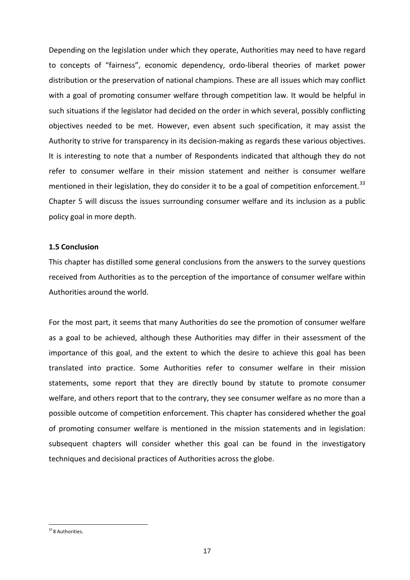Depending on the legislation under which they operate, Authorities may need to have regard to concepts of "fairness", economic dependency, ordo‐liberal theories of market power distribution or the preservation of national champions. These are all issues which may conflict with a goal of promoting consumer welfare through competition law. It would be helpful in such situations if the legislator had decided on the order in which several, possibly conflicting objectives needed to be met. However, even absent such specification, it may assist the Authority to strive for transparency in its decision-making as regards these various objectives. It is interesting to note that a number of Respondents indicated that although they do not refer to consumer welfare in their mission statement and neither is consumer welfare mentioned in their legislation, they do consider it to be a goal of competition enforcement.<sup>[33](#page-16-0)</sup> Chapter 5 will discuss the issues surrounding consumer welfare and its inclusion as a public policy goal in more depth.

### **1.5 Conclusion**

This chapter has distilled some general conclusions from the answers to the survey questions received from Authorities as to the perception of the importance of consumer welfare within Authorities around the world.

For the most part, it seems that many Authorities do see the promotion of consumer welfare as a goal to be achieved, although these Authorities may differ in their assessment of the importance of this goal, and the extent to which the desire to achieve this goal has been translated into practice. Some Authorities refer to consumer welfare in their mission statements, some report that they are directly bound by statute to promote consumer welfare, and others report that to the contrary, they see consumer welfare as no more than a possible outcome of competition enforcement. This chapter has considered whether the goal of promoting consumer welfare is mentioned in the mission statements and in legislation: subsequent chapters will consider whether this goal can be found in the investigatory techniques and decisional practices of Authorities across the globe.

<span id="page-16-0"></span><sup>&</sup>lt;sup>33</sup> 8 Authorities.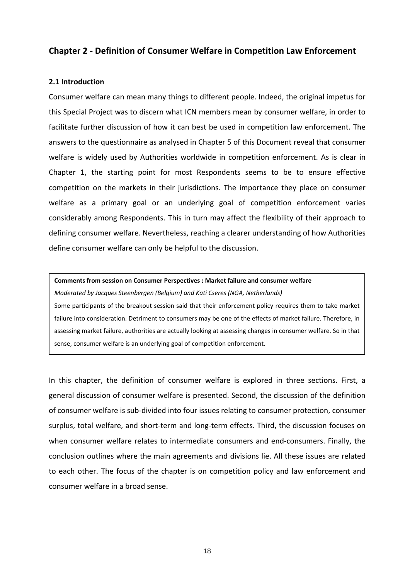# **Chapter 2 ‐ Definition of Consumer Welfare in Competition Law Enforcement**

#### **2.1 Introduction**

Consumer welfare can mean many things to different people. Indeed, the original impetus for this Special Project was to discern what ICN members mean by consumer welfare, in order to facilitate further discussion of how it can best be used in competition law enforcement. The answers to the questionnaire as analysed in Chapter 5 of this Document reveal that consumer welfare is widely used by Authorities worldwide in competition enforcement. As is clear in Chapter 1, the starting point for most Respondents seems to be to ensure effective competition on the markets in their jurisdictions. The importance they place on consumer welfare as a primary goal or an underlying goal of competition enforcement varies considerably among Respondents. This in turn may affect the flexibility of their approach to defining consumer welfare. Nevertheless, reaching a clearer understanding of how Authorities define consumer welfare can only be helpful to the discussion.

#### **Comments from session on Consumer Perspectives : Market failure and consumer welfare**

*Moderated by Jacques Steenbergen (Belgium) and Kati Cseres (NGA, Netherlands)* Some participants of the breakout session said that their enforcement policy requires them to take market failure into consideration. Detriment to consumers may be one of the effects of market failure. Therefore, in assessing market failure, authorities are actually looking at assessing changes in consumer welfare. So in that sense, consumer welfare is an underlying goal of competition enforcement.

In this chapter, the definition of consumer welfare is explored in three sections. First, a general discussion of consumer welfare is presented. Second, the discussion of the definition of consumer welfare is sub‐divided into four issues relating to consumer protection, consumer surplus, total welfare, and short-term and long-term effects. Third, the discussion focuses on when consumer welfare relates to intermediate consumers and end-consumers. Finally, the conclusion outlines where the main agreements and divisions lie. All these issues are related to each other. The focus of the chapter is on competition policy and law enforcement and consumer welfare in a broad sense.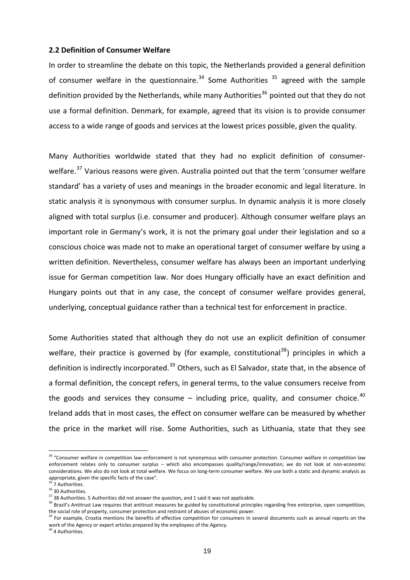# **2.2 Definition of Consumer Welfare**

In order to streamline the debate on this topic, the Netherlands provided a general definition of consumer welfare in the questionnaire.<sup>[34](#page-18-0)</sup> Some Authorities  $35$  agreed with the sample definition provided by the Netherlands, while many Authorities<sup>[36](#page-18-2)</sup> pointed out that they do not use a formal definition. Denmark, for example, agreed that its vision is to provide consumer access to a wide range of goods and services at the lowest prices possible, given the quality.

Many Authorities worldwide stated that they had no explicit definition of consumer‐ welfare.<sup>[37](#page-18-3)</sup> Various reasons were given. Australia pointed out that the term 'consumer welfare standard' has a variety of uses and meanings in the broader economic and legal literature. In static analysis it is synonymous with consumer surplus. In dynamic analysis it is more closely aligned with total surplus (i.e. consumer and producer). Although consumer welfare plays an important role in Germany's work, it is not the primary goal under their legislation and so a conscious choice was made not to make an operational target of consumer welfare by using a written definition. Nevertheless, consumer welfare has always been an important underlying issue for German competition law. Nor does Hungary officially have an exact definition and Hungary points out that in any case, the concept of consumer welfare provides general, underlying, conceptual guidance rather than a technical test for enforcement in practice.

Some Authorities stated that although they do not use an explicit definition of consumer welfare, their practice is governed by (for example, constitutional<sup>[38](#page-18-4)</sup>) principles in which a definition is indirectly incorporated.<sup>[39](#page-18-5)</sup> Others, such as El Salvador, state that, in the absence of a formal definition, the concept refers, in general terms, to the value consumers receive from the goods and services they consume  $-$  including price, quality, and consumer choice.<sup>[40](#page-18-6)</sup> Ireland adds that in most cases, the effect on consumer welfare can be measured by whether the price in the market will rise. Some Authorities, such as Lithuania, state that they see

<span id="page-18-0"></span><sup>&</sup>lt;sup>34</sup> "Consumer welfare in competition law enforcement is not synonymous with consumer protection. Consumer welfare in competition law enforcement relates only to consumer surplus – which also encompasses quality/range/innovation; we do not look at non-economic considerations. We also do not look at total welfare. We focus on long‐term consumer welfare. We use both a static and dynamic analysis as appropriate, given the specific facts of the case".

<sup>7</sup> Authorities.

<span id="page-18-2"></span><span id="page-18-1"></span><sup>36 30</sup> Authorities.<br><sup>36</sup> 30 Authorities.<br><sup>37</sup> 38 Authorities. 5 Authorities did not answer the question, and 1 said it was not applicable.

<span id="page-18-4"></span><span id="page-18-3"></span><sup>38</sup> Brazil's Antitrust Law requires that antitrust measures be guided by constitutional principles regarding free enterprise, open competition, the social role of property, consumer protection and restraint of abuses of economic power.

<span id="page-18-5"></span><sup>&</sup>lt;sup>39</sup> For example, Croatia mentions the benefits of effective competition for consumers in several documents such as annual reports on the work of the Agency or expert articles prepared by the employees of the Agency.

<span id="page-18-6"></span><sup>&</sup>lt;sup>40</sup> 4 Authorities.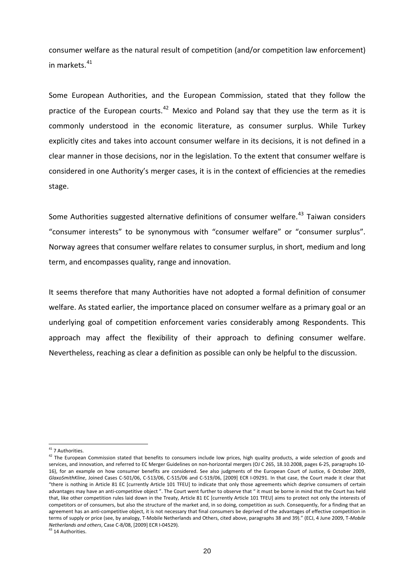consumer welfare as the natural result of competition (and/or competition law enforcement) in markets.<sup>[41](#page-19-0)</sup>

Some European Authorities, and the European Commission, stated that they follow the practice of the European courts.<sup>[42](#page-19-1)</sup> Mexico and Poland say that they use the term as it is commonly understood in the economic literature, as consumer surplus. While Turkey explicitly cites and takes into account consumer welfare in its decisions, it is not defined in a clear manner in those decisions, nor in the legislation. To the extent that consumer welfare is considered in one Authority's merger cases, it is in the context of efficiencies at the remedies stage.

Some Authorities suggested alternative definitions of consumer welfare.<sup>[43](#page-19-2)</sup> Taiwan considers "consumer interests" to be synonymous with "consumer welfare" or "consumer surplus". Norway agrees that consumer welfare relates to consumer surplus, in short, medium and long term, and encompasses quality, range and innovation.

It seems therefore that many Authorities have not adopted a formal definition of consumer welfare. As stated earlier, the importance placed on consumer welfare as a primary goal or an underlying goal of competition enforcement varies considerably among Respondents. This approach may affect the flexibility of their approach to defining consumer welfare. Nevertheless, reaching as clear a definition as possible can only be helpful to the discussion.

<span id="page-19-0"></span><sup>&</sup>lt;sup>41</sup> 7 Authorities.

<span id="page-19-1"></span> $42$  The European Commission stated that benefits to consumers include low prices, high quality products, a wide selection of goods and services, and innovation, and referred to EC Merger Guidelines on non-horizontal mergers (OJ C 265, 18.10.2008, pages 6-25, paragraphs 10-16), for an example on how consumer benefits are considered. See also judgments of the European Court of Justice, 6 October 2009, *GlaxoSmithKline*, Joined Cases C‐501/06, C‐513/06, C‐515/06 and C‐519/06, [2009] ECR I‐09291. In that case, the Court made it clear that "there is nothing in Article 81 EC [currently Article 101 TFEU] to indicate that only those agreements which deprive consumers of certain advantages may have an anti-competitive object". The Court went further to observe that " it must be borne in mind that the Court has held that, like other competition rules laid down in the Treaty, Article 81 EC [currently Article 101 TFEU] aims to protect not only the interests of competitors or of consumers, but also the structure of the market and, in so doing, competition as such. Consequently, for a finding that an agreement has an anti-competitive object, it is not necessary that final consumers be deprived of the advantages of effective competition in terms of supply or price (see, by analogy, T‐Mobile Netherlands and Others, cited above, paragraphs 38 and 39)." (ECJ, 4 June 2009, T*‐Mobile Netherlands and others*, Case C‐8/08, [2009] ECR I‐04529).

<span id="page-19-2"></span><sup>&</sup>lt;sup>43</sup> 14 Authorities.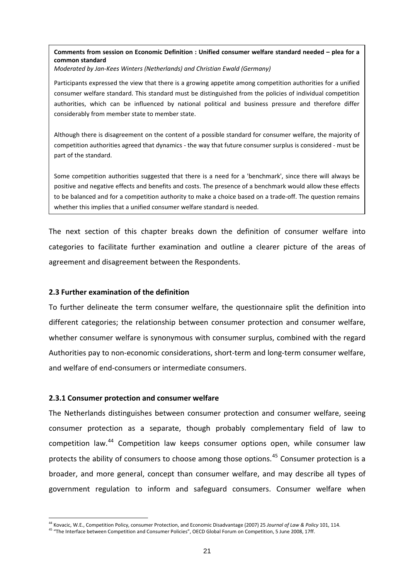# **Comments from session on Economic Definition : Unified consumer welfare standard needed – plea for a common standard**

*Moderated by Jan‐Kees Winters (Netherlands) and Christian Ewald (Germany)*

Participants expressed the view that there is a growing appetite among competition authorities for a unified consumer welfare standard. This standard must be distinguished from the policies of individual competition authorities, which can be influenced by national political and business pressure and therefore differ considerably from member state to member state.

Although there is disagreement on the content of a possible standard for consumer welfare, the majority of competition authorities agreed that dynamics ‐ the way that future consumer surplus is considered ‐ must be part of the standard.

Some competition authorities suggested that there is a need for a 'benchmark', since there will always be positive and negative effects and benefits and costs. The presence of a benchmark would allow these effects to be balanced and for a competition authority to make a choice based on a trade‐off. The question remains whether this implies that a unified consumer welfare standard is needed.

The next section of this chapter breaks down the definition of consumer welfare into categories to facilitate further examination and outline a clearer picture of the areas of agreement and disagreement between the Respondents.

### **2.3 Further examination of the definition**

To further delineate the term consumer welfare, the questionnaire split the definition into different categories; the relationship between consumer protection and consumer welfare, whether consumer welfare is synonymous with consumer surplus, combined with the regard Authorities pay to non-economic considerations, short-term and long-term consumer welfare, and welfare of end‐consumers or intermediate consumers.

# **2.3.1 Consumer protection and consumer welfare**

1

The Netherlands distinguishes between consumer protection and consumer welfare, seeing consumer protection as a separate, though probably complementary field of law to competition law.[44](#page-20-0) Competition law keeps consumer options open, while consumer law protects the ability of consumers to choose among those options.<sup>[45](#page-20-1)</sup> Consumer protection is a broader, and more general, concept than consumer welfare, and may describe all types of government regulation to inform and safeguard consumers. Consumer welfare when

<sup>44</sup> Kovacic, W.E., Competition Policy, consumer Protection, and Economic Disadvantage (2007) 25 *Journal of Law & Policy* 101, 114.

<span id="page-20-1"></span><span id="page-20-0"></span><sup>45 &</sup>quot;The Interface between Competition and Consumer Policies", OECD Global Forum on Competition, 5 June 2008, 17ff.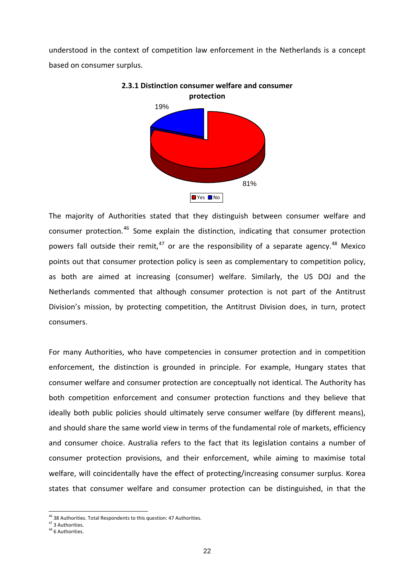understood in the context of competition law enforcement in the Netherlands is a concept based on consumer surplus.





The majority of Authorities stated that they distinguish between consumer welfare and consumer protection.<sup>[46](#page-21-0)</sup> Some explain the distinction, indicating that consumer protection powers fall outside their remit,  $47$  or are the responsibility of a separate agency.  $48$  Mexico points out that consumer protection policy is seen as complementary to competition policy, as both are aimed at increasing (consumer) welfare. Similarly, the US DOJ and the Netherlands commented that although consumer protection is not part of the Antitrust Division's mission, by protecting competition, the Antitrust Division does, in turn, protect consumers.

For many Authorities, who have competencies in consumer protection and in competition enforcement, the distinction is grounded in principle. For example, Hungary states that consumer welfare and consumer protection are conceptually not identical. The Authority has both competition enforcement and consumer protection functions and they believe that ideally both public policies should ultimately serve consumer welfare (by different means), and should share the same world view in terms of the fundamental role of markets, efficiency and consumer choice. Australia refers to the fact that its legislation contains a number of consumer protection provisions, and their enforcement, while aiming to maximise total welfare, will coincidentally have the effect of protecting/increasing consumer surplus. Korea states that consumer welfare and consumer protection can be distinguished, in that the

<span id="page-21-0"></span><sup>&</sup>lt;sup>46</sup> 38 Authorities. Total Respondents to this question: 47 Authorities.<br><sup>47</sup> 3 Authorities.

<span id="page-21-2"></span><span id="page-21-1"></span><sup>&</sup>lt;sup>48</sup> 6 Authorities.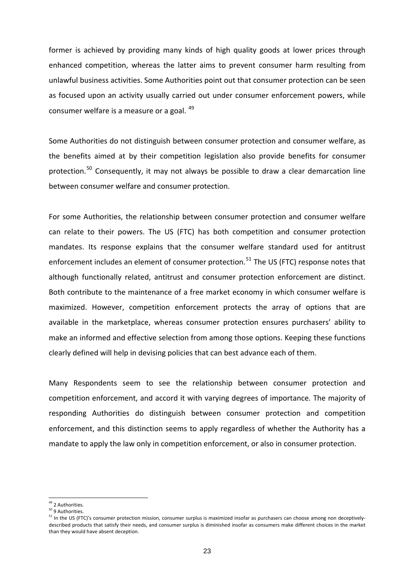former is achieved by providing many kinds of high quality goods at lower prices through enhanced competition, whereas the latter aims to prevent consumer harm resulting from unlawful business activities. Some Authorities point out that consumer protection can be seen as focused upon an activity usually carried out under consumer enforcement powers, while consumer welfare is a measure or a goal. <sup>[49](#page-22-0)</sup>

Some Authorities do not distinguish between consumer protection and consumer welfare, as the benefits aimed at by their competition legislation also provide benefits for consumer protection.<sup>[50](#page-22-1)</sup> Consequently, it may not always be possible to draw a clear demarcation line between consumer welfare and consumer protection.

For some Authorities, the relationship between consumer protection and consumer welfare can relate to their powers. The US (FTC) has both competition and consumer protection mandates. Its response explains that the consumer welfare standard used for antitrust enforcement includes an element of consumer protection.<sup>[51](#page-22-2)</sup> The US (FTC) response notes that although functionally related, antitrust and consumer protection enforcement are distinct. Both contribute to the maintenance of a free market economy in which consumer welfare is maximized. However, competition enforcement protects the array of options that are available in the marketplace, whereas consumer protection ensures purchasers' ability to make an informed and effective selection from among those options. Keeping these functions clearly defined will help in devising policies that can best advance each of them.

Many Respondents seem to see the relationship between consumer protection and competition enforcement, and accord it with varying degrees of importance. The majority of responding Authorities do distinguish between consumer protection and competition enforcement, and this distinction seems to apply regardless of whether the Authority has a mandate to apply the law only in competition enforcement, or also in consumer protection.

<sup>&</sup>lt;sup>49</sup> 2 Authorities.

<span id="page-22-1"></span><span id="page-22-0"></span><sup>50</sup> 9 Authorities.

<span id="page-22-2"></span> $51$  In the US (FTC)'s consumer protection mission, consumer surplus is maximized insofar as purchasers can choose among non deceptivelydescribed products that satisfy their needs, and consumer surplus is diminished insofar as consumers make different choices in the market than they would have absent deception.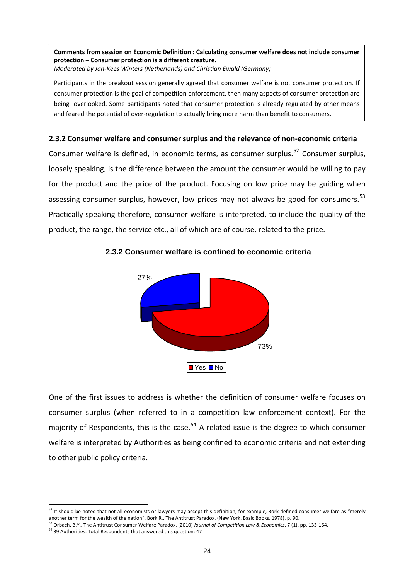**Comments from session on Economic Definition : Calculating consumer welfare does not include consumer protection – Consumer protection is a different creature.** *Moderated by Jan‐Kees Winters (Netherlands) and Christian Ewald (Germany)*

Participants in the breakout session generally agreed that consumer welfare is not consumer protection. If consumer protection is the goal of competition enforcement, then many aspects of consumer protection are being overlooked. Some participants noted that consumer protection is already regulated by other means and feared the potential of over-regulation to actually bring more harm than benefit to consumers.

### **2.3.2 Consumer welfare and consumer surplus and the relevance of non‐economic criteria**

Consumer welfare is defined, in economic terms, as consumer surplus.<sup>[52](#page-23-0)</sup> Consumer surplus, loosely speaking, is the difference between the amount the consumer would be willing to pay for the product and the price of the product. Focusing on low price may be guiding when assessing consumer surplus, however, low prices may not always be good for consumers.<sup>[53](#page-23-1)</sup> Practically speaking therefore, consumer welfare is interpreted, to include the quality of the product, the range, the service etc., all of which are of course, related to the price.



### **2.3.2 Consumer welfare is confined to economic criteria**

One of the first issues to address is whether the definition of consumer welfare focuses on consumer surplus (when referred to in a competition law enforcement context). For the majority of Respondents, this is the case.<sup>[54](#page-23-2)</sup> A related issue is the degree to which consumer welfare is interpreted by Authorities as being confined to economic criteria and not extending to other public policy criteria.

<span id="page-23-0"></span> $52$  It should be noted that not all economists or lawyers may accept this definition, for example, Bork defined consumer welfare as "merely another term for the wealth of the nation". Bork R., The Antitrust Paradox, (New

<span id="page-23-1"></span><sup>&</sup>lt;sup>53</sup> Orbach, B.Y., The Antitrust Consumer Welfare Paradox, (2010) Journal of Competition Law & Economics, 7 (1), pp. 133-164.

<span id="page-23-2"></span><sup>54</sup> 39 Authorities: Total Respondents that answered this question: 47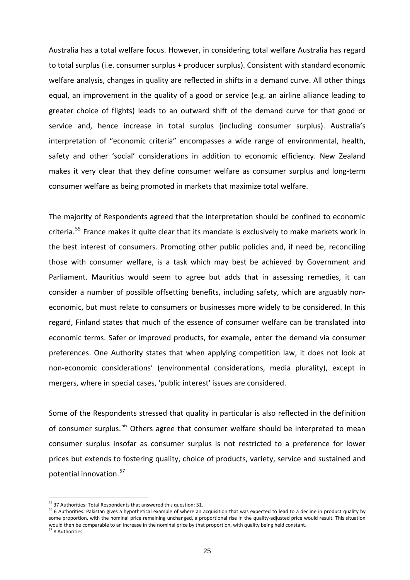Australia has a total welfare focus. However, in considering total welfare Australia has regard to total surplus (i.e. consumer surplus + producer surplus). Consistent with standard economic welfare analysis, changes in quality are reflected in shifts in a demand curve. All other things equal, an improvement in the quality of a good or service (e.g. an airline alliance leading to greater choice of flights) leads to an outward shift of the demand curve for that good or service and, hence increase in total surplus (including consumer surplus). Australia's interpretation of "economic criteria" encompasses a wide range of environmental, health, safety and other 'social' considerations in addition to economic efficiency. New Zealand makes it very clear that they define consumer welfare as consumer surplus and long‐term consumer welfare as being promoted in markets that maximize total welfare.

The majority of Respondents agreed that the interpretation should be confined to economic criteria.<sup>[55](#page-24-0)</sup> France makes it quite clear that its mandate is exclusively to make markets work in the best interest of consumers. Promoting other public policies and, if need be, reconciling those with consumer welfare, is a task which may best be achieved by Government and Parliament. Mauritius would seem to agree but adds that in assessing remedies, it can consider a number of possible offsetting benefits, including safety, which are arguably non‐ economic, but must relate to consumers or businesses more widely to be considered. In this regard, Finland states that much of the essence of consumer welfare can be translated into economic terms. Safer or improved products, for example, enter the demand via consumer preferences. One Authority states that when applying competition law, it does not look at non‐economic considerations' (environmental considerations, media plurality), except in mergers, where in special cases, 'public interest' issues are considered.

Some of the Respondents stressed that quality in particular is also reflected in the definition of consumer surplus.<sup>[56](#page-24-1)</sup> Others agree that consumer welfare should be interpreted to mean consumer surplus insofar as consumer surplus is not restricted to a preference for lower prices but extends to fostering quality, choice of products, variety, service and sustained and potential innovation.<sup>[57](#page-24-2)</sup>

<sup>&</sup>lt;sup>55</sup> 37 Authorities: Total Respondents that answered this question: 51.

<span id="page-24-1"></span><span id="page-24-0"></span><sup>&</sup>lt;sup>56</sup> 6 Authorities. Pakistan gives a hypothetical example of where an acquisition that was expected to lead to a decline in product quality by some proportion, with the nominal price remaining unchanged, a proportional rise in the quality-adjusted price would result. This situation would then be comparable to an increase in the nominal price by that proportion, with quality being held constant. <sup>57</sup> 8 Authorities.

<span id="page-24-2"></span>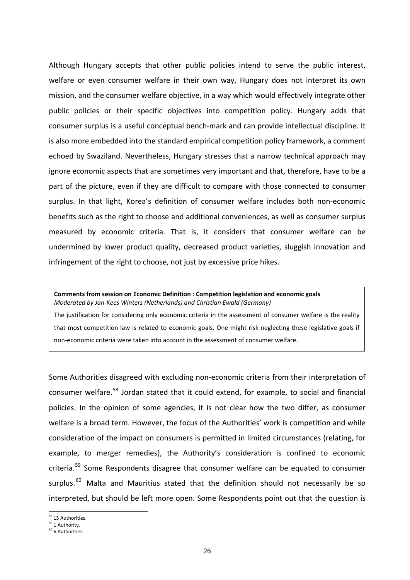Although Hungary accepts that other public policies intend to serve the public interest, welfare or even consumer welfare in their own way, Hungary does not interpret its own mission, and the consumer welfare objective, in a way which would effectively integrate other public policies or their specific objectives into competition policy. Hungary adds that consumer surplus is a useful conceptual bench‐mark and can provide intellectual discipline. It is also more embedded into the standard empirical competition policy framework, a comment echoed by Swaziland. Nevertheless, Hungary stresses that a narrow technical approach may ignore economic aspects that are sometimes very important and that, therefore, have to be a part of the picture, even if they are difficult to compare with those connected to consumer surplus. In that light, Korea's definition of consumer welfare includes both non-economic benefits such as the right to choose and additional conveniences, as well as consumer surplus measured by economic criteria. That is, it considers that consumer welfare can be undermined by lower product quality, decreased product varieties, sluggish innovation and infringement of the right to choose, not just by excessive price hikes.

#### **Comments from session on Economic Definition : Competition legislation and economic goals** *Moderated by Jan‐Kees Winters (Netherlands) and Christian Ewald (Germany)*

The justification for considering only economic criteria in the assessment of consumer welfare is the reality that most competition law is related to economic goals. One might risk neglecting these legislative goals if non‐economic criteria were taken into account in the assessment of consumer welfare.

Some Authorities disagreed with excluding non‐economic criteria from their interpretation of consumer welfare.<sup>[58](#page-25-0)</sup> Jordan stated that it could extend, for example, to social and financial policies. In the opinion of some agencies, it is not clear how the two differ, as consumer welfare is a broad term. However, the focus of the Authorities' work is competition and while consideration of the impact on consumers is permitted in limited circumstances (relating, for example, to merger remedies), the Authority's consideration is confined to economic criteria.<sup>[59](#page-25-1)</sup> Some Respondents disagree that consumer welfare can be equated to consumer surplus.<sup>[60](#page-25-2)</sup> Malta and Mauritius stated that the definition should not necessarily be so interpreted, but should be left more open. Some Respondents point out that the question is

<span id="page-25-0"></span> $58$  15 Authorities.<br> $59$  1 Authority.

<span id="page-25-2"></span><span id="page-25-1"></span> $60$  6 Authorities.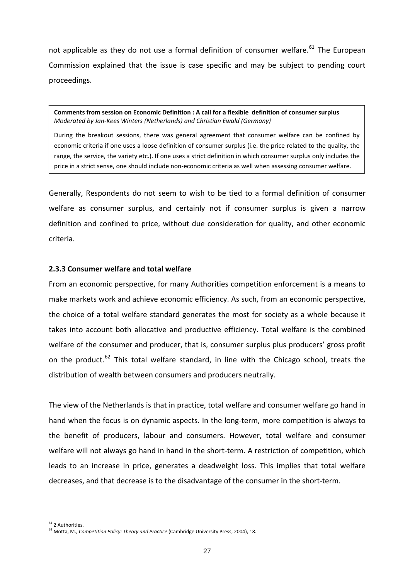not applicable as they do not use a formal definition of consumer welfare.<sup>[61](#page-26-0)</sup> The European Commission explained that the issue is case specific and may be subject to pending court proceedings.

**Comments from session on Economic Definition : A call for a flexible definition of consumer surplus** *Moderated by Jan‐Kees Winters (Netherlands) and Christian Ewald (Germany)*

During the breakout sessions, there was general agreement that consumer welfare can be confined by economic criteria if one uses a loose definition of consumer surplus (i.e. the price related to the quality, the range, the service, the variety etc.). If one uses a strict definition in which consumer surplus only includes the price in a strict sense, one should include non‐economic criteria as well when assessing consumer welfare.

Generally, Respondents do not seem to wish to be tied to a formal definition of consumer welfare as consumer surplus, and certainly not if consumer surplus is given a narrow definition and confined to price, without due consideration for quality, and other economic criteria.

# **2.3.3 Consumer welfare and total welfare**

From an economic perspective, for many Authorities competition enforcement is a means to make markets work and achieve economic efficiency. As such, from an economic perspective, the choice of a total welfare standard generates the most for society as a whole because it takes into account both allocative and productive efficiency. Total welfare is the combined welfare of the consumer and producer, that is, consumer surplus plus producers' gross profit on the product.<sup>[62](#page-26-1)</sup> This total welfare standard, in line with the Chicago school, treats the distribution of wealth between consumers and producers neutrally.

The view of the Netherlands is that in practice, total welfare and consumer welfare go hand in hand when the focus is on dynamic aspects. In the long-term, more competition is always to the benefit of producers, labour and consumers. However, total welfare and consumer welfare will not always go hand in hand in the short-term. A restriction of competition, which leads to an increase in price, generates a deadweight loss. This implies that total welfare decreases, and that decrease is to the disadvantage of the consumer in the short‐term.

<sup>&</sup>lt;sup>61</sup> 2 Authorities.

<span id="page-26-1"></span><span id="page-26-0"></span><sup>62</sup> Motta, M., *Competition Policy: Theory and Practice* (Cambridge University Press, 2004), 18.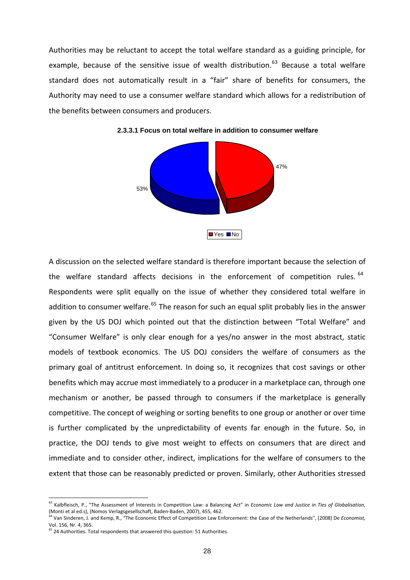Authorities may be reluctant to accept the total welfare standard as a guiding principle, for example, because of the sensitive issue of wealth distribution.<sup>[63](#page-27-0)</sup> Because a total welfare standard does not automatically result in a "fair" share of benefits for consumers, the Authority may need to use a consumer welfare standard which allows for a redistribution of the benefits between consumers and producers.





A discussion on the selected welfare standard is therefore important because the selection of the welfare standard affects decisions in the enforcement of competition rules. <sup>[64](#page-27-1)</sup> Respondents were split equally on the issue of whether they considered total welfare in addition to consumer welfare.<sup>[65](#page-27-2)</sup> The reason for such an equal split probably lies in the answer given by the US DOJ which pointed out that the distinction between "Total Welfare" and "Consumer Welfare" is only clear enough for a yes/no answer in the most abstract, static models of textbook economics. The US DOJ considers the welfare of consumers as the primary goal of antitrust enforcement. In doing so, it recognizes that cost savings or other benefits which may accrue most immediately to a producer in a marketplace can, through one mechanism or another, be passed through to consumers if the marketplace is generally competitive. The concept of weighing or sorting benefits to one group or another or over time is further complicated by the unpredictability of events far enough in the future. So, in practice, the DOJ tends to give most weight to effects on consumers that are direct and immediate and to consider other, indirect, implications for the welfare of consumers to the extent that those can be reasonably predicted or proven. Similarly, other Authorities stressed

<span id="page-27-0"></span><sup>63</sup> Kalbfleisch, P., "The Assessment of Interests in Competition Law: a Balancing Act" in *Economic Law and Justice in Ties of Globalisation*, (Monti et al ed.s), (Nomos Verlagsgesellschaft, Baden‐Baden, 2007), 455, 462.

<span id="page-27-1"></span><sup>64</sup> Van Sinderen, J. and Kemp, R., "The Economic Effect of Competition Law Enforcement: the Case of the Netherlands", (2008) De *Economist,* Vol. 156, Nr. 4, 365.

<span id="page-27-2"></span> $65$  24 Authorities. Total respondents that answered this question: 51 Authorities.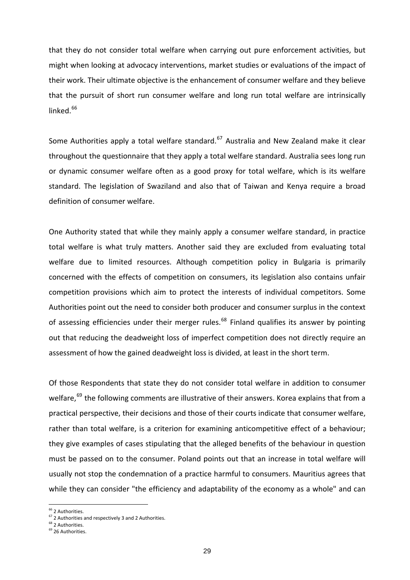that they do not consider total welfare when carrying out pure enforcement activities, but might when looking at advocacy interventions, market studies or evaluations of the impact of their work. Their ultimate objective is the enhancement of consumer welfare and they believe that the pursuit of short run consumer welfare and long run total welfare are intrinsically linked.<sup>[66](#page-28-0)</sup>

Some Authorities apply a total welfare standard.<sup>[67](#page-28-1)</sup> Australia and New Zealand make it clear throughout the questionnaire that they apply a total welfare standard. Australia sees long run or dynamic consumer welfare often as a good proxy for total welfare, which is its welfare standard. The legislation of Swaziland and also that of Taiwan and Kenya require a broad definition of consumer welfare.

One Authority stated that while they mainly apply a consumer welfare standard, in practice total welfare is what truly matters. Another said they are excluded from evaluating total welfare due to limited resources. Although competition policy in Bulgaria is primarily concerned with the effects of competition on consumers, its legislation also contains unfair competition provisions which aim to protect the interests of individual competitors. Some Authorities point out the need to consider both producer and consumer surplus in the context of assessing efficiencies under their merger rules.<sup>[68](#page-28-2)</sup> Finland qualifies its answer by pointing out that reducing the deadweight loss of imperfect competition does not directly require an assessment of how the gained deadweight loss is divided, at least in the short term.

Of those Respondents that state they do not consider total welfare in addition to consumer welfare,<sup>[69](#page-28-3)</sup> the following comments are illustrative of their answers. Korea explains that from a practical perspective, their decisions and those of their courts indicate that consumer welfare, rather than total welfare, is a criterion for examining anticompetitive effect of a behaviour; they give examples of cases stipulating that the alleged benefits of the behaviour in question must be passed on to the consumer. Poland points out that an increase in total welfare will usually not stop the condemnation of a practice harmful to consumers. Mauritius agrees that while they can consider "the efficiency and adaptability of the economy as a whole" and can

<sup>&</sup>lt;sup>66</sup> 2 Authorities.

<span id="page-28-1"></span><span id="page-28-0"></span> $\frac{67}{67}$  2 Authorities and respectively 3 and 2 Authorities.<br> $\frac{68}{68}$  2 Authorities.

<span id="page-28-3"></span><span id="page-28-2"></span><sup>&</sup>lt;sup>69</sup> 26 Authorities.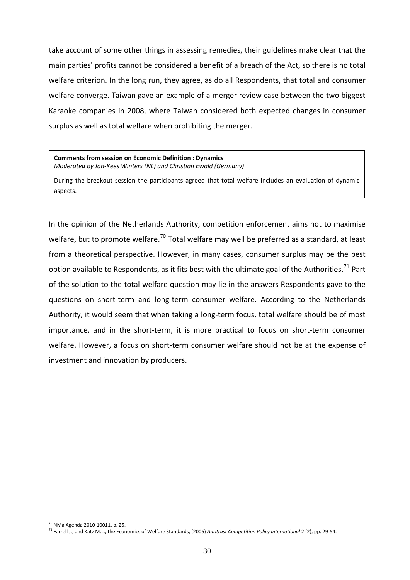take account of some other things in assessing remedies, their guidelines make clear that the main parties' profits cannot be considered a benefit of a breach of the Act, so there is no total welfare criterion. In the long run, they agree, as do all Respondents, that total and consumer welfare converge. Taiwan gave an example of a merger review case between the two biggest Karaoke companies in 2008, where Taiwan considered both expected changes in consumer surplus as well as total welfare when prohibiting the merger.

**Comments from session on Economic Definition : Dynamics**

*Moderated by Jan‐Kees Winters (NL) and Christian Ewald (Germany)*

During the breakout session the participants agreed that total welfare includes an evaluation of dynamic aspects.

In the opinion of the Netherlands Authority, competition enforcement aims not to maximise welfare, but to promote welfare.<sup>[70](#page-29-0)</sup> Total welfare may well be preferred as a standard, at least from a theoretical perspective. However, in many cases, consumer surplus may be the best option available to Respondents, as it fits best with the ultimate goal of the Authorities.<sup>[71](#page-29-1)</sup> Part of the solution to the total welfare question may lie in the answers Respondents gave to the questions on short‐term and long‐term consumer welfare. According to the Netherlands Authority, it would seem that when taking a long‐term focus, total welfare should be of most importance, and in the short-term, it is more practical to focus on short-term consumer welfare. However, a focus on short-term consumer welfare should not be at the expense of investment and innovation by producers.

<span id="page-29-0"></span><sup>70</sup> NMa Agenda 2010‐10011, p. 25.

<span id="page-29-1"></span><sup>71</sup> Farrell J., and Katz M.L., the Economics of Welfare Standards, (2006) *Antitrust Competition Policy International* 2 (2), pp. 29‐54.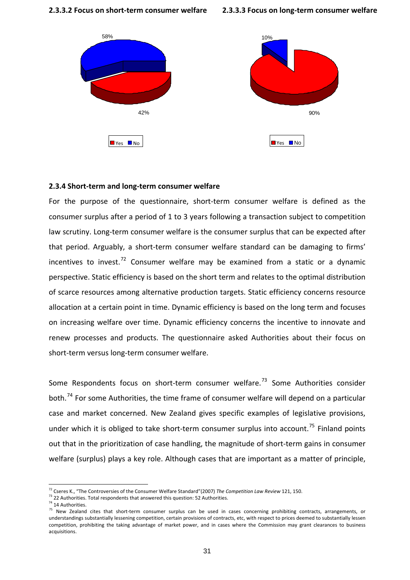**2.3.3.2 Focus on short‐term consumer welfare**



#### **2.3.4 Short‐term and long‐term consumer welfare**

For the purpose of the questionnaire, short-term consumer welfare is defined as the consumer surplus after a period of 1 to 3 years following a transaction subject to competition law scrutiny. Long‐term consumer welfare is the consumer surplus that can be expected after that period. Arguably, a short‐term consumer welfare standard can be damaging to firms' incentives to invest.<sup>[72](#page-30-0)</sup> Consumer welfare may be examined from a static or a dynamic perspective. Static efficiency is based on the short term and relates to the optimal distribution of scarce resources among alternative production targets. Static efficiency concerns resource allocation at a certain point in time. Dynamic efficiency is based on the long term and focuses on increasing welfare over time. Dynamic efficiency concerns the incentive to innovate and renew processes and products. The questionnaire asked Authorities about their focus on short‐term versus long‐term consumer welfare.

Some Respondents focus on short-term consumer welfare.<sup>[73](#page-30-1)</sup> Some Authorities consider both.<sup>[74](#page-30-2)</sup> For some Authorities, the time frame of consumer welfare will depend on a particular case and market concerned. New Zealand gives specific examples of legislative provisions, under which it is obliged to take short-term consumer surplus into account.<sup>[75](#page-30-3)</sup> Finland points out that in the prioritization of case handling, the magnitude of short-term gains in consumer welfare (surplus) plays a key role. Although cases that are important as a matter of principle,

<span id="page-30-0"></span><sup>&</sup>lt;sup>72</sup> Cseres K., "The Controversies of the Consumer Welfare Standard"(2007) *The Competition Law Review* 121, 150.<br><sup>73</sup> 22 Authorities. Total respondents that answered this question: 52 Authorities.

<span id="page-30-2"></span><span id="page-30-1"></span><sup>&</sup>lt;sup>74</sup> 14 Authorities.

<span id="page-30-3"></span><sup>&</sup>lt;sup>75</sup> New Zealand cites that short-term consumer surplus can be used in cases concerning prohibiting contracts, arrangements, or understandings substantially lessening competition, certain provisions of contracts, etc, with respect to prices deemed to substantially lessen competition, prohibiting the taking advantage of market power, and in cases where the Commission may grant clearances to business acquisitions.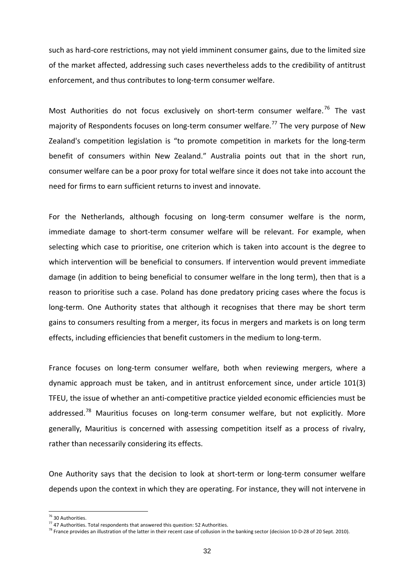such as hard-core restrictions, may not yield imminent consumer gains, due to the limited size of the market affected, addressing such cases nevertheless adds to the credibility of antitrust enforcement, and thus contributes to long‐term consumer welfare.

Most Authorities do not focus exclusively on short-term consumer welfare.<sup>[76](#page-31-0)</sup> The vast majority of Respondents focuses on long-term consumer welfare.<sup>[77](#page-31-1)</sup> The very purpose of New Zealand's competition legislation is "to promote competition in markets for the long‐term benefit of consumers within New Zealand." Australia points out that in the short run, consumer welfare can be a poor proxy for total welfare since it does not take into account the need for firms to earn sufficient returns to invest and innovate.

For the Netherlands, although focusing on long-term consumer welfare is the norm, immediate damage to short-term consumer welfare will be relevant. For example, when selecting which case to prioritise, one criterion which is taken into account is the degree to which intervention will be beneficial to consumers. If intervention would prevent immediate damage (in addition to being beneficial to consumer welfare in the long term), then that is a reason to prioritise such a case. Poland has done predatory pricing cases where the focus is long-term. One Authority states that although it recognises that there may be short term gains to consumers resulting from a merger, its focus in mergers and markets is on long term effects, including efficiencies that benefit customers in the medium to long‐term.

France focuses on long-term consumer welfare, both when reviewing mergers, where a dynamic approach must be taken, and in antitrust enforcement since, under article 101(3) TFEU, the issue of whether an anti‐competitive practice yielded economic efficiencies must be addressed.<sup>[78](#page-31-2)</sup> Mauritius focuses on long-term consumer welfare, but not explicitly. More generally, Mauritius is concerned with assessing competition itself as a process of rivalry, rather than necessarily considering its effects.

One Authority says that the decision to look at short-term or long-term consumer welfare depends upon the context in which they are operating. For instance, they will not intervene in

<span id="page-31-0"></span><sup>&</sup>lt;sup>76</sup> 30 Authorities.<br><sup>77</sup> 47 Authorities. Total respondents that answered this question: 52 Authorities.

<span id="page-31-2"></span><span id="page-31-1"></span><sup>&</sup>lt;sup>78</sup> France provides an illustration of the latter in their recent case of collusion in the banking sector (decision 10-D-28 of 20 Sept. 2010).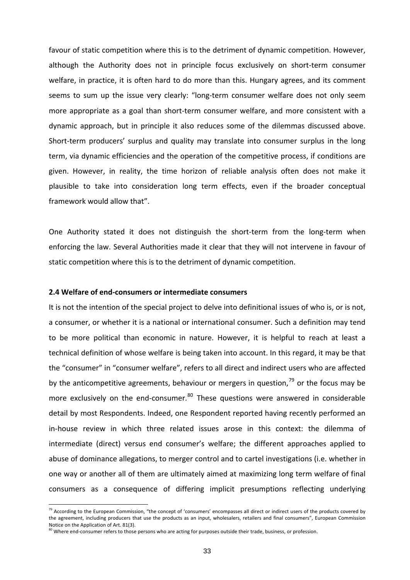favour of static competition where this is to the detriment of dynamic competition. However, although the Authority does not in principle focus exclusively on short‐term consumer welfare, in practice, it is often hard to do more than this. Hungary agrees, and its comment seems to sum up the issue very clearly: "long-term consumer welfare does not only seem more appropriate as a goal than short-term consumer welfare, and more consistent with a dynamic approach, but in principle it also reduces some of the dilemmas discussed above. Short-term producers' surplus and quality may translate into consumer surplus in the long term, via dynamic efficiencies and the operation of the competitive process, if conditions are given. However, in reality, the time horizon of reliable analysis often does not make it plausible to take into consideration long term effects, even if the broader conceptual framework would allow that".

One Authority stated it does not distinguish the short-term from the long-term when enforcing the law. Several Authorities made it clear that they will not intervene in favour of static competition where this is to the detriment of dynamic competition.

### **2.4 Welfare of end‐consumers or intermediate consumers**

It is not the intention of the special project to delve into definitional issues of who is, or is not, a consumer, or whether it is a national or international consumer. Such a definition may tend to be more political than economic in nature. However, it is helpful to reach at least a technical definition of whose welfare is being taken into account. In this regard, it may be that the "consumer" in "consumer welfare", refers to all direct and indirect users who are affected by the anticompetitive agreements, behaviour or mergers in question,  $79$  or the focus may be more exclusively on the end-consumer. $80$  These questions were answered in considerable detail by most Respondents. Indeed, one Respondent reported having recently performed an in‐house review in which three related issues arose in this context: the dilemma of intermediate (direct) versus end consumer's welfare; the different approaches applied to abuse of dominance allegations, to merger control and to cartel investigations (i.e. whether in one way or another all of them are ultimately aimed at maximizing long term welfare of final consumers as a consequence of differing implicit presumptions reflecting underlying

<span id="page-32-0"></span><sup>&</sup>lt;sup>79</sup> According to the European Commission, "the concept of 'consumers' encompasses all direct or indirect users of the products covered by the agreement, including producers that use the products as an input, wholesalers, retailers and final consumers", European Commission Notice on the Application of Art. 81(3).

<span id="page-32-1"></span><sup>80</sup> Where end-consumer refers to those persons who are acting for purposes outside their trade, business, or profession.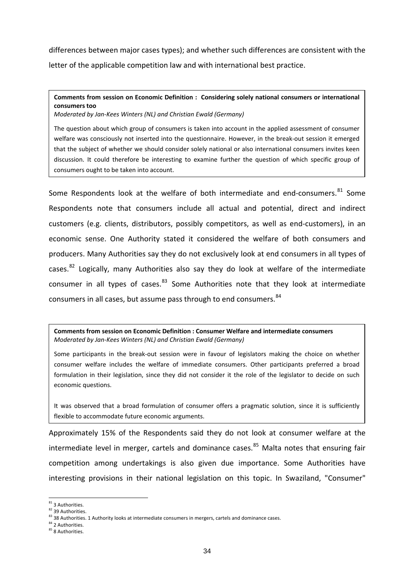differences between major cases types); and whether such differences are consistent with the letter of the applicable competition law and with international best practice.

# **Comments from session on Economic Definition : Considering solely national consumers or international consumers too**

*Moderated by Jan‐Kees Winters (NL) and Christian Ewald (Germany)*

The question about which group of consumers is taken into account in the applied assessment of consumer welfare was consciously not inserted into the questionnaire. However, in the break-out session it emerged that the subject of whether we should consider solely national or also international consumers invites keen discussion. It could therefore be interesting to examine further the question of which specific group of consumers ought to be taken into account.

Some Respondents look at the welfare of both intermediate and end-consumers.<sup>[81](#page-33-0)</sup> Some Respondents note that consumers include all actual and potential, direct and indirect customers (e.g. clients, distributors, possibly competitors, as well as end‐customers), in an economic sense. One Authority stated it considered the welfare of both consumers and producers. Many Authorities say they do not exclusively look at end consumers in all types of cases.<sup>[82](#page-33-1)</sup> Logically, many Authorities also say they do look at welfare of the intermediate consumer in all types of cases.<sup>[83](#page-33-2)</sup> Some Authorities note that they look at intermediate consumers in all cases, but assume pass through to end consumers.<sup>[84](#page-33-3)</sup>

**Comments from session on Economic Definition : Consumer Welfare and intermediate consumers** *Moderated by Jan‐Kees Winters (NL) and Christian Ewald (Germany)*

Some participants in the break-out session were in favour of legislators making the choice on whether consumer welfare includes the welfare of immediate consumers. Other participants preferred a broad formulation in their legislation, since they did not consider it the role of the legislator to decide on such economic questions.

It was observed that a broad formulation of consumer offers a pragmatic solution, since it is sufficiently flexible to accommodate future economic arguments.

Approximately 15% of the Respondents said they do not look at consumer welfare at the intermediate level in merger, cartels and dominance cases.<sup>[85](#page-33-4)</sup> Malta notes that ensuring fair competition among undertakings is also given due importance. Some Authorities have interesting provisions in their national legislation on this topic. In Swaziland, "Consumer"

<span id="page-33-0"></span><sup>81 3</sup> Authorities.

<span id="page-33-1"></span><sup>82 39</sup> Authorities.

<span id="page-33-2"></span> $83$  38 Authorities. 1 Authority looks at intermediate consumers in mergers, cartels and dominance cases.  $84$  2 Authorities.

<span id="page-33-4"></span><span id="page-33-3"></span><sup>85 8</sup> Authorities.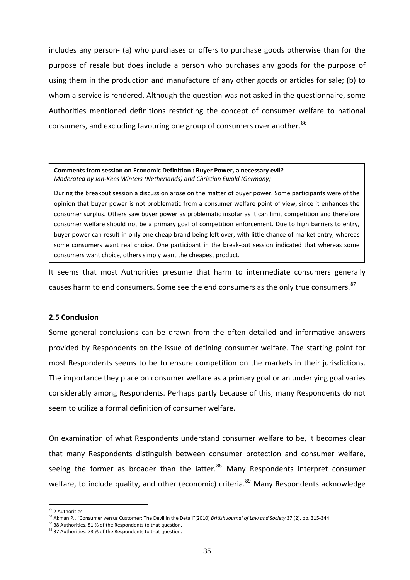includes any person‐ (a) who purchases or offers to purchase goods otherwise than for the purpose of resale but does include a person who purchases any goods for the purpose of using them in the production and manufacture of any other goods or articles for sale; (b) to whom a service is rendered. Although the question was not asked in the questionnaire, some Authorities mentioned definitions restricting the concept of consumer welfare to national consumers, and excluding favouring one group of consumers over another.<sup>[86](#page-34-0)</sup>

#### **Comments from session on Economic Definition : Buyer Power, a necessary evil?** *Moderated by Jan‐Kees Winters (Netherlands) and Christian Ewald (Germany)*

During the breakout session a discussion arose on the matter of buyer power. Some participants were of the opinion that buyer power is not problematic from a consumer welfare point of view, since it enhances the consumer surplus. Others saw buyer power as problematic insofar as it can limit competition and therefore consumer welfare should not be a primary goal of competition enforcement. Due to high barriers to entry, buyer power can result in only one cheap brand being left over, with little chance of market entry, whereas some consumers want real choice. One participant in the break-out session indicated that whereas some consumers want choice, others simply want the cheapest product.

It seems that most Authorities presume that harm to intermediate consumers generally causes harm to end consumers. Some see the end consumers as the only true consumers.<sup>[87](#page-34-1)</sup>

# **2.5 Conclusion**

Some general conclusions can be drawn from the often detailed and informative answers provided by Respondents on the issue of defining consumer welfare. The starting point for most Respondents seems to be to ensure competition on the markets in their jurisdictions. The importance they place on consumer welfare as a primary goal or an underlying goal varies considerably among Respondents. Perhaps partly because of this, many Respondents do not seem to utilize a formal definition of consumer welfare.

On examination of what Respondents understand consumer welfare to be, it becomes clear that many Respondents distinguish between consumer protection and consumer welfare, seeing the former as broader than the latter. $88$  Many Respondents interpret consumer welfare, to include quality, and other (economic) criteria.<sup>[89](#page-34-3)</sup> Many Respondents acknowledge

<sup>&</sup>lt;sup>86</sup> 2 Authorities.

<span id="page-34-1"></span><span id="page-34-0"></span><sup>&</sup>lt;sup>87</sup> Akman P., "Consumer versus Customer: The Devil in the Detail" (2010) *British Journal of Law and Society* 37 (2), pp. 315-344.<br><sup>88</sup> 38 Authorities. 81 % of the Respondents to that question.

<span id="page-34-3"></span><span id="page-34-2"></span><sup>89 37</sup> Authorities. 73 % of the Respondents to that question.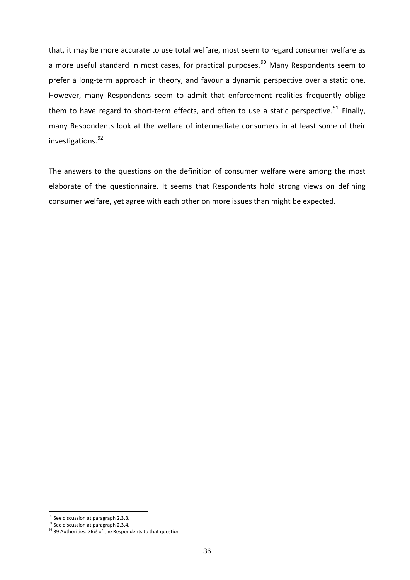that, it may be more accurate to use total welfare, most seem to regard consumer welfare as a more useful standard in most cases, for practical purposes.<sup>[90](#page-35-0)</sup> Many Respondents seem to prefer a long‐term approach in theory, and favour a dynamic perspective over a static one. However, many Respondents seem to admit that enforcement realities frequently oblige them to have regard to short-term effects, and often to use a static perspective.<sup>[91](#page-35-1)</sup> Finally, many Respondents look at the welfare of intermediate consumers in at least some of their investigations.<sup>[92](#page-35-2)</sup>

The answers to the questions on the definition of consumer welfare were among the most elaborate of the questionnaire. It seems that Respondents hold strong views on defining consumer welfare, yet agree with each other on more issues than might be expected.

<span id="page-35-0"></span> $\frac{90}{91}$  See discussion at paragraph 2.3.3.<br><sup>91</sup> See discussion at paragraph 2.3.4.

<span id="page-35-2"></span><span id="page-35-1"></span><sup>92 39</sup> Authorities. 76% of the Respondents to that question.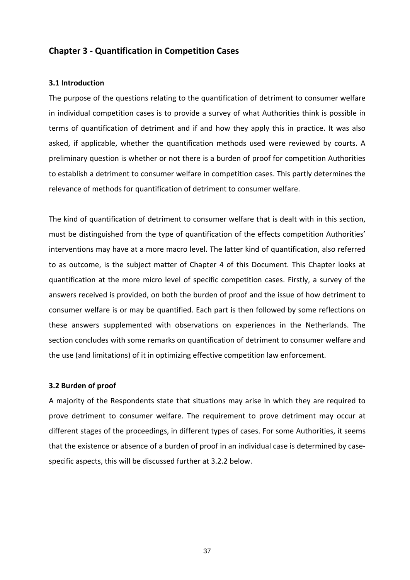# **Chapter 3 ‐ Quantification in Competition Cases**

# **3.1 Introduction**

The purpose of the questions relating to the quantification of detriment to consumer welfare in individual competition cases is to provide a survey of what Authorities think is possible in terms of quantification of detriment and if and how they apply this in practice. It was also asked, if applicable, whether the quantification methods used were reviewed by courts. A preliminary question is whether or not there is a burden of proof for competition Authorities to establish a detriment to consumer welfare in competition cases. This partly determines the relevance of methods for quantification of detriment to consumer welfare.

The kind of quantification of detriment to consumer welfare that is dealt with in this section, must be distinguished from the type of quantification of the effects competition Authorities' interventions may have at a more macro level. The latter kind of quantification, also referred to as outcome, is the subject matter of Chapter 4 of this Document. This Chapter looks at quantification at the more micro level of specific competition cases. Firstly, a survey of the answers received is provided, on both the burden of proof and the issue of how detriment to consumer welfare is or may be quantified. Each part is then followed by some reflections on these answers supplemented with observations on experiences in the Netherlands. The section concludes with some remarks on quantification of detriment to consumer welfare and the use (and limitations) of it in optimizing effective competition law enforcement.

#### **3.2 Burden of proof**

A majority of the Respondents state that situations may arise in which they are required to prove detriment to consumer welfare. The requirement to prove detriment may occur at different stages of the proceedings, in different types of cases. For some Authorities, it seems that the existence or absence of a burden of proof in an individual case is determined by case‐ specific aspects, this will be discussed further at 3.2.2 below.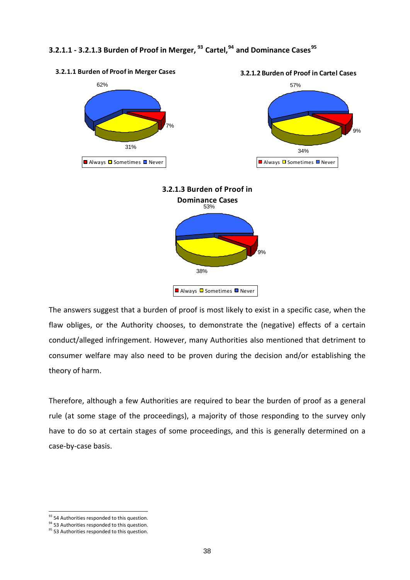# **3.2.1.1 ‐ 3.2.1.3 Burden of Proof in Merger, [93](#page-37-0) Cartel,[94](#page-37-1) and Dominance Cases[95](#page-37-2)**



■ Always □ Sometimes □ Never

The answers suggest that a burden of proof is most likely to exist in a specific case, when the flaw obliges, or the Authority chooses, to demonstrate the (negative) effects of a certain conduct/alleged infringement. However, many Authorities also mentioned that detriment to consumer welfare may also need to be proven during the decision and/or establishing the theory of harm.

Therefore, although a few Authorities are required to bear the burden of proof as a general rule (at some stage of the proceedings), a majority of those responding to the survey only have to do so at certain stages of some proceedings, and this is generally determined on a case‐by‐case basis.

<span id="page-37-0"></span><sup>&</sup>lt;sup>93</sup> 54 Authorities responded to this question.<br><sup>94</sup> 53 Authorities responded to this question.

<span id="page-37-2"></span><span id="page-37-1"></span><sup>&</sup>lt;sup>95</sup> 53 Authorities responded to this question.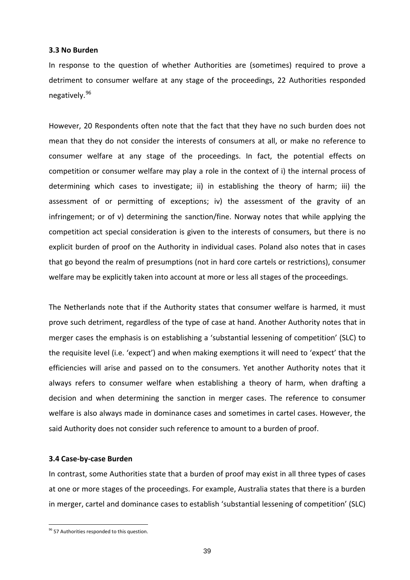#### **3.3 No Burden**

In response to the question of whether Authorities are (sometimes) required to prove a detriment to consumer welfare at any stage of the proceedings, 22 Authorities responded negatively.[96](#page-38-0)

However, 20 Respondents often note that the fact that they have no such burden does not mean that they do not consider the interests of consumers at all, or make no reference to consumer welfare at any stage of the proceedings. In fact, the potential effects on competition or consumer welfare may play a role in the context of i) the internal process of determining which cases to investigate; ii) in establishing the theory of harm; iii) the assessment of or permitting of exceptions; iv) the assessment of the gravity of an infringement; or of v) determining the sanction/fine. Norway notes that while applying the competition act special consideration is given to the interests of consumers, but there is no explicit burden of proof on the Authority in individual cases. Poland also notes that in cases that go beyond the realm of presumptions (not in hard core cartels or restrictions), consumer welfare may be explicitly taken into account at more or less all stages of the proceedings.

The Netherlands note that if the Authority states that consumer welfare is harmed, it must prove such detriment, regardless of the type of case at hand. Another Authority notes that in merger cases the emphasis is on establishing a 'substantial lessening of competition' (SLC) to the requisite level (i.e. 'expect') and when making exemptions it will need to 'expect' that the efficiencies will arise and passed on to the consumers. Yet another Authority notes that it always refers to consumer welfare when establishing a theory of harm, when drafting a decision and when determining the sanction in merger cases. The reference to consumer welfare is also always made in dominance cases and sometimes in cartel cases. However, the said Authority does not consider such reference to amount to a burden of proof.

#### **3.4 Case‐by‐case Burden**

In contrast, some Authorities state that a burden of proof may exist in all three types of cases at one or more stages of the proceedings. For example, Australia states that there is a burden in merger, cartel and dominance cases to establish 'substantial lessening of competition' (SLC)

<span id="page-38-0"></span><sup>96 57</sup> Authorities responded to this question.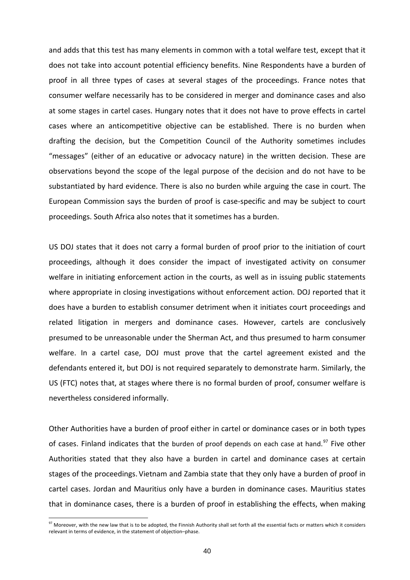and adds that this test has many elements in common with a total welfare test, except that it does not take into account potential efficiency benefits. Nine Respondents have a burden of proof in all three types of cases at several stages of the proceedings. France notes that consumer welfare necessarily has to be considered in merger and dominance cases and also at some stages in cartel cases. Hungary notes that it does not have to prove effects in cartel cases where an anticompetitive objective can be established. There is no burden when drafting the decision, but the Competition Council of the Authority sometimes includes "messages" (either of an educative or advocacy nature) in the written decision. These are observations beyond the scope of the legal purpose of the decision and do not have to be substantiated by hard evidence. There is also no burden while arguing the case in court. The European Commission says the burden of proof is case‐specific and may be subject to court proceedings. South Africa also notes that it sometimes has a burden.

US DOJ states that it does not carry a formal burden of proof prior to the initiation of court proceedings, although it does consider the impact of investigated activity on consumer welfare in initiating enforcement action in the courts, as well as in issuing public statements where appropriate in closing investigations without enforcement action. DOJ reported that it does have a burden to establish consumer detriment when it initiates court proceedings and related litigation in mergers and dominance cases. However, cartels are conclusively presumed to be unreasonable under the Sherman Act, and thus presumed to harm consumer welfare. In a cartel case, DOJ must prove that the cartel agreement existed and the defendants entered it, but DOJ is not required separately to demonstrate harm. Similarly, the US (FTC) notes that, at stages where there is no formal burden of proof, consumer welfare is nevertheless considered informally.

Other Authorities have a burden of proof either in cartel or dominance cases or in both types of cases. Finland indicates that the burden of proof depends on each case at hand.<sup>[97](#page-39-0)</sup> Five other Authorities stated that they also have a burden in cartel and dominance cases at certain stages of the proceedings. Vietnam and Zambia state that they only have a burden of proof in cartel cases. Jordan and Mauritius only have a burden in dominance cases. Mauritius states that in dominance cases, there is a burden of proof in establishing the effects, when making

<span id="page-39-0"></span> $97$  Moreover, with the new law that is to be adopted, the Finnish Authority shall set forth all the essential facts or matters which it considers relevant in terms of evidence, in the statement of objection–phase.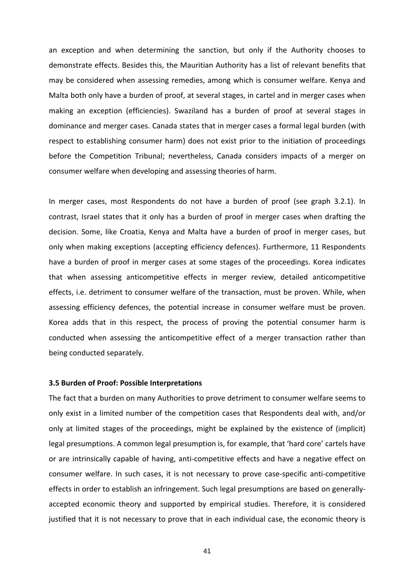an exception and when determining the sanction, but only if the Authority chooses to demonstrate effects. Besides this, the Mauritian Authority has a list of relevant benefits that may be considered when assessing remedies, among which is consumer welfare. Kenya and Malta both only have a burden of proof, at several stages, in cartel and in merger cases when making an exception (efficiencies). Swaziland has a burden of proof at several stages in dominance and merger cases. Canada states that in merger cases a formal legal burden (with respect to establishing consumer harm) does not exist prior to the initiation of proceedings before the Competition Tribunal; nevertheless, Canada considers impacts of a merger on consumer welfare when developing and assessing theories of harm.

In merger cases, most Respondents do not have a burden of proof (see graph 3.2.1). In contrast, Israel states that it only has a burden of proof in merger cases when drafting the decision. Some, like Croatia, Kenya and Malta have a burden of proof in merger cases, but only when making exceptions (accepting efficiency defences). Furthermore, 11 Respondents have a burden of proof in merger cases at some stages of the proceedings. Korea indicates that when assessing anticompetitive effects in merger review, detailed anticompetitive effects, i.e. detriment to consumer welfare of the transaction, must be proven. While, when assessing efficiency defences, the potential increase in consumer welfare must be proven. Korea adds that in this respect, the process of proving the potential consumer harm is conducted when assessing the anticompetitive effect of a merger transaction rather than being conducted separately.

#### **3.5 Burden of Proof: Possible Interpretations**

The fact that a burden on many Authorities to prove detriment to consumer welfare seems to only exist in a limited number of the competition cases that Respondents deal with, and/or only at limited stages of the proceedings, might be explained by the existence of (implicit) legal presumptions. A common legal presumption is, for example, that 'hard core' cartels have or are intrinsically capable of having, anti‐competitive effects and have a negative effect on consumer welfare. In such cases, it is not necessary to prove case‐specific anti‐competitive effects in order to establish an infringement. Such legal presumptions are based on generally‐ accepted economic theory and supported by empirical studies. Therefore, it is considered justified that it is not necessary to prove that in each individual case, the economic theory is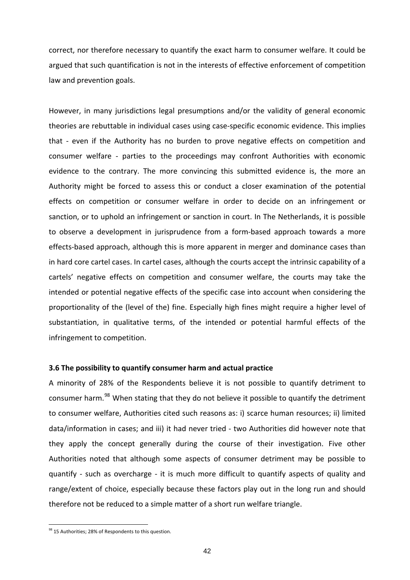correct, nor therefore necessary to quantify the exact harm to consumer welfare. It could be argued that such quantification is not in the interests of effective enforcement of competition law and prevention goals.

However, in many jurisdictions legal presumptions and/or the validity of general economic theories are rebuttable in individual cases using case‐specific economic evidence. This implies that - even if the Authority has no burden to prove negative effects on competition and consumer welfare - parties to the proceedings may confront Authorities with economic evidence to the contrary. The more convincing this submitted evidence is, the more an Authority might be forced to assess this or conduct a closer examination of the potential effects on competition or consumer welfare in order to decide on an infringement or sanction, or to uphold an infringement or sanction in court. In The Netherlands, it is possible to observe a development in jurisprudence from a form‐based approach towards a more effects‐based approach, although this is more apparent in merger and dominance cases than in hard core cartel cases. In cartel cases, although the courts accept the intrinsic capability of a cartels' negative effects on competition and consumer welfare, the courts may take the intended or potential negative effects of the specific case into account when considering the proportionality of the (level of the) fine. Especially high fines might require a higher level of substantiation, in qualitative terms, of the intended or potential harmful effects of the infringement to competition.

#### **3.6 The possibility to quantify consumer harm and actual practice**

A minority of 28% of the Respondents believe it is not possible to quantify detriment to consumer harm.<sup>[98](#page-41-0)</sup> When stating that they do not believe it possible to quantify the detriment to consumer welfare, Authorities cited such reasons as: i) scarce human resources; ii) limited data/information in cases; and iii) it had never tried ‐ two Authorities did however note that they apply the concept generally during the course of their investigation. Five other Authorities noted that although some aspects of consumer detriment may be possible to quantify - such as overcharge - it is much more difficult to quantify aspects of quality and range/extent of choice, especially because these factors play out in the long run and should therefore not be reduced to a simple matter of a short run welfare triangle.

<span id="page-41-0"></span><sup>98 15</sup> Authorities; 28% of Respondents to this question.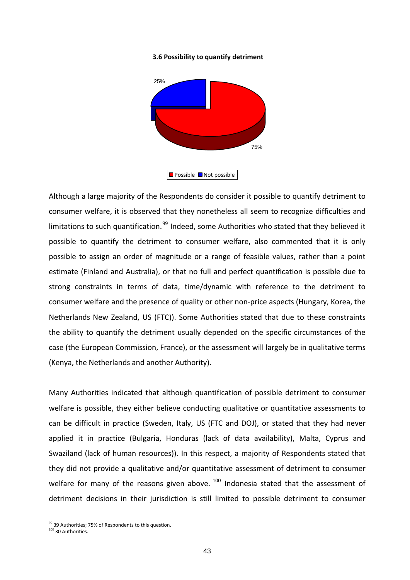#### **3.6 Possibility to quantify detriment**



Although a large majority of the Respondents do consider it possible to quantify detriment to consumer welfare, it is observed that they nonetheless all seem to recognize difficulties and limitations to such quantification.<sup>[99](#page-42-0)</sup> Indeed, some Authorities who stated that they believed it possible to quantify the detriment to consumer welfare, also commented that it is only possible to assign an order of magnitude or a range of feasible values, rather than a point estimate (Finland and Australia), or that no full and perfect quantification is possible due to strong constraints in terms of data, time/dynamic with reference to the detriment to consumer welfare and the presence of quality or other non‐price aspects (Hungary, Korea, the Netherlands New Zealand, US (FTC)). Some Authorities stated that due to these constraints the ability to quantify the detriment usually depended on the specific circumstances of the case (the European Commission, France), or the assessment will largely be in qualitative terms (Kenya, the Netherlands and another Authority).

Many Authorities indicated that although quantification of possible detriment to consumer welfare is possible, they either believe conducting qualitative or quantitative assessments to can be difficult in practice (Sweden, Italy, US (FTC and DOJ), or stated that they had never applied it in practice (Bulgaria, Honduras (lack of data availability), Malta, Cyprus and Swaziland (lack of human resources)). In this respect, a majority of Respondents stated that they did not provide a qualitative and/or quantitative assessment of detriment to consumer welfare for many of the reasons given above. [100](#page-42-1) Indonesia stated that the assessment of detriment decisions in their jurisdiction is still limited to possible detriment to consumer

<span id="page-42-0"></span><sup>99 39</sup> Authorities; 75% of Respondents to this question.

<span id="page-42-1"></span><sup>&</sup>lt;sup>100</sup> 30 Authorities.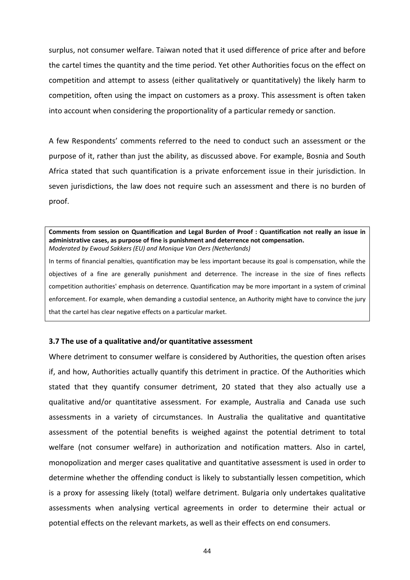surplus, not consumer welfare. Taiwan noted that it used difference of price after and before the cartel times the quantity and the time period. Yet other Authorities focus on the effect on competition and attempt to assess (either qualitatively or quantitatively) the likely harm to competition, often using the impact on customers as a proxy. This assessment is often taken into account when considering the proportionality of a particular remedy or sanction.

A few Respondents' comments referred to the need to conduct such an assessment or the purpose of it, rather than just the ability, as discussed above. For example, Bosnia and South Africa stated that such quantification is a private enforcement issue in their jurisdiction. In seven jurisdictions, the law does not require such an assessment and there is no burden of proof.

**Comments from session on Quantification and Legal Burden of Proof : Quantification not really an issue in administrative cases, as purpose of fine is punishment and deterrence not compensation.** *Moderated by Ewoud Sakkers (EU) and Monique Van Oers (Netherlands)*

In terms of financial penalties, quantification may be less important because its goal is compensation, while the objectives of a fine are generally punishment and deterrence. The increase in the size of fines reflects competition authorities' emphasis on deterrence. Quantification may be more important in a system of criminal enforcement. For example, when demanding a custodial sentence, an Authority might have to convince the jury that the cartel has clear negative effects on a particular market.

#### **3.7 The use of a qualitative and/or quantitative assessment**

Where detriment to consumer welfare is considered by Authorities, the question often arises if, and how, Authorities actually quantify this detriment in practice. Of the Authorities which stated that they quantify consumer detriment, 20 stated that they also actually use a qualitative and/or quantitative assessment. For example, Australia and Canada use such assessments in a variety of circumstances. In Australia the qualitative and quantitative assessment of the potential benefits is weighed against the potential detriment to total welfare (not consumer welfare) in authorization and notification matters. Also in cartel, monopolization and merger cases qualitative and quantitative assessment is used in order to determine whether the offending conduct is likely to substantially lessen competition, which is a proxy for assessing likely (total) welfare detriment. Bulgaria only undertakes qualitative assessments when analysing vertical agreements in order to determine their actual or potential effects on the relevant markets, as well as their effects on end consumers.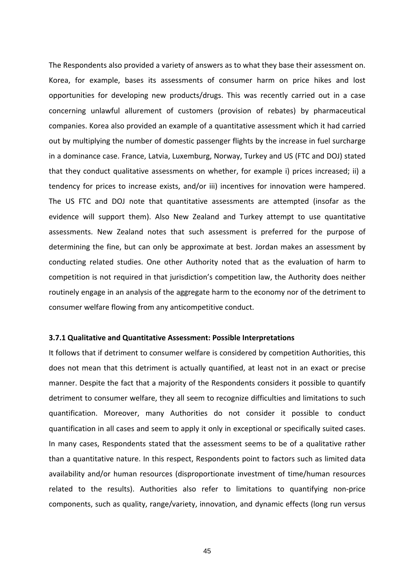The Respondents also provided a variety of answers as to what they base their assessment on. Korea, for example, bases its assessments of consumer harm on price hikes and lost opportunities for developing new products/drugs. This was recently carried out in a case concerning unlawful allurement of customers (provision of rebates) by pharmaceutical companies. Korea also provided an example of a quantitative assessment which it had carried out by multiplying the number of domestic passenger flights by the increase in fuel surcharge in a dominance case. France, Latvia, Luxemburg, Norway, Turkey and US (FTC and DOJ) stated that they conduct qualitative assessments on whether, for example i) prices increased; ii) a tendency for prices to increase exists, and/or iii) incentives for innovation were hampered. The US FTC and DOJ note that quantitative assessments are attempted (insofar as the evidence will support them). Also New Zealand and Turkey attempt to use quantitative assessments. New Zealand notes that such assessment is preferred for the purpose of determining the fine, but can only be approximate at best. Jordan makes an assessment by conducting related studies. One other Authority noted that as the evaluation of harm to competition is not required in that jurisdiction's competition law, the Authority does neither routinely engage in an analysis of the aggregate harm to the economy nor of the detriment to consumer welfare flowing from any anticompetitive conduct.

#### **3.7.1 Qualitative and Quantitative Assessment: Possible Interpretations**

It follows that if detriment to consumer welfare is considered by competition Authorities, this does not mean that this detriment is actually quantified, at least not in an exact or precise manner. Despite the fact that a majority of the Respondents considers it possible to quantify detriment to consumer welfare, they all seem to recognize difficulties and limitations to such quantification. Moreover, many Authorities do not consider it possible to conduct quantification in all cases and seem to apply it only in exceptional or specifically suited cases. In many cases, Respondents stated that the assessment seems to be of a qualitative rather than a quantitative nature. In this respect, Respondents point to factors such as limited data availability and/or human resources (disproportionate investment of time/human resources related to the results). Authorities also refer to limitations to quantifying non‐price components, such as quality, range/variety, innovation, and dynamic effects (long run versus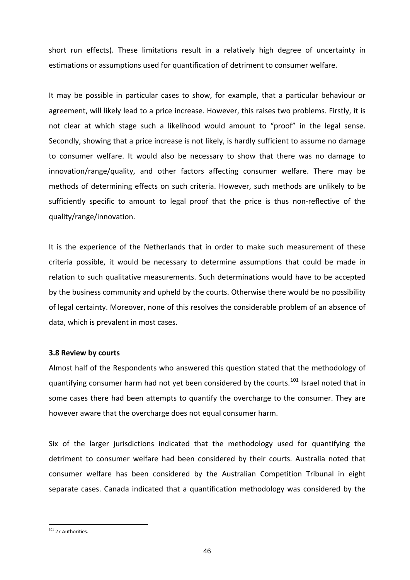short run effects). These limitations result in a relatively high degree of uncertainty in estimations or assumptions used for quantification of detriment to consumer welfare.

It may be possible in particular cases to show, for example, that a particular behaviour or agreement, will likely lead to a price increase. However, this raises two problems. Firstly, it is not clear at which stage such a likelihood would amount to "proof" in the legal sense. Secondly, showing that a price increase is not likely, is hardly sufficient to assume no damage to consumer welfare. It would also be necessary to show that there was no damage to innovation/range/quality, and other factors affecting consumer welfare. There may be methods of determining effects on such criteria. However, such methods are unlikely to be sufficiently specific to amount to legal proof that the price is thus non-reflective of the quality/range/innovation.

It is the experience of the Netherlands that in order to make such measurement of these criteria possible, it would be necessary to determine assumptions that could be made in relation to such qualitative measurements. Such determinations would have to be accepted by the business community and upheld by the courts. Otherwise there would be no possibility of legal certainty. Moreover, none of this resolves the considerable problem of an absence of data, which is prevalent in most cases.

#### **3.8 Review by courts**

Almost half of the Respondents who answered this question stated that the methodology of quantifying consumer harm had not yet been considered by the courts.<sup>[101](#page-45-0)</sup> Israel noted that in some cases there had been attempts to quantify the overcharge to the consumer. They are however aware that the overcharge does not equal consumer harm.

Six of the larger jurisdictions indicated that the methodology used for quantifying the detriment to consumer welfare had been considered by their courts. Australia noted that consumer welfare has been considered by the Australian Competition Tribunal in eight separate cases. Canada indicated that a quantification methodology was considered by the

<span id="page-45-0"></span><sup>&</sup>lt;sup>101</sup> 27 Authorities.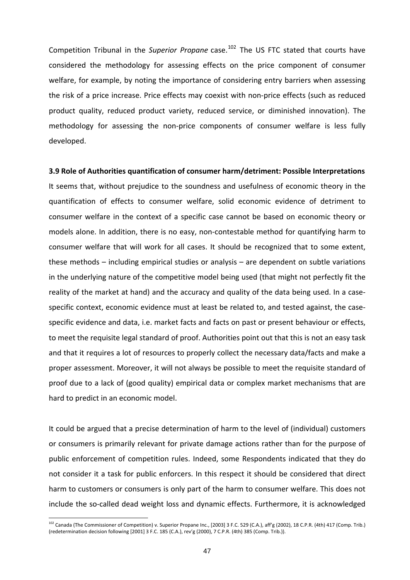Competition Tribunal in the *Superior Propane* case.<sup>[102](#page-46-0)</sup> The US FTC stated that courts have considered the methodology for assessing effects on the price component of consumer welfare, for example, by noting the importance of considering entry barriers when assessing the risk of a price increase. Price effects may coexist with non-price effects (such as reduced product quality, reduced product variety, reduced service, or diminished innovation). The methodology for assessing the non-price components of consumer welfare is less fully developed.

#### **3.9 Role of Authorities quantification of consumer harm/detriment: Possible Interpretations**

It seems that, without prejudice to the soundness and usefulness of economic theory in the quantification of effects to consumer welfare, solid economic evidence of detriment to consumer welfare in the context of a specific case cannot be based on economic theory or models alone. In addition, there is no easy, non‐contestable method for quantifying harm to consumer welfare that will work for all cases. It should be recognized that to some extent, these methods – including empirical studies or analysis – are dependent on subtle variations in the underlying nature of the competitive model being used (that might not perfectly fit the reality of the market at hand) and the accuracy and quality of the data being used. In a case‐ specific context, economic evidence must at least be related to, and tested against, the casespecific evidence and data, i.e. market facts and facts on past or present behaviour or effects, to meet the requisite legal standard of proof. Authorities point out that this is not an easy task and that it requires a lot of resources to properly collect the necessary data/facts and make a proper assessment. Moreover, it will not always be possible to meet the requisite standard of proof due to a lack of (good quality) empirical data or complex market mechanisms that are hard to predict in an economic model.

It could be argued that a precise determination of harm to the level of (individual) customers or consumers is primarily relevant for private damage actions rather than for the purpose of public enforcement of competition rules. Indeed, some Respondents indicated that they do not consider it a task for public enforcers. In this respect it should be considered that direct harm to customers or consumers is only part of the harm to consumer welfare. This does not include the so-called dead weight loss and dynamic effects. Furthermore, it is acknowledged

<span id="page-46-0"></span><sup>&</sup>lt;sup>102</sup> Canada (The Commissioner of Competition) v. Superior Propane Inc., [2003] 3 F.C. 529 (C.A.), aff'g (2002), 18 C.P.R. (4th) 417 (Comp. Trib.) (redetermination decision following [2001] 3 F.C. 185 (C.A.), rev'g (2000), 7 C.P.R. (4th) 385 (Comp. Trib.)).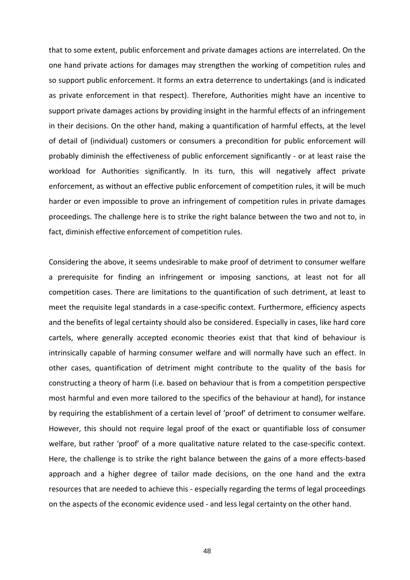that to some extent, public enforcement and private damages actions are interrelated. On the one hand private actions for damages may strengthen the working of competition rules and so support public enforcement. It forms an extra deterrence to undertakings (and is indicated as private enforcement in that respect). Therefore, Authorities might have an incentive to support private damages actions by providing insight in the harmful effects of an infringement in their decisions. On the other hand, making a quantification of harmful effects, at the level of detail of (individual) customers or consumers a precondition for public enforcement will probably diminish the effectiveness of public enforcement significantly ‐ or at least raise the workload for Authorities significantly. In its turn, this will negatively affect private enforcement, as without an effective public enforcement of competition rules, it will be much harder or even impossible to prove an infringement of competition rules in private damages proceedings. The challenge here is to strike the right balance between the two and not to, in fact, diminish effective enforcement of competition rules.

Considering the above, it seems undesirable to make proof of detriment to consumer welfare a prerequisite for finding an infringement or imposing sanctions, at least not for all competition cases. There are limitations to the quantification of such detriment, at least to meet the requisite legal standards in a case-specific context. Furthermore, efficiency aspects and the benefits of legal certainty should also be considered. Especially in cases, like hard core cartels, where generally accepted economic theories exist that that kind of behaviour is intrinsically capable of harming consumer welfare and will normally have such an effect. In other cases, quantification of detriment might contribute to the quality of the basis for constructing a theory of harm (i.e. based on behaviour that is from a competition perspective most harmful and even more tailored to the specifics of the behaviour at hand), for instance by requiring the establishment of a certain level of 'proof' of detriment to consumer welfare. However, this should not require legal proof of the exact or quantifiable loss of consumer welfare, but rather 'proof' of a more qualitative nature related to the case-specific context. Here, the challenge is to strike the right balance between the gains of a more effects‐based approach and a higher degree of tailor made decisions, on the one hand and the extra resources that are needed to achieve this ‐ especially regarding the terms of legal proceedings on the aspects of the economic evidence used ‐ and less legal certainty on the other hand.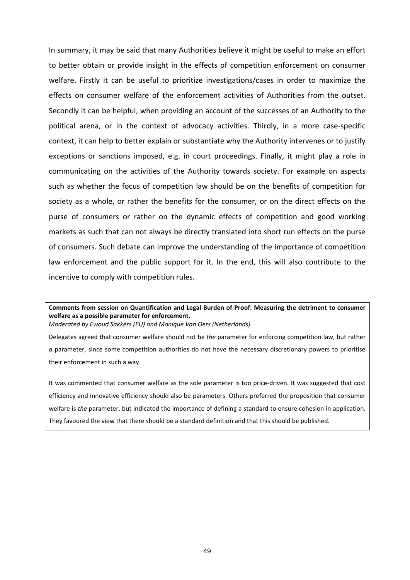In summary, it may be said that many Authorities believe it might be useful to make an effort to better obtain or provide insight in the effects of competition enforcement on consumer welfare. Firstly it can be useful to prioritize investigations/cases in order to maximize the effects on consumer welfare of the enforcement activities of Authorities from the outset. Secondly it can be helpful, when providing an account of the successes of an Authority to the political arena, or in the context of advocacy activities. Thirdly, in a more case‐specific context, it can help to better explain or substantiate why the Authority intervenes or to justify exceptions or sanctions imposed, e.g. in court proceedings. Finally, it might play a role in communicating on the activities of the Authority towards society. For example on aspects such as whether the focus of competition law should be on the benefits of competition for society as a whole, or rather the benefits for the consumer, or on the direct effects on the purse of consumers or rather on the dynamic effects of competition and good working markets as such that can not always be directly translated into short run effects on the purse of consumers. Such debate can improve the understanding of the importance of competition law enforcement and the public support for it. In the end, this will also contribute to the incentive to comply with competition rules.

### **Comments from session on Quantification and Legal Burden of Proof: Measuring the detriment to consumer welfare as a possible parameter for enforcement.**

*Moderated by Ewoud Sakkers (EU) and Monique Van Oers (Netherlands)*

Delegates agreed that consumer welfare should not be *the* parameter for enforcing competition law, but rather *a* parameter, since some competition authorities do not have the necessary discretionary powers to prioritise their enforcement in such a way.

It was commented that consumer welfare as the sole parameter is too price-driven. It was suggested that cost efficiency and innovative efficiency should also be parameters. Others preferred the proposition that consumer welfare is *the* parameter, but indicated the importance of defining a standard to ensure cohesion in application. They favoured the view that there should be a standard definition and that this should be published.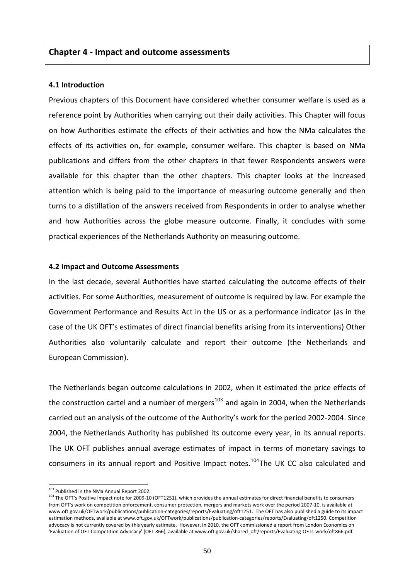### **Chapter 4 ‐ Impact and outcome assessments**

#### **4.1 Introduction**

Previous chapters of this Document have considered whether consumer welfare is used as a reference point by Authorities when carrying out their daily activities. This Chapter will focus on how Authorities estimate the effects of their activities and how the NMa calculates the effects of its activities on, for example, consumer welfare. This chapter is based on NMa publications and differs from the other chapters in that fewer Respondents answers were available for this chapter than the other chapters. This chapter looks at the increased attention which is being paid to the importance of measuring outcome generally and then turns to a distillation of the answers received from Respondents in order to analyse whether and how Authorities across the globe measure outcome. Finally, it concludes with some practical experiences of the Netherlands Authority on measuring outcome.

#### **4.2 Impact and Outcome Assessments**

In the last decade, several Authorities have started calculating the outcome effects of their activities. For some Authorities, measurement of outcome is required by law. For example the Government Performance and Results Act in the US or as a performance indicator (as in the case of the UK OFT's estimates of direct financial benefits arising from its interventions) Other Authorities also voluntarily calculate and report their outcome (the Netherlands and European Commission).

The Netherlands began outcome calculations in 2002, when it estimated the price effects of the construction cartel and a number of mergers<sup>[103](#page-49-0)</sup> and again in 2004, when the Netherlands carried out an analysis of the outcome of the Authority's work for the period 2002‐2004. Since 2004, the Netherlands Authority has published its outcome every year, in its annual reports. The UK OFT publishes annual average estimates of impact in terms of monetary savings to consumers in its annual report and Positive Impact notes.<sup>[104](#page-49-1)</sup>The UK CC also calculated and

<span id="page-49-1"></span><span id="page-49-0"></span><sup>&</sup>lt;sup>103</sup> Published in the NMa Annual Report 2002.<br><sup>104</sup> The OFT's Positive Impact note for 2009‐10 (OFT1251), which provides the annual estimates for direct financial benefits to consumers from OFT's work on competition enforcement, consumer protection, mergers and markets work over the period 2007‐10, is available at www.oft.gov.uk/OFTwork/publications/publication‐categories/reports/Evaluating/oft1251. The OFT has also published a guide to its impact estimation methods, available at [www.oft.gov.uk/OFTwork/publications/publication](http://www.oft.gov.uk/OFTwork/publications/publication-categories/reports/Evaluating/oft1250)-categories/reports/Evaluating/oft1250. Competition advocacy is not currently covered by this yearly estimate. However, in 2010, the OFT commissioned a report from London Economics on 'Evaluation of OFT Competition Advocacy' (OFT 866), available at www.oft.gov.uk/shared\_oft/reports/Evaluating‐OFTs‐work/oft866.pdf.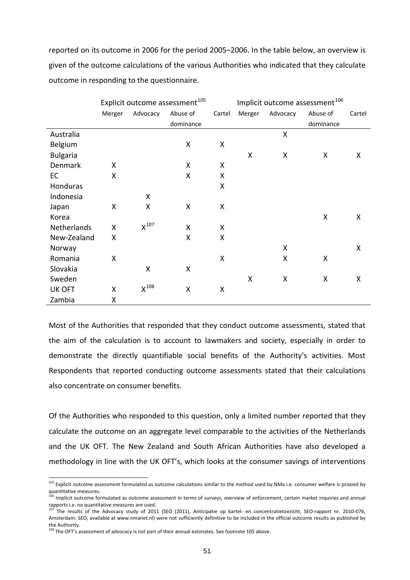reported on its outcome in 2006 for the period 2005–2006. In the table below, an overview is given of the outcome calculations of the various Authorities who indicated that they calculate outcome in responding to the questionnaire.

|                 | Explicit outcome assessment <sup>105</sup> |                           |                    |        | Implicit outcome assessment <sup>106</sup> |          |           |        |
|-----------------|--------------------------------------------|---------------------------|--------------------|--------|--------------------------------------------|----------|-----------|--------|
|                 | Merger                                     | Advocacy                  | Abuse of           | Cartel | Merger                                     | Advocacy | Abuse of  | Cartel |
|                 |                                            |                           | dominance          |        |                                            |          | dominance |        |
| Australia       |                                            |                           |                    |        |                                            | X        |           |        |
| Belgium         |                                            |                           | X                  | X      |                                            |          |           |        |
| <b>Bulgaria</b> |                                            |                           |                    |        | X                                          | X        | X         | X      |
| Denmark         | X                                          |                           | X                  | Χ      |                                            |          |           |        |
| <b>EC</b>       | Χ                                          |                           | X                  | X      |                                            |          |           |        |
| Honduras        |                                            |                           |                    | X      |                                            |          |           |        |
| Indonesia       |                                            | X                         |                    |        |                                            |          |           |        |
| Japan           | Χ                                          | X                         | X                  | X      |                                            |          |           |        |
| Korea           |                                            |                           |                    |        |                                            |          | X         | X      |
| Netherlands     | Χ                                          | $X^{107}$                 | X                  | X      |                                            |          |           |        |
| New-Zealand     | X                                          |                           | X                  | Χ      |                                            |          |           |        |
| Norway          |                                            |                           |                    |        |                                            | Χ        |           | X      |
| Romania         | X                                          |                           |                    | X      |                                            | X        | X         |        |
| Slovakia        |                                            | X                         | X                  |        |                                            |          |           |        |
| Sweden          |                                            |                           |                    |        | X                                          | Χ        | Χ         | X      |
| <b>UK OFT</b>   | X                                          | $\mathsf{X}^\mathsf{108}$ | $\pmb{\mathsf{X}}$ | X      |                                            |          |           |        |
| Zambia          | Χ                                          |                           |                    |        |                                            |          |           |        |

Most of the Authorities that responded that they conduct outcome assessments, stated that the aim of the calculation is to account to lawmakers and society, especially in order to demonstrate the directly quantifiable social benefits of the Authority's activities. Most Respondents that reported conducting outcome assessments stated that their calculations also concentrate on consumer benefits.

Of the Authorities who responded to this question, only a limited number reported that they calculate the outcome on an aggregate level comparable to the activities of the Netherlands and the UK OFT. The New Zealand and South African Authorities have also developed a methodology in line with the UK OFT's, which looks at the consumer savings of interventions

<sup>&</sup>lt;sup>105</sup> Explicit outcome assessment formulated as outcome calculations similar to the method used by NMa i.e. consumer welfare is proxied by

<span id="page-50-1"></span><span id="page-50-0"></span>quantitative measures.<br><sup>106</sup> Implicit outcome formulated as outcome assessment in terms of surveys, overview of enforcement, certain market inquiries and annual rapports i.e. no quantitative measures are used.

<span id="page-50-2"></span><sup>&</sup>lt;sup>107</sup> The results of the Advocacy study of 2011 (SEO (2011), Anticipatie op kartel- en concentratietoezicht, SEO-rapport nr. 2010-076, Amsterdam: SEO, available at [www.nmanet.nl\)](http://www.nmanet.nl/) were not sufficiently definitive to be included in the official outcome results as published by the Authority.

<span id="page-50-3"></span><sup>&</sup>lt;sup>108</sup> The OFT's assessment of advocacy is not part of their annual estimates. See footnote 105 above.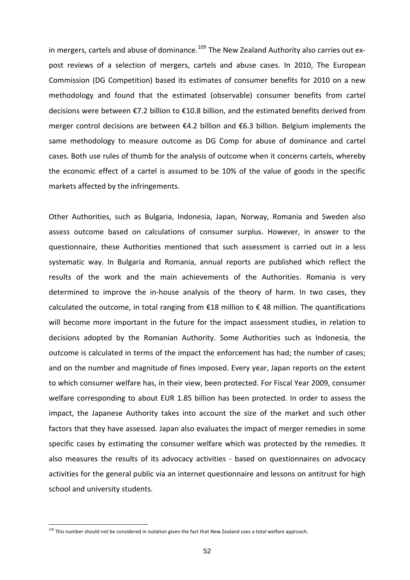in mergers, cartels and abuse of dominance.<sup>[109](#page-51-0)</sup> The New Zealand Authority also carries out expost reviews of a selection of mergers, cartels and abuse cases. In 2010, The European Commission (DG Competition) based its estimates of consumer benefits for 2010 on a new methodology and found that the estimated (observable) consumer benefits from cartel decisions were between €7.2 billion to €10.8 billion, and the estimated benefits derived from merger control decisions are between €4.2 billion and €6.3 billion. Belgium implements the same methodology to measure outcome as DG Comp for abuse of dominance and cartel cases. Both use rules of thumb for the analysis of outcome when it concerns cartels, whereby the economic effect of a cartel is assumed to be 10% of the value of goods in the specific markets affected by the infringements.

Other Authorities, such as Bulgaria, Indonesia, Japan, Norway, Romania and Sweden also assess outcome based on calculations of consumer surplus. However, in answer to the questionnaire, these Authorities mentioned that such assessment is carried out in a less systematic way. In Bulgaria and Romania, annual reports are published which reflect the results of the work and the main achievements of the Authorities. Romania is very determined to improve the in‐house analysis of the theory of harm. In two cases, they calculated the outcome, in total ranging from  $£18$  million to  $£48$  million. The quantifications will become more important in the future for the impact assessment studies, in relation to decisions adopted by the Romanian Authority. Some Authorities such as Indonesia, the outcome is calculated in terms of the impact the enforcement has had; the number of cases; and on the number and magnitude of fines imposed. Every year, Japan reports on the extent to which consumer welfare has, in their view, been protected. For Fiscal Year 2009, consumer welfare corresponding to about EUR 1.85 billion has been protected. In order to assess the impact, the Japanese Authority takes into account the size of the market and such other factors that they have assessed. Japan also evaluates the impact of merger remedies in some specific cases by estimating the consumer welfare which was protected by the remedies. It also measures the results of its advocacy activities - based on questionnaires on advocacy activities for the general public via an internet questionnaire and lessons on antitrust for high school and university students.

<span id="page-51-0"></span><sup>&</sup>lt;sup>109</sup> This number should not be considered in isolation given the fact that New Zealand uses a total welfare approach.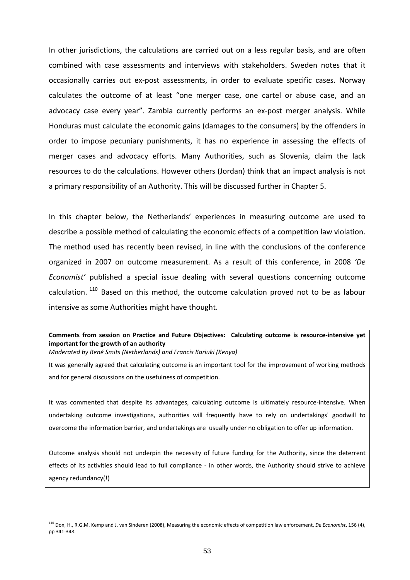In other jurisdictions, the calculations are carried out on a less regular basis, and are often combined with case assessments and interviews with stakeholders. Sweden notes that it occasionally carries out ex‐post assessments, in order to evaluate specific cases. Norway calculates the outcome of at least "one merger case, one cartel or abuse case, and an advocacy case every year". Zambia currently performs an ex-post merger analysis. While Honduras must calculate the economic gains (damages to the consumers) by the offenders in order to impose pecuniary punishments, it has no experience in assessing the effects of merger cases and advocacy efforts. Many Authorities, such as Slovenia, claim the lack resources to do the calculations. However others (Jordan) think that an impact analysis is not a primary responsibility of an Authority. This will be discussed further in Chapter 5.

In this chapter below, the Netherlands' experiences in measuring outcome are used to describe a possible method of calculating the economic effects of a competition law violation. The method used has recently been revised, in line with the conclusions of the conference organized in 2007 on outcome measurement. As a result of this conference, in 2008 *'De Economist'* published a special issue dealing with several questions concerning outcome calculation. <sup>[110](#page-52-0)</sup> Based on this method, the outcome calculation proved not to be as labour intensive as some Authorities might have thought.

# **Comments from session on Practice and Future Objectives: Calculating outcome is resource‐intensive yet important for the growth of an authority**

*Moderated by René Smits (Netherlands) and Francis Kariuki (Kenya)*

1

It was generally agreed that calculating outcome is an important tool for the improvement of working methods and for general discussions on the usefulness of competition.

It was commented that despite its advantages, calculating outcome is ultimately resource-intensive. When undertaking outcome investigations, authorities will frequently have to rely on undertakings' goodwill to overcome the information barrier, and undertakings are usually under no obligation to offer up information.

Outcome analysis should not underpin the necessity of future funding for the Authority, since the deterrent effects of its activities should lead to full compliance - in other words, the Authority should strive to achieve agency redundancy(!)

<span id="page-52-0"></span><sup>110</sup> Don, H., R.G.M. Kemp and J. van Sinderen (2008), Measuring the economic effects of competition law enforcement, *De Economist*, 156 (4), pp 341‐348.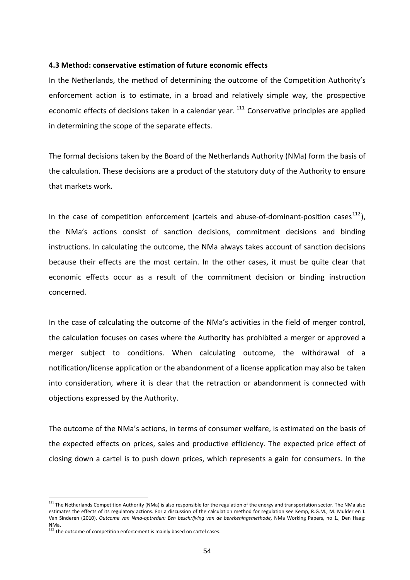#### **4.3 Method: conservative estimation of future economic effects**

In the Netherlands, the method of determining the outcome of the Competition Authority's enforcement action is to estimate, in a broad and relatively simple way, the prospective economic effects of decisions taken in a calendar year.  $111$  Conservative principles are applied in determining the scope of the separate effects.

The formal decisions taken by the Board of the Netherlands Authority (NMa) form the basis of the calculation. These decisions are a product of the statutory duty of the Authority to ensure that markets work.

In the case of competition enforcement (cartels and abuse-of-dominant-position cases<sup>[112](#page-53-1)</sup>), the NMa's actions consist of sanction decisions, commitment decisions and binding instructions. In calculating the outcome, the NMa always takes account of sanction decisions because their effects are the most certain. In the other cases, it must be quite clear that economic effects occur as a result of the commitment decision or binding instruction concerned.

the calculation focuses on cases where the Authority has prohibited a merger or approved a into consideration, where it is clear that the retraction or abandonment is connected with objections expressed by the Authority. In the case of calculating the outcome of the NMa's activities in the field of merger control, merger subject to conditions. When calculating outcome, the withdrawal of a notification/license application or the abandonment of a license application may also be taken

The outcome of the NMa's actions, in terms of consumer welfare, is estimated on the basis of the expected effects on prices, sales and productive efficiency. The expected price effect of closing down a cartel is to push down prices, which represents a gain for consumers. In the

<span id="page-53-0"></span><sup>&</sup>lt;sup>111</sup> The Netherlands Competition Authority (NMa) is also responsible for the regulation of the energy and transportation sector. The NMa also estimates the effects of its regulatory actions. For a discussion of the calculation method for regulation see Kemp, R.G.M., M. Mulder en J. Van Sinderen (2010), *Outcome van Nma‐optreden: Een beschrijving van de berekeningsmethode,* NMa Working Papers, no 1., Den Haag: NMa.

<span id="page-53-1"></span> $112$  The outcome of competition enforcement is mainly based on cartel cases.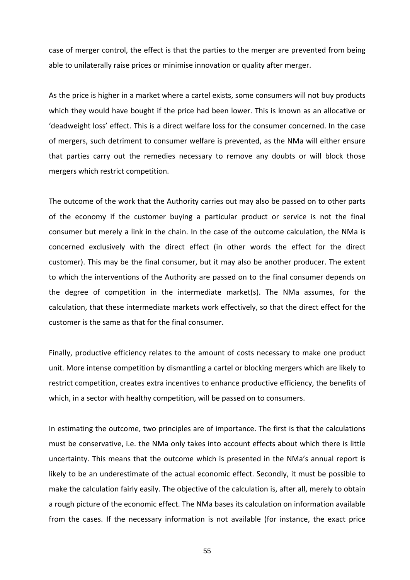case of merger control, the effect is that the parties to the merger are prevented from being able to unilaterally raise prices or minimise innovation or quality after merger.

of mergers, such detriment to consumer welfare is prevented, as the NMa will either ensure that parties carry out the remedies necessary to remove any doubts or will block those As the price is higher in a market where a cartel exists, some consumers will not buy products which they would have bought if the price had been lower. This is known as an allocative or 'deadweight loss' effect. This is a direct welfare loss for the consumer concerned. In the case mergers which restrict competition.

the degree of competition in the intermediate market(s). The NMa assumes, for the alculation, that these intermediate markets work effectively, so that the direct effect for the c The outcome of the work that the Authority carries out may also be passed on to other parts of the economy if the customer buying a particular product or service is not the final consumer but merely a link in the chain. In the case of the outcome calculation, the NMa is concerned exclusively with the direct effect (in other words the effect for the direct customer). This may be the final consumer, but it may also be another producer. The extent to which the interventions of the Authority are passed on to the final consumer depends on customer is the same as that for the final consumer.

unit. More intense competition by dismantling a cartel or blocking mergers which are likely to restrict competition, creates extra incentives to enhance productive efficiency, the benefits of Finally, productive efficiency relates to the amount of costs necessary to make one product which, in a sector with healthy competition, will be passed on to consumers.

In estimating the outcome, two principles are of importance. The first is that the calculations must be conservative, i.e. the NMa only takes into account effects about which there is little uncertainty. This means that the outcome which is presented in the NMa's annual report is likely to be an underestimate of the actual economic effect. Secondly, it must be possible to make the calculation fairly easily. The objective of the calculation is, after all, merely to obtain a rough picture of the economic effect. The NMa bases its calculation on information available from the cases. If the necessary information is not available (for instance, the exact price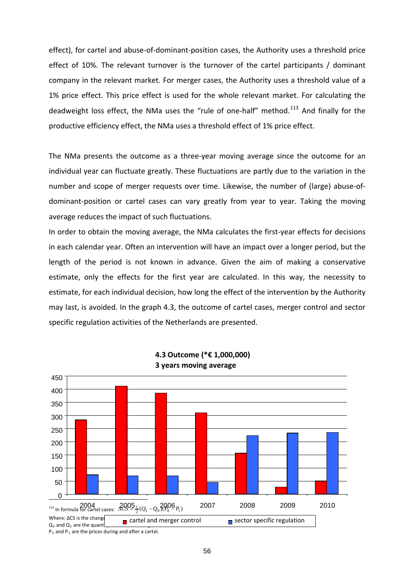effect), for cartel and abuse‐of‐dominant‐position cases, the Authority uses a threshold price effect of 10%. The relevant turnover is the turnover of the cartel participants / dominant company in the relevant market. For merger cases, the Authority uses a threshold value of a 1% price effect. This price effect is used for the whole relevant market. For calculating the deadweight loss effect, the NMa uses the "rule of one-half" method.<sup>113</sup> And finally for the productive efficiency effect, the NMa uses a threshold effect of 1% price effect.

number and scope of merger requests over time. Likewise, the number of (large) abuse-of-The NMa presents the outcome as a three‐year moving average since the outcome for an individual year can fluctuate greatly. These fluctuations are partly due to the variation in the dominant‐position or cartel cases can vary greatly from year to year. Taking the moving average reduces the impact of such fluctuations.

estimate, for each individual decision, how long the effect of the intervention by the Authority may last, is avoided. In the graph 4.3, the outcome of cartel cases, merger control and sector specific regulation activities of the Netherlands are presented. In order to obtain the moving average, the NMa calculates the first-year effects for decisions in each calendar year. Often an intervention will have an impact over a longer period, but the length of the period is not known in advance. Given the aim of making a conservative estimate, only the effects for the first year are calculated. In this way, the necessity to



**4.3 Outcome (\*€ 1,000,000) 3 years moving average**

 $P_0$  and  $P_1$  are the prices during and after a cartel.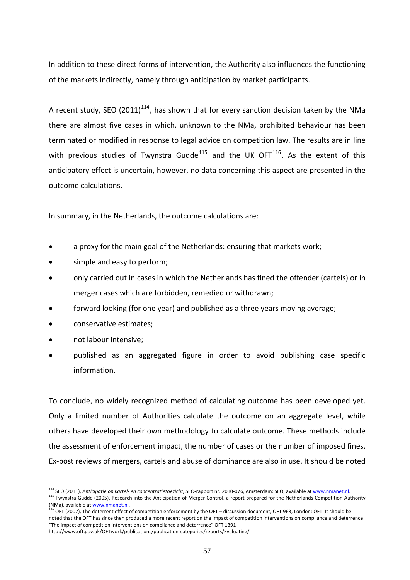In addition to these direct forms of intervention, the Authority also influences the functioning of the markets indirectly, namely through anticipation by market participants.

A recent study, SEO (2011)<sup>[114](#page-56-0)</sup>, has shown that for every sanction decision taken by the NMa there are almost five cases in which, unknown to the NMa, prohibited behaviour has been terminated or modified in response to legal advice on competition law. The results are in line with previous studies of Twynstra Gudde<sup>[115](#page-56-1)</sup> and the UK OFT<sup>[116](#page-56-2)</sup>. As the extent of this anticipatory effect is uncertain, however, no data concerning this aspect are presented in the outcome calculations.

In summary, in the Netherlands, the outcome calculations are:

- a proxy for the main goal of the Netherlands: ensuring that markets work;
- simple and easy to perform;
- only carried out in cases in which the Netherlands has fined the offender (cartels) or in merger cases which are forbidden, remedied or withdrawn;
- forward looking (for one year) and published as a three years moving average;
- conservative estimates;
- not labour intensive;

1

 published as an aggregated figure in order to avoid publishing case specific information.

To conclude, no widely recognized method of calculating outcome has been developed yet. Only a limited number of Authorities calculate the outcome on an aggregate level, while others have developed their own methodology to calculate outcome. These methods include the assessment of enforcement impact, the number of cases or the number of imposed fines. Ex‐post reviews of mergers, cartels and abuse of dominance are also in use. It should be noted

<span id="page-56-1"></span><span id="page-56-0"></span>

<sup>&</sup>lt;sup>114</sup> SEO (2011), *Anticipatie op kartel- en concentratietoezicht*, SEO-rapport nr. 2010-076, Amsterdam: SEO, available at [www.nmanet.nl](http://www.nmanet.nl/).<br><sup>115</sup> Twynstra Gudde (2005), Research into the Anticipation of Merger Control, a rep (NMa), available at [www.nmanet.nl.](http://www.nmanet.nl/)

<span id="page-56-2"></span><sup>116</sup> OFT (2007), The deterrent effect of competition enforcement by the OFT – discussion document, OFT 963, London: OFT. It should be noted that the OFT has since then produced a more recent report on the impact of competition interventions on compliance and deterrence "The impact of competition interventions on compliance and deterrence" OFT 1391

http://www.oft.gov.uk/OFTwork/publications/publication‐categories/reports/Evaluating/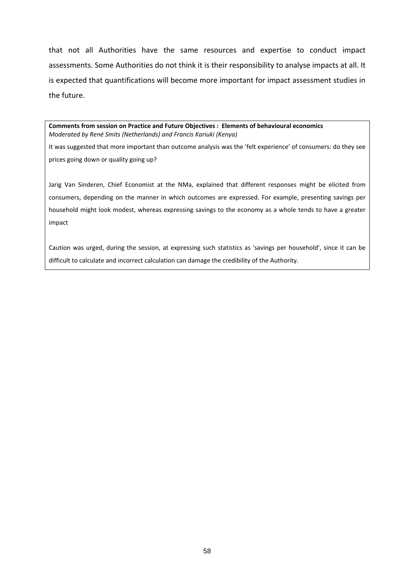that not all Authorities have the same resources and expertise to conduct impact assessments. Some Authorities do not think it is their responsibility to analyse impacts at all. It is expected that quantifications will become more important for impact assessment studies in the future.

**Comments from session on Practice and Future Objectives : Elements of behavioural economics** *Moderated by René Smits (Netherlands) and Francis Kariuki (Kenya)*

It was suggested that more important than outcome analysis was the 'felt experience' of consumers: do they see prices going down or quality going up?

Jarig Van Sinderen, Chief Economist at the NMa, explained that different responses might be elicited from consumers, depending on the manner in which outcomes are expressed. For example, presenting savings per household might look modest, whereas expressing savings to the economy as a whole tends to have a greater impact

Caution was urged, during the session, at expressing such statistics as 'savings per household', since it can be difficult to calculate and incorrect calculation can damage the credibility of the Authority.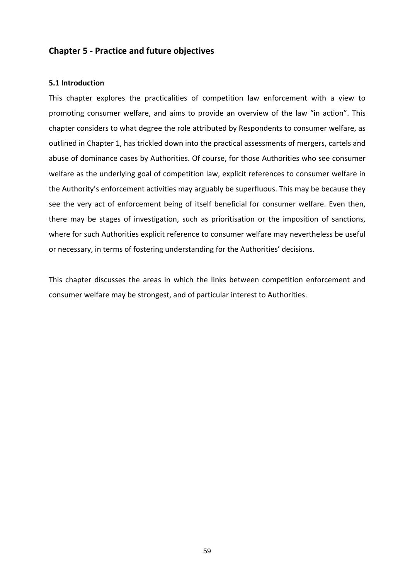# **Chapter 5 ‐ Practice and future objectives**

### **5.1 Introduction**

This chapter explores the practicalities of competition law enforcement with a view to promoting consumer welfare, and aims to provide an overview of the law "in action". This chapter considers to what degree the role attributed by Respondents to consumer welfare, as outlined in Chapter 1, has trickled down into the practical assessments of mergers, cartels and abuse of dominance cases by Authorities. Of course, for those Authorities who see consumer welfare as the underlying goal of competition law, explicit references to consumer welfare in the Authority's enforcement activities may arguably be superfluous. This may be because they see the very act of enforcement being of itself beneficial for consumer welfare. Even then, there may be stages of investigation, such as prioritisation or the imposition of sanctions, where for such Authorities explicit reference to consumer welfare may nevertheless be useful or necessary, in terms of fostering understanding for the Authorities' decisions.

This chapter discusses the areas in which the links between competition enforcement and consumer welfare may be strongest, and of particular interest to Authorities.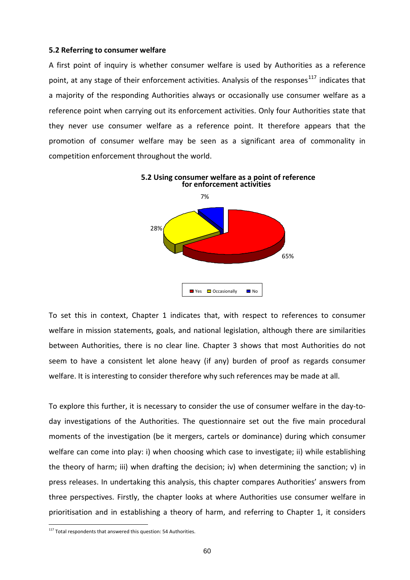#### **5.2 Referring to consumer welfare**

A first point of inquiry is whether consumer welfare is used by Authorities as a reference point, at any stage of their enforcement activities. Analysis of the responses<sup>[117](#page-59-0)</sup> indicates that a majority of the responding Authorities always or occasionally use consumer welfare as a reference point when carrying out its enforcement activities. Only four Authorities state that they never use consumer welfare as a reference point. It therefore appears that the promotion of consumer welfare may be seen as a significant area of commonality in competition enforcement throughout the world.



To set this in context, Chapter 1 indicates that, with respect to references to consumer welfare in mission statements, goals, and national legislation, although there are similarities between Authorities, there is no clear line. Chapter 3 shows that most Authorities do not seem to have a consistent let alone heavy (if any) burden of proof as regards consumer welfare. It is interesting to consider therefore why such references may be made at all.

To explore this further, it is necessary to consider the use of consumer welfare in the day‐to‐ day investigations of the Authorities. The questionnaire set out the five main procedural moments of the investigation (be it mergers, cartels or dominance) during which consumer welfare can come into play: i) when choosing which case to investigate; ii) while establishing the theory of harm; iii) when drafting the decision; iv) when determining the sanction; v) in press releases. In undertaking this analysis, this chapter compares Authorities' answers from three perspectives. Firstly, the chapter looks at where Authorities use consumer welfare in prioritisation and in establishing a theory of harm, and referring to Chapter 1, it considers

<span id="page-59-0"></span><sup>&</sup>lt;sup>117</sup> Total respondents that answered this question: 54 Authorities.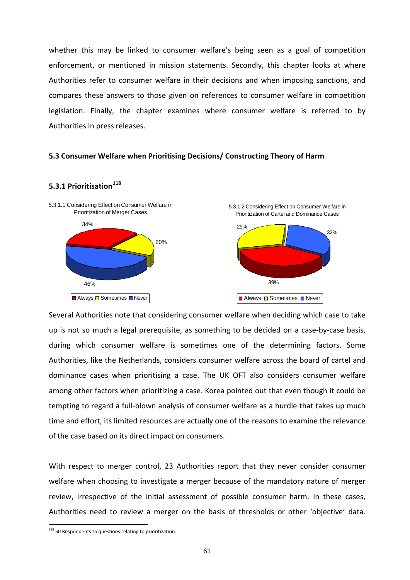whether this may be linked to consumer welfare's being seen as a goal of competition enforcement, or mentioned in mission statements. Secondly, this chapter looks at where Authorities refer to consumer welfare in their decisions and when imposing sanctions, and compares these answers to those given on references to consumer welfare in competition legislation. Finally, the chapter examines where consumer welfare is referred to by Authorities in press releases.

#### **5.3 Consumer Welfare when Prioritising Decisions/ Constructing Theory of Harm**



# **5.3.1 Prioritisation[118](#page-60-0)**

Several Authorities note that considering consumer welfare when deciding which case to take up is not so much a legal prerequisite, as something to be decided on a case‐by‐case basis, during which consumer welfare is sometimes one of the determining factors. Some Authorities, like the Netherlands, considers consumer welfare across the board of cartel and dominance cases when prioritising a case. The UK OFT also considers consumer welfare among other factors when prioritizing a case. Korea pointed out that even though it could be tempting to regard a full‐blown analysis of consumer welfare as a hurdle that takes up much time and effort, its limited resources are actually one of the reasons to examine the relevance of the case based on its direct impact on consumers.

Authorities need to review a merger on the basis of thresholds or other 'objective' data. With respect to merger control, 23 Authorities report that they never consider consumer welfare when choosing to investigate a merger because of the mandatory nature of merger review, irrespective of the initial assessment of possible consumer harm. In these cases,

<span id="page-60-0"></span><sup>&</sup>lt;sup>118</sup> 50 Respondents to questions relating to prioritization.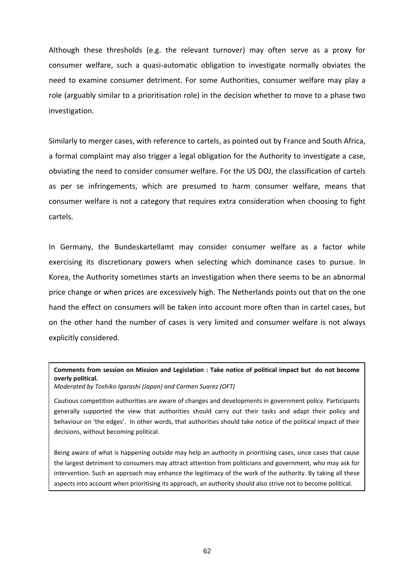Although these thresholds (e.g. the relevant turnover) may often serve as a proxy for consumer welfare, such a quasi‐automatic obligation to investigate normally obviates the need to examine consumer detriment. For some Authorities, consumer welfare may play a role (arguably similar to a prioritisation role) in the decision whether to move to a phase two investigation.

Similarly to merger cases, with reference to cartels, as pointed out by France and South Africa, a formal complaint may also trigger a legal obligation for the Authority to investigate a case, obviating the need to consider consumer welfare. For the US DOJ, the classification of cartels as per se infringements, which are presumed to harm consumer welfare, means that consumer welfare is not a category that requires extra consideration when choosing to fight cartels.

Germany, the Bundeskartellamt may consider consumer welfare as a factor while In explicitly considered. exercising its discretionary powers when selecting which dominance cases to pursue. In Korea, the Authority sometimes starts an investigation when there seems to be an abnormal price change or when prices are excessively high. The Netherlands points out that on the one hand the effect on consumers will be taken into account more often than in cartel cases, but on the other hand the number of cases is very limited and consumer welfare is not always

### Comments from session on Mission and Legislation : Take notice of political impact but do not become **overly political.**

*Moderated by Toshiko Igarashi (Japan) and Carmen Suarez (OFT)*

Cautious competition authorities are aware of changes and developments in government policy. Participants generally supported the view that authorities should carry out their tasks and adapt their policy and decisions, without becoming political. behaviour on 'the edges'. In other words, that authorities should take notice of the political impact of their

Being aware of what is happening outside may help an authority in prioritising cases, since cases that cause the largest detriment to consumers may attract attention from politicians and government, who may ask for intervention. Such an approach may enhance the legitimacy of the work of the authority. By taking all these aspects into account when prioritising its approach, an authority should also strive not to become political.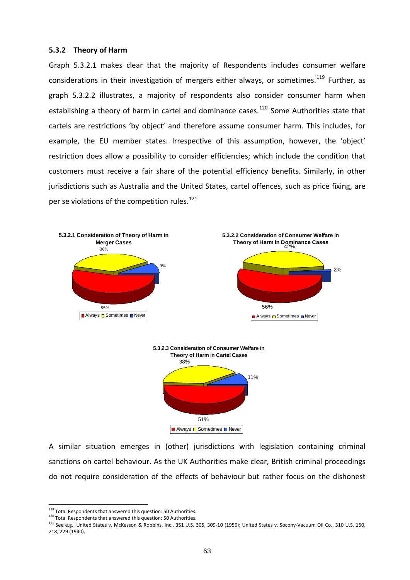### **5 .3.2 Theory of Harm**

Graph 5.3.2.1 makes clear that the majority of Respondents includes consumer welfare considerations in their investigation of mergers either always, or sometimes.<sup>119</sup> Further, as g raph 5.3.2.2 illustrates, a majority of respondents also consider consumer harm when establishing a theory of harm in cartel and dominance cases.<sup>120</sup> Some Authorities state that cartels are restrictions 'by object' and therefore assume consumer harm. This includes, for exampl e, the EU member states. Irrespective of this assumption, however, the 'object' restriction does allow a possibility to consider efficiencies; which include the condition that customers must receive a fair share of the potential efficiency benefits. Similarly, in other jurisdictions such as Australia and the United States, cartel offences, such as price fixing, are per se violations of the competition rules.<sup>121</sup>



A similar situation emerges in (other) jurisdictions with legislation containing criminal sanctions on cartel behaviour. As the UK Authorities make clear, British criminal proceedings do not require consideration of the effects of behaviour but rather focus on the dishonest

<sup>&</sup>lt;sup>119</sup> Total Respondents that answered this question: 50 Authorities.<br><sup>120</sup> Total Respondents that answered this question: 50 Authorities.

<sup>121</sup> See e.g., United States v. McKesson & Robbins, Inc., 351 U.S. 305, 309-10 (1956); United States v. Socony-Vacuum Oil Co., 310 U.S. 150, 218, 229 (1940).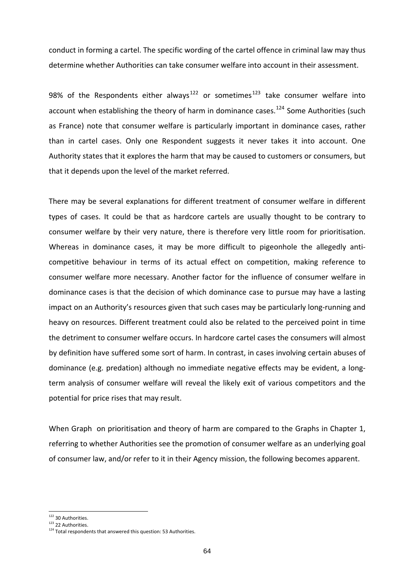conduct in forming a cartel. The specific wording of the cartel offence in criminal law may thus determine whether Authorities can take consumer welfare into account in their assessment.

98% of the Respondents either always<sup>122</sup> or sometimes<sup>123</sup> take consumer welfare into account when establishing the theory of harm in dominance cases.<sup>124</sup> Some Authorities (such as France) note that consumer welfare is particularly important in dominance cases, rather than in cartel cases. Only one Respondent suggests it never takes it into account. One Authority states that it explores the harm that may be caused to customers or consumers, but that it depends upon the level of the market referred.

There may be several explanations for different treatment of consumer welfare in different types of cases. It could be that as hardcore cartels are usually thought to be contrary to consumer welfare by their very nature, there is therefore very little room for prioritisation. Whereas in dominance cases, it may be more difficult to pigeonhole the allegedly anticompetitive behaviour in terms of its actual effect on competition, making reference to consumer welfare more necessary. Another factor for the influence of consumer welfare in dominance cases is that the decision of which dominance case to pursue may have a lasting impact on an Authority's resources given that such cases may be particularly long‐running and heavy on resources. Different treatment could also be related to the perceived point in time the detriment to consumer welfare occurs. In hardcore cartel cases the consumers will almost by definition have suffered some sort of harm. In contrast, in cases involving certain abuses of dominance (e.g. predation) although no immediate negative effects may be evident, a long‐ term analysis of consumer welfare will reveal the likely exit of various competitors and the potential for price rises that may result.

When Graph on prioritisation and theory of harm are compared to the Graphs in Chapter 1, referring to whether Authorities see the promotion of consumer welfare as an underlying goal of consumer law, and/or refer to it in their Agency mission, the following becomes apparent.

<sup>&</sup>lt;sup>122</sup> 30 Authorities.

 $123$  22 Authorities.

 $124$  Total respondents that answered this question: 53 Authorities.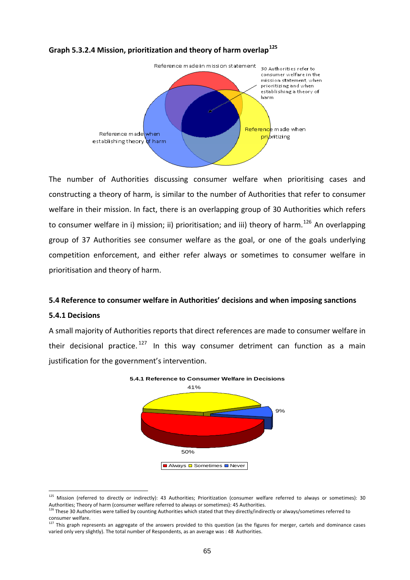

# **Graph 5.3.2.4 Mission, prioritization and theory of harm overlap<sup>125</sup>**

The number of Authorities discussing consumer welfare when prioritising cases and constructing a theory of harm, is similar to the number of Authorities that refer to consumer welfare in their mission. In fact, there is an overlapping group of 30 Authorities which refers to consumer welfare in i) mission; ii) prioritisation; and iii) theory of harm.<sup>126</sup> An overlapping group of 37 Authorities see consumer welfare as the goal, or one of the goals underlying competition enforcement, and either refer always or sometimes to consumer welfare in prioritisation and theory of harm.

# **5.4 Reference to consumer welfare in Authorities' decisions and when imposing sanctions**

# **5.4.1 Decisions**

1

A small majority of Authorities reports that direct references are made to consumer welfare in their decisional practice.<sup>[127](#page-64-0)</sup> In this way consumer detriment can function as a main justification for the government's intervention.



<sup>&</sup>lt;sup>125</sup> Mission (referred to directly or indirectly): 43 Authorities; Prioritization (consumer welfare referred to always or sometimes): 30 Authorities; Theory of harm (consumer welfare referred to always or sometimes): 45 Authorities.

<span id="page-64-0"></span><sup>&</sup>lt;sup>126</sup> These 30 Authorities were tallied by counting Authorities which stated that they directly/indirectly or always/sometimes referred to

consumer welfare.<br><sup>127</sup> This graph represents an aggregate of the answers provided to this question (as the figures for merger, cartels and dominance cases varied only very slightly). The total number of Respondents, as an average was : 48 Authorities.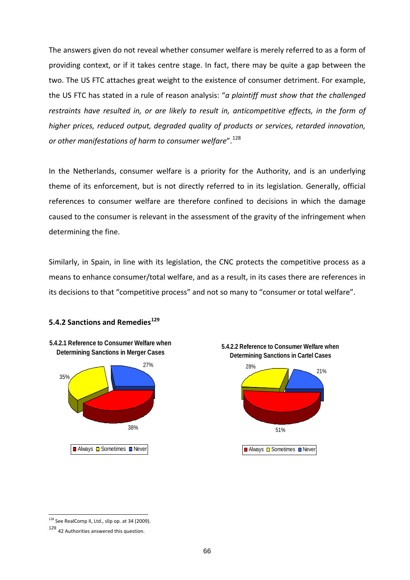The answers given do not reveal whether consumer welfare is merely referred to as a form of providing context, or if it takes centre stage. In fact, there may be quite a gap between the two. The US FTC attaches great weight to the existence of consumer detriment. For example, the US FTC has stated in a rule of reason analysis: "*a plaintiff must show that the challenged restraints have resulted in, or are likely to result in, anticompetitive effects, in the form of higher prices, reduced output, degraded quality of products or services, retarded innovation, or other manifestations of harm to consumer welfare*".<sup>128</sup>

In the Netherlands, consumer welfare is a priority for the Authority, and is an underlying theme of its enforcement, but is not directly referred to in its legislation. Generally, official references to consumer welfare are therefore confined to decisions in which the damage caused to the consumer is relevant in the assessment of the gravity of the infringement when determining the fine.

its decisions to that "competitive process" and not so many to "consumer or total welfare". Similarly, in Spain, in line with its legislation, the CNC protects the competitive process as a means to enhance consumer/total welfare, and as a result, in its cases there are references in

# **129 5.4.2 Sanctions and Remedies**





<sup>&</sup>lt;sup>128</sup> See RealComp II, Ltd., slip op. at 34 (2009).

<sup>129</sup> <sup>42</sup> Authorities answered this question.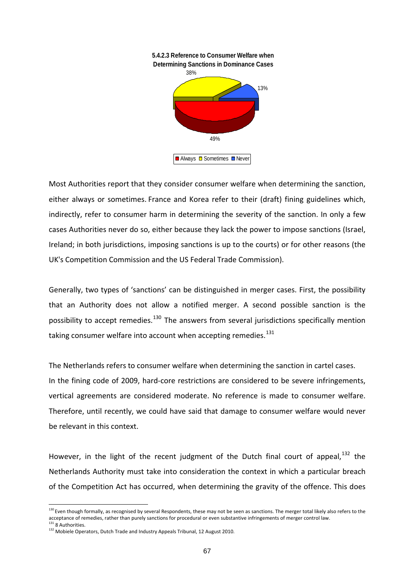

Most Authorities report that they consider consumer welfare when determining the sanction, either always or sometimes. France and Korea refer to their (draft) fining guidelines which, indirectly, refer to consumer harm in determining the severity of the sanction. In only a few cases Authorities never do so, either because they lack the power to impose sanctions (Israel, Ireland; in both jurisdictions, imposing sanctions is up to the courts) or for other reasons (the UK's Competition Commission and the US Federal Trade Commission).

Generally, two types of 'sanctions' can be distinguished in merger cases. First, the possibility that an Authority does not allow a notified merger. A second possible sanction is the possibility to accept remedies.<sup>130</sup> The answers from several jurisdictions specifically mention taking consumer welfare into account when accepting remedies.<sup>131</sup>

vertical agreements are considered moderate. No reference is made to consumer welfare. herefore, until recently, we could have said that damage to consumer welfare would never T The Netherlands refers to consumer welfare when determining the sanction in cartel cases. In the fining code of 2009, hard‐core restrictions are considered to be severe infringements, be relevant in this context.

Netherlands Authority must take into consideration the context in which a particular breach of the Competition Act has occurred, when determining the gravity of the offence. This does However, in the light of the recent judgment of the Dutch final court of appeal,  $132$  the

<span id="page-66-0"></span><sup>&</sup>lt;sup>130</sup> Even though formally, as recognised by several Respondents, these may not be seen as sanctions. The merger total likely also refers to the acceptance of remedies, rather than purely sanctions for procedural or even substantive infringements of merger control law.<br><sup>131</sup> 8 Authorities.

<span id="page-66-1"></span> $132$  Mobiele Operators, Dutch Trade and Industry Appeals Tribunal, 12 August 2010.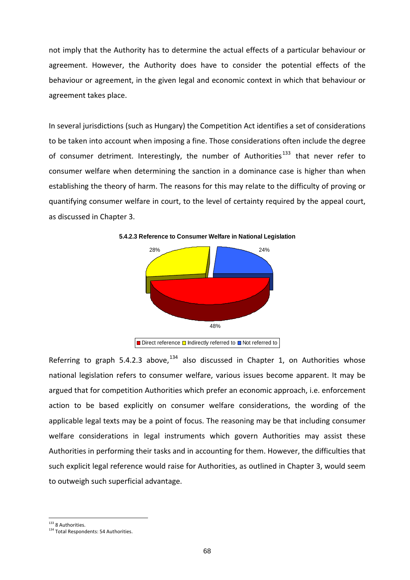not imply that the Authority has to determine the actual effects of a particular behaviour or agreement. However, the Authority does have to consider the potential effects of the behaviour or agreement, in the given legal and economic context in which that behaviour or agreement takes place.

In several jurisdictions (such as Hungary) the Competition Act identifies a set of considerations to be taken into account when imposing a fine. Those considerations often include the degree of consumer detriment. Interestingly, the number of Authorities<sup>[133](#page-66-1)</sup> that never refer to consumer welfare when determining the sanction in a dominance case is higher than when establishing the theory of harm. The reasons for this may relate to the difficulty of proving or quantifying consumer welfare in court, to the level of certainty required by the appeal court, as discussed in Chapter 3.



**5.4.2.3 Reference to Consumer Welfare in National Legislation**

Referring to graph 5.4.2.3 above,  $134$  also discussed in Chapter 1, on Authorities whose national legislation refers to consumer welfare, various issues become apparent. It may be argued that for competition Authorities which prefer an economic approach, i.e. enforcement action to be based explicitly on consumer welfare considerations, the wording of the applicable legal texts may be a point of focus. The reasoning may be that including consumer welfare considerations in legal instruments which govern Authorities may assist these Authorities in performing their tasks and in accounting for them. However, the difficulties that such explicit legal reference would raise for Authorities, as outlined in Chapter 3, would seem to outweigh such superficial advantage.

Direct reference D Indirectly referred to D Not referred to

<sup>&</sup>lt;sup>133</sup> 8 Authorities.

<sup>&</sup>lt;sup>134</sup> Total Respondents: 54 Authorities.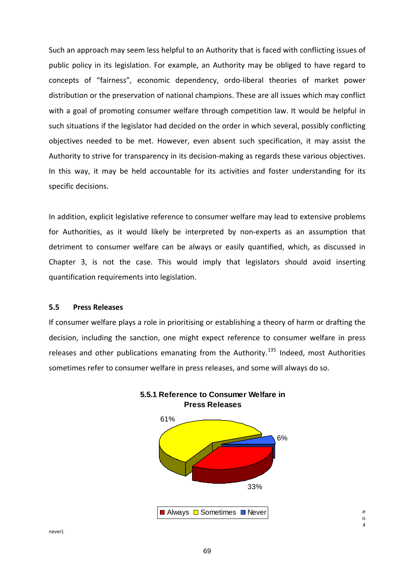Such an approach may seem less helpful to an Authority that is faced with conflicting issues of public policy in its legislation. For example, an Authority may be obliged to have regard to concepts of "fairness", economic dependency, ordo‐liberal theories of market power distribution or the preservation of national champions. These are all issues which may conflict with a goal of promoting consumer welfare through competition law. It would be helpful in such situations if the legislator had decided on the order in which several, possibly conflicting objectives needed to be met. However, even absent such specification, it may assist the Authority to strive for transparency in its decision‐making as regards these various objectives. In this way, it may be held accountable for its activities and foster understanding for its specific decisions.

In addition, explicit legislative reference to consumer welfare may lead to extensive problems for Authorities, as it would likely be interpreted by non-experts as an assumption that detriment to consumer welfare can be always or easily quantified, which, as discussed in Chapter 3, is not the case. This would imply that legislators should avoid inserting quantification requirements into legislation.

# **5.5 Press Releases**

decision, including the sanction, one might expect reference to consumer welfare in press releases and other publications emanating from the Authority.<sup>135</sup> Indeed, most Authorities If consumer welfare plays a role in prioritising or establishing a theory of harm or drafting the sometimes refer to consumer welfare in press releases, and some will always do so.



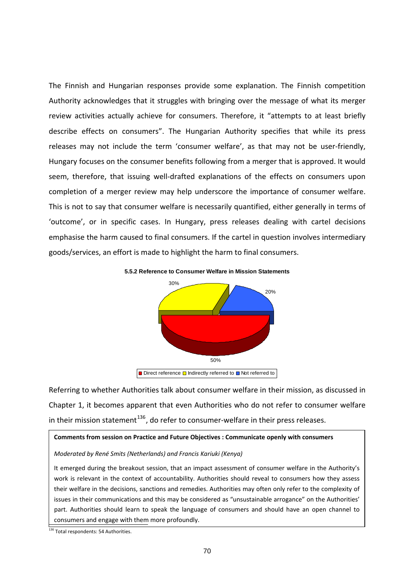The Finnish and Hungarian responses provide some explanation. The Finnish competition Authority acknowledges that it struggles with bringing over the message of what its merger review activities actually achieve for consumers. Therefore, it "attempts to at least briefly describe effects on consumers". The Hungarian Authority specifies that while its press releases may not include the term 'consumer welfare', as that may not be user-friendly, Hungary focuses on the consumer benefits following from a merger that is approved. It would seem, therefore, that issuing well-drafted explanations of the effects on consumers upon completion of a merger review may help underscore the importance of consumer welfare. This is not to say that consumer welfare is necessarily quantified, either generally in terms of 'outcome', or in specific cases. In Hungary, press releases dealing with cartel decisions emphasise the harm caused to final consumers. If the cartel in question involves intermediary goods/services, an effort is made to highlight the harm to final consumers.

#### **5.5.2 Reference to Consumer Welfare in Mission Statements**



Direct reference **□** Indirectly referred to **□** Not referred to

Referring to whether Authorities talk about consumer welfare in their mission, as discussed in Chapter 1, it becomes apparent that even Authorities who do not refer to consumer welfare in their mission statement $^{136}$ , do refer to consumer-welfare in their press releases.

#### **Comments from session on Practice and Future Objectives : Communicate openly with consumers**

#### *Moderated by René Smits (Netherlands) and Francis Kariuki (Kenya)*

It emerged during the breakout session, that an impact assessment of consumer welfare in the Authority's work is relevant in the context of accountability. Authorities should reveal to consumers how they assess their welfare in the decisions, sanctions and remedies. Authorities may often only refer to the complexity of issues in their communications and this may be considered as "unsustainable arrogance" on the Authorities' part. Authorities should learn to speak the language of consumers and should have an open channel to consumers and engage with them more profoundly.

Ŀ

<sup>&</sup>lt;sup>136</sup> Total respondents: 54 Authorities.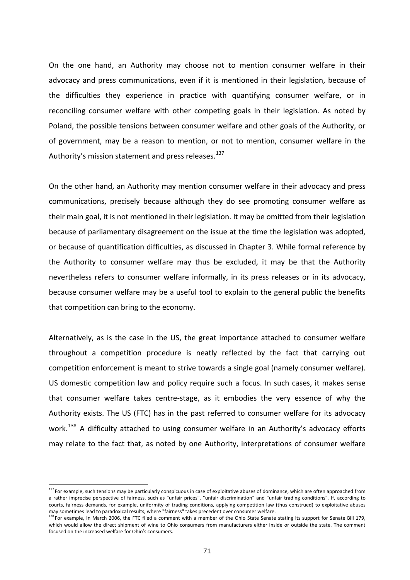On the one hand, an Authority may choose not to mention consumer welfare in their advocacy and press communications, even if it is mentioned in their legislation, because of the difficulties they experience in practice with quantifying consumer welfare, or in reconciling consumer welfare with other competing goals in their legislation. As noted by Poland, the possible tensions between consumer welfare and other goals of the Authority, or of government, may be a reason to mention, or not to mention, consumer welfare in the Authority's mission statement and press releases.<sup>137</sup>

communications, precisely because although they do see promoting consumer welfare as their main goal, it is not mentioned in their legislation. It may be omitted from their legislation because of parliamentary disagreement on the issue at the time the legislation was adopted, o r because of quantification difficulties, as discussed in Chapter 3. While formal reference by th e Authority to consumer welfare may thus be excluded, it may be that the Authority nevertheles s refers to consumer welfare informally, in its press releases or in its advocacy, because consumer welfare may be a useful tool to explain to the general public the benefits On the other hand, an Authority may mention consumer welfare in their advocacy and press that competition can bring to the economy.

Authority exists. The US (FTC) has in the past referred to consumer welfare for its advocacy work.<sup>138</sup> A difficulty attached to using consumer welfare in an Authority's advocacy efforts Alternatively, as is the case in the US, the great importance attached to consumer welfare throughout a competition procedure is neatly reflected by the fact that carrying out competition enforcement is meant to strive towards a single goal (namely consumer welfare). US domestic competition law and policy require such a focus. In such cases, it makes sense that consumer welfare takes centre‐stage, as it embodies the very essence of why the may relate to the fact that, as noted by one Authority, interpretations of consumer welfare

<sup>&</sup>lt;sup>137</sup> For example, such tensions may be particularly conspicuous in case of exploitative abuses of dominance, which are often approached from a rather imprecise perspective of fairness, such as "unfair prices", "unfair discrimination" and "unfair trading conditions". If, according to courts, fairness demands, for example, uniformity of trading conditions, applying competition law (thus construed) to exploitative abuses may sometimes lead to paradoxical results, where "fairness" takes precedent over consumer welfare.

<sup>&</sup>lt;sup>138</sup> For example, In March 2006, the FTC filed a comment with a member of the Ohio State Senate stating its support for Senate Bill 179, which would allow the direct shipment of wine to Ohio consumers from manufacturers either inside or outside the state. The comment focused on the increased welfare for Ohio's consumers.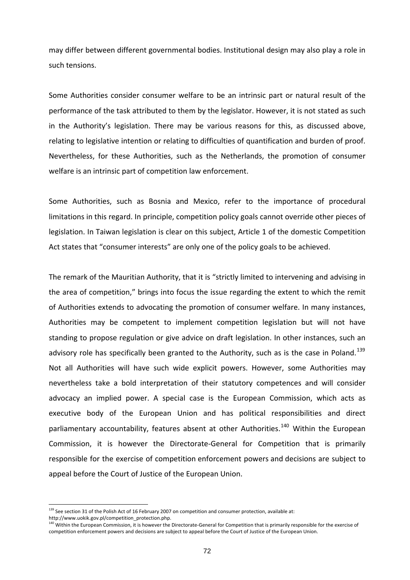may differ between different governmental bodies. Institutional design may also play a role in such tensions.

Some Authorities consider consumer welfare to be an intrinsic part or natural result of the performance of the task attributed to them by the legislator. However, it is not stated as such in the Authority's legislation. There may be various reasons for this, as discussed above, relating to legislative intention or relating to difficulties of quantification and burden of proof. Nevertheless, for these Authorities, such as the Netherlands, the promotion of consumer welfare is an intrinsic part of competition law enforcement.

Some Authorities, such as Bosnia and Mexico, refer to the importance of procedural limitations in this regard. In principle, competition policy goals cannot override other pieces of legislation. In Taiwan legislation is clear on this subject, Article 1 of the domestic Competition Act states that "consumer interests" are only one of the policy goals to be achieved.

the area of competition," brings into focus the issue regarding the extent to which the remit of Authorities extends to advocating the promotion of consumer welfare. In many instances, advocacy an implied power. A special case is the European Commission, which acts as executive body of the European Union and has political responsibilities and direct The remark of the Mauritian Authority, that it is "strictly limited to intervening and advising in Authorities may be competent to implement competition legislation but will not have standing to propose regulation or give advice on draft legislation. In other instances, such an advisory role has specifically been granted to the Authority, such as is the case in Poland.<sup>139</sup> Not all Authorities will have such wide explicit powers. However, some Authorities may nevertheless take a bold interpretation of their statutory competences and will consider parliamentary accountability, features absent at other Authorities.<sup>140</sup> Within the European Commission, it is however the Directorate‐General for Competition that is primarily responsible for the exercise of competition enforcement powers and decisions are subject to appeal before the Court of Justice of the European Union.

 $139$  See section 31 of the Polish Act of 16 February 2007 on competition and consumer protection, available at:

competition enforcement powers and decisions are subject to appeal before the Court of Justice of the European Union. http://www.uokik.gov.pl/competition\_protection.php.<br><sup>140</sup> Within the European Commission, it is however the Directorate‐General for Competition that is primarily responsible for the exercise of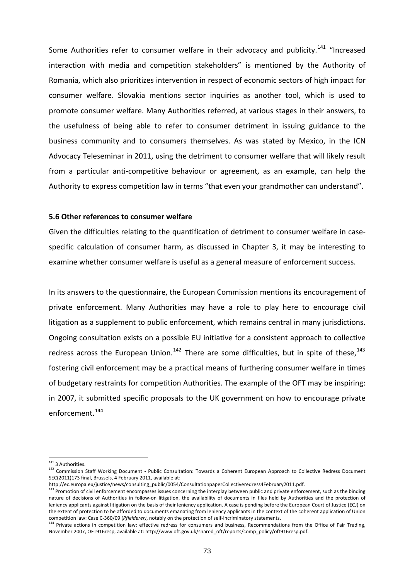Some Authorities refer to consumer welfare in their advocacy and publicity.<sup>[141](#page-71-0)</sup> "Increased interaction with media and competition stakeholders" is mentioned by the Authority of Romania, which also prioritizes intervention in respect of economic sectors of high impact for consumer welfare. Slovakia mentions sector inquiries as another tool, which is used to promote consumer welfare. Many Authorities referred, at various stages in their answers, to the usefulness of being able to refer to consumer detriment in issuing guidance to the business community and to consumers themselves. As was stated by Mexico, in the ICN Advocacy Teleseminar in 2011, using the detriment to consumer welfare that will likely result from a particular anti-competitive behaviour or agreement, as an example, can help the Authority to express competition law in terms "that even your grandmother can understand".

### **5.6 Other references to consumer welfare**

Given the difficulties relating to the quantification of detriment to consumer welfare in case‐ specific calculation of consumer harm, as discussed in C hapter 3, it may be interesting to xamine whether consumer welfare is useful as a general measure of enforcement success. e

In its answers to the questionnaire, the European Commission mentions its encouragement of private enforcement. Many Authorities may have a role to play here to encourage civil litigation as a supplement to public enforcement, which remains central in many jurisdictions. Ongoing consultation exists on a possible EU initiative for a consistent approach to collective redress across the European Union.<sup>142</sup> There are some [difficulties,](#page-72-0) but in spite of these,<sup>143</sup> fostering civil enforcement may be a practical means of furthering consumer welfare in times of budgetary restraints for competition Authorities. The example of the OFT may be inspiring: in 2007, it submitted specific proposals to the UK government on how to encourage private enforcement.<sup>[144](#page-72-0)</sup>

<sup>&</sup>lt;sup>141</sup> 3 Authorities.

<span id="page-72-0"></span><sup>142</sup> Commission Staff Working Document - Public Consultation: Towards a Coherent European Approach to Collective Redress Document SEC(2011)173 final, Brussels, 4 February 2011, available at:

http://ec.europa.eu/justice/news/consulting\_public/0054/ConsultationpaperCollectiveredress4February2011.pdf.

<sup>&</sup>lt;sup>143</sup> Promotion of civil enforcement encompasses issues concerning the interplay between public and private enforcement, such as the binding nature of decisions of Authorities in follow-on litigation, the availability of documents in files held by Authorities and the protection of leniency applicants against litigation on the basis of their leniency application. A case is pending before the European Court of Justice (ECJ) on the extent of protection to be afforded to documents emanating from leniency applicants in the context of the coherent application of Union

competition law: Case C-360/09 (Pfleiderer), notably on the protection of self-incriminatory statements.<br><sup>144</sup> Private actions in competition law: effective redress for consumers and business, Recommendations from the Offi November 2007, OFT916resp, available at: http://www.oft.gov.uk/shared\_oft/reports/comp\_policy/oft916resp.pdf.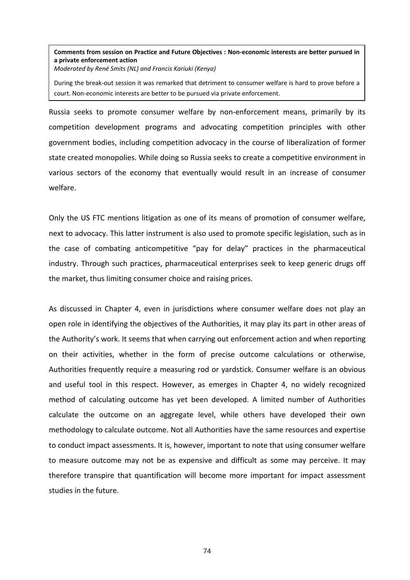# **Comments from session on Practice and Future Objectives : Non‐economic interests are better pursued in a private enforcement action**

*Moderated by René Smits (NL) and Francis Kariuki (Kenya)*

During the break‐out session it was remarked that detriment to consumer welfare is hard to prove before a court. Non‐economic interests are better to be pursued via private enforcement.

Russia seeks to promote consumer welfare by non-enforcement means, primarily by its competition development programs and advocating competition principles with other government bodies, including competition advocacy in the course of liberalization of former state created monopolies. While doing so Russia seeks to create a competitive environment in various sectors of the economy that eventually would result in an increase of consumer welfare.

Only the US FTC mentions litigation as one of its means of promotion of consumer welfare, next to advocacy. This latter instrument is also used to promote specific legislation, such as in the case of combating anticompetitive "pay for delay" practices in the pharmaceutical industry. Through such practices, pharmaceutical enterprises seek to keep generic drugs off the market, thus limiting consumer choice and raising prices.

As discussed in Chapter 4, even in jurisdictions where consumer welfare does not play an method of calculating outcome has yet been developed. A limited number of Authorities alculate the outcome on an aggregate level, while others have developed their own c to measure outcome may not be as expensive and difficult as some may perceive. It may open role in identifying the objectives of the Authorities, it may play its part in other areas of the Authority's work. It seems that when carrying out enforcement action and when reporting on their activities, whether in the form of precise outcome calculations or otherwise, Authorities frequently require a measuring rod or yardstick. Consumer welfare is an obvious and useful tool in this respect. However, as emerges in Chapter 4, no widely recognized methodology to calculate outcome. Not all Authorities have the same resources and expertise to conduct impact assessments. It is, however, important to note that using consumer welfare therefore transpire that quantification will become more important for impact assessment studies in the future.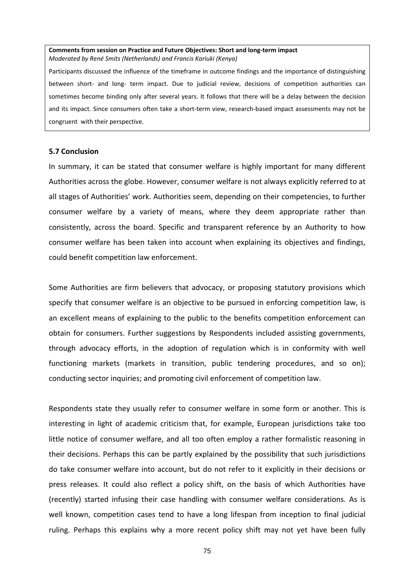#### **Comments from session on Practice and Future Objectives: Short and long‐term impact** *Moderated by René Smits (Netherlands) and Francis Kariuki (Kenya)*

Participants discussed the influence of the timeframe in outcome findings and the importance of distinguishing between short- and long- term impact. Due to judicial review, decisions of competition authorities can sometimes become binding only after several years. It follows that there will be a delay between the decision and its impact. Since consumers often take a short-term view, research-based impact assessments may not be congruent with their perspective.

### **5.7 Conclusion**

In summary, it can be stated that consumer welfare is highly important for many different Authorities across the globe. However, consumer welfare is not always explicitly referred to at all stages of Authorities' work. Authorities seem, depending on their competencies, to further consumer welfare by a variety of means, where they deem appropriate rather than consistently, across the board. Specific and transparent reference by an Authority to how consumer welfare has been taken into account when explaining its objectives and findings, could benefit competition law enforcement.

Some Authorities are firm believers that advocacy, or proposing statutory provisions which specify that consumer welfare is an objective to be pursued in enforcing competition law, is an excellent means of explaining to the public to the benefits competition enforcement can obtain for consumers. Further suggestions by Respondents included assisting governments, through advocacy efforts, in the adoption of regulation which is in conformity with well conducting sector inquiries; and promoting civil enforcement of competition law. functioning markets (markets in transition, public tendering procedures, and so on);

Respondents state they usually refer to consumer welfare in some form or another. This is interesting in light of academic criticism that, for example, European jurisdictions take too little notice of consumer welfare, and all too often employ a rather formalistic reasoning in ruling. Perhaps this explains why a more recent policy shift may not yet have been fully their decisions. Perhaps this can be partly explained by the possibility that such jurisdictions do take consumer welfare into account, but do not refer to it explicitly in their decisions or press releases. It could also reflect a policy shift, on the basis of which Authorities have (recently) started infusing their case handling with consumer welfare considerations. As is well known, competition cases tend to have a long lifespan from inception to final judicial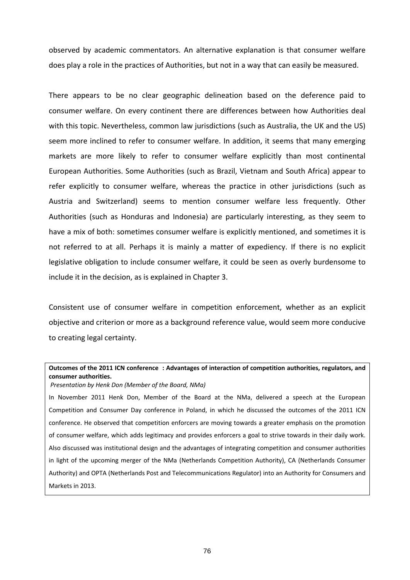observed by academic commentators. An alternative explanation is that consumer welfare does play a role in the practices of Authorities, but not in a way that can easily be measured.

European Authorities. Some Authorities (such as Brazil, Vietnam and South Africa) appear to refer explicitly to consumer welfare, whereas the practice in other jurisdictions (such as Austria and Switzerland) seems to mention consumer welfare less frequently. Other There appears to be no clear geographic delineation based on the deference paid to consumer welfare. On every continent there are differences between how Authorities deal with this topic. Nevertheless, common law jurisdictions (such as Australia, the UK and the US) seem more inclined to refer to consumer welfare. In addition, it seems that many emerging markets are more likely to refer to consumer welfare explicitly than most continental Authorities (such as Honduras and Indonesia) are particularly interesting, as they seem to have a mix of both: sometimes consumer welfare is explicitly mentioned, and sometimes it is not referred to at all. Perhaps it is mainly a matter of expediency. If there is no explicit legislative obligation to include consumer welfare, it could be seen as overly burdensome to include it in the decision, as is explained in Chapter 3.

Consistent use of consumer welfare in competition enforcement, whether as an explicit objective and criterion or more as a background reference value, would seem more conducive to creating legal certainty.

# **Outcomes of the 2011 ICN conference : Advantages of interaction of competition authorities, regulators, and consumer authorities.**

*Presentation by Henk Don (Member of the Board, NMa)*

In November 2011 Henk Don, Member of the Board at the NMa, delivered a speech at the European Competition and Consumer Day conference in Poland, in which he discussed the outcomes of the 2011 ICN conference. He observed that competition enforcers are moving towards a greater emphasis on the promotion of consumer welfare, which adds legitimacy and provides enforcers a goal to strive towards in their daily work. Also discussed was institutional design and the advantages of integrating competition and consumer authorities in light of the upcoming merger of the NMa (Netherlands Competition Authority), CA (Netherlands Consumer Authority) and OPTA (Netherlands Post and Telecommunications Regulator) into an Authority for Consumers and Markets in 2013.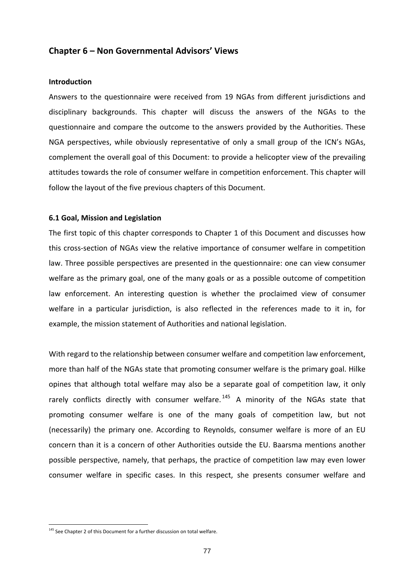# **Chapter 6 – Non Governmental Advisors' Views**

#### **Introduction**

Answers to the questionnaire were received from 19 NGAs from different jurisdictions and disciplinary backgrounds. This chapter will discuss the answers of the NGAs to the complement the overall goal of this Document: to provide a helicopter view of the prevailing attitudes towards the role of consumer welfare in competition enforcement. This chapter will questionnaire and compare the outcome to the answers provided by the Authorities. These NGA perspectives, while obviously representative of only a small group of the ICN's NGAs, follow the layout of the five previous chapters of this Document.

### **6.1 Goal, Mission and Legislation**

this cross‐section of NGAs view the relative importance of consumer welfare in competition welfare in a particular jurisdiction, is also reflected in the references made to it in, for example, the mission statement of Authorities and national legislation. The first topic of this chapter corresponds to Chapter 1 of this Document and discusses how law. Three possible perspectives are presented in the questionnaire: one can view consumer welfare as the primary goal, one of the many goals or as a possible outcome of competition law enforcement. An interesting question is whether the proclaimed view of consumer

With regard to the relationship between consumer welfare and competition law enforcement, more than half of the NGAs state that promoting consumer welfare is the primary goal. Hilke opines that although total welfare may also be a separate goal of competition law, it only rarely conflicts directly with consumer welfare.<sup>145</sup> A minority of the NGAs state that promoting consumer welfare is one of the many goals of competition law, but not (necessarily) the primary one. According to Reynolds, consumer welfare is more of an EU concern than it is a concern of other Authorities outside the EU. Baarsma mentions another possible perspective, namely, that perhaps, the practice of competition law may even lower consumer welfare in specific cases. In this respect, she presents consumer welfare and

<span id="page-76-0"></span><sup>&</sup>lt;sup>145</sup> See Chapter 2 of this Document for a further discussion on total welfare.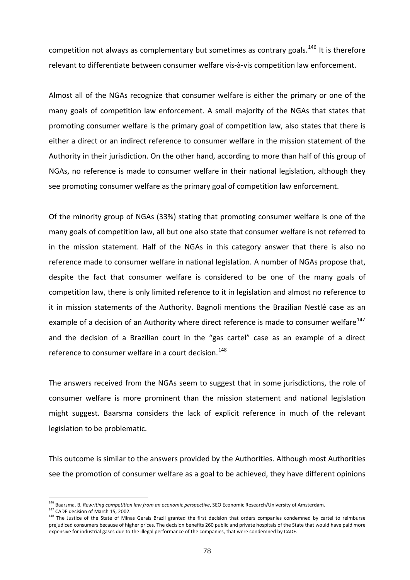competition not always as complementary but sometimes as contrary goals.<sup>146</sup> It is therefore elevant to differentiate between consumer welfare vis‐à‐vis competition law enforcement. r

see promoting consumer welfare as the primary goal of competition law enforcement. Almost all of the NGAs recognize that consumer welfare is either the primary or one of the many goals of competition law enforcement. A small majority of the NGAs that states that promoting consumer welfare is the primary goal of competition law, also states that there is either a direct or an indirect reference to consumer welfare in the mission statement of the Authority in their jurisdiction. On the other hand, according to more than half of this group of NGAs, no reference is made to consumer welfare in their national legislation, although they

Of the minority group of NGAs (33%) stating that promoting consumer welfare is one of the example of a decision of an Authority where direct reference is made to consumer welfare<sup>147</sup> and the decision of a Brazilian court in the "gas cartel" case as an example of a direct many goals of competition law, all but one also state that consumer welfare is not referred to in the mission statement. Half of the NGAs in this category answer that there is also no reference made to consumer welfare in national legislation. A number of NGAs propose that, despite the fact that consumer welfare is considered to be one of the many goals of competition law, there is only limited reference to it in legislation and almost no reference to it in mission statements of the Authority. Bagnoli mentions the Brazilian Nestlé case as an reference to consumer welfare in a court decision.<sup>[148](#page-76-0)</sup>

The answers received from the NGAs seem to suggest that in some [jurisdictions,](#page-76-0) the role of consumer welfare is more [prominent](#page-76-0) than the mission statement and national legislation might suggest. Baarsma considers the lack of explicit [reference](#page-76-0) in much of the relevant legislation to be [problematic.](#page-76-0)

This outcome is similar to the answers provided by the [Authorities.](#page-76-0) Although most Authorities see the [promotion](#page-76-0) of consumer welfare as a goal to be achieved, they have different opinions

1

<sup>146</sup> Baarsma, B, *Rewriting competition law from an economic perspective*, SEO Economic Research/University of Amsterdam.

<sup>&</sup>lt;sup>147</sup> CADE decision of March 15, 2002.

<sup>&</sup>lt;sup>148</sup> The Justice of the State of Minas Gerais Brazil granted the first decision that orders companies condemned by cartel to reimburse prejudiced consumers because of higher prices. The decision benefits 260 public and private hospitals of the State that would have paid more expensive for industrial gases due to the illegal performance of the companies, that were condemned by CADE.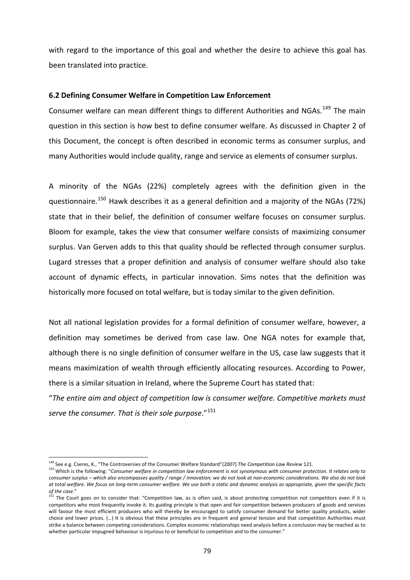with regard to the importance of this goal and whether the desire to achieve this goal has been translated into practice.

## **6.2 Defining Consumer Welfare in Competition Law Enforcement**

Consumer welfare can mean different things to different Authorities and NGAs.<sup>149</sup> The main question in this section is how best to define consumer welfare. As discussed in Chapter 2 of this Document, the concept is often described in economic terms as consumer surplus, and many Authorities would include quality, range and service as elements of consumer surplus.

A minority of the NGAs (22%) completely agrees with the definition given in the questionnaire.<sup>150</sup> Hawk describes it as a general definition and a majority of the NGAs (72%) state that in their belief, the definition of consumer welfare focuses on consumer surplus. Bloom for example, takes the view that consumer welfare consists of maximizing consumer surplus. Van Gerven adds to this that quality should be reflected through consumer surplus. Lugard stresses that a proper definition and analysis of consumer welfare should also take account of dynamic effects, in particular innovation. Sims notes that the definition was historically more focused on total welfare, but is today similar to the given definition.

although there is no single definition of consumer welfare in the US, case law suggests that it means maximization of wealth through efficiently allocating resources. According to Power, Not all national legislation provides for a formal definition of consumer welfare, however, a definition may sometimes be derived from case law. One NGA notes for example that, there is a similar situation in Ireland, where the Supreme Court has stated that:

"*The entire aim and object of competition law is consumer welfare. Competitive markets must serve the consumer. That is their sole purpose*."<sup>151</sup>

1

<sup>&</sup>lt;sup>149</sup> See e.g. Cseres, K., "The Controversies of the Consumer Welfare Standard"(2007) The Competition Law Review 121.<br><sup>150</sup> Which is the following: "Consumer welfare in competition law enforcement is not synonymous with co consumer surplus - which also encompasses quality / range / innovation; we do not look at non-economic considerations. We also do not look at total welfare. We focus on long-term consumer welfare. We use both a static and dynamic analysis as appropriate, given the specific facts

of the case."<br><sup>151</sup> The Court goes on to consider that: "Competition law, as is often said, is about protecting competition not competitors even if it is competitors who most frequently invoke it. Its guiding principle is that open and fair competition between producers of goods and services will favour the most efficient producers who will thereby be encouraged to satisfy consumer demand for better quality products, wider choice and lower prices. (…) It is obvious that these principles are in frequent and general tension and that competition Authorities must strike a balance between competing considerations. Complex economic relationships need analysis before a conclusion may be reached as to whether particular impugned behaviour is injurious to or beneficial to competition and to the consumer."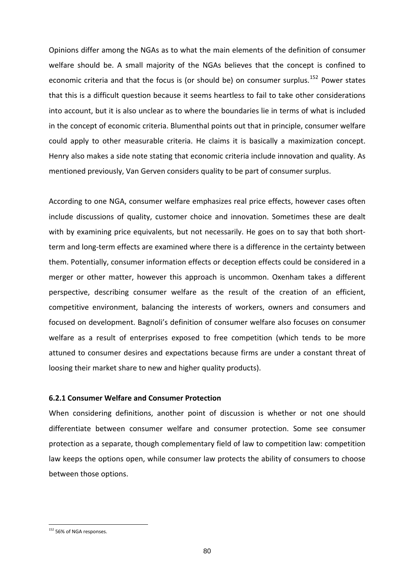Opinions differ among the NGAs as to what the main elements of the definition of consumer welfare should be. A small majority of the NGAs believes that the concept is confined to economic criteria and that the focus is (or should be) on consumer surplus.<sup>152</sup> Power states that this is a difficult question because it seems heartless to fail to take other considerations Henry also makes a side note stating that economic criteria include innovation and quality. As mentioned previously, Van Gerven considers quality to be part of consumer surplus. into account, but it is also unclear as to where the boundaries lie in terms of what is included in the concept of economic criteria. Blumenthal points out that in principle, consumer welfare could apply to other measurable criteria. He claims it is basically a maximization concept.

perspective, describing consumer welfare as the result of the creation of an efficient, ompetitive environment, balancing the interests of workers, owners and consumers and c According to one NGA, consumer welfare emphasizes real price effects, however cases often include discussions of quality, customer choice and innovation. Sometimes these are dealt with by examining price equivalents, but not necessarily. He goes on to say that both shortterm and long‐term effects are examined where there is a difference in the certainty between them. Potentially, consumer information effects or deception effects could be considered in a merger or other matter, however this approach is uncommon. Oxenham takes a different focused on development. Bagnoli's definition of consumer welfare also focuses on consumer welfare as a result of enterprises exposed to free competition (which tends to be more attuned to consumer desires and expectations because firms are under a constant threat of loosing their market share to new and higher quality products).

# **6.2.1 Consumer Welfare and Consumer Protection**

When considering definitions, another point of discussion is whether or not one should differentiate between consumer welfare and consumer protection. Some see consumer protection as a separate, though complementary field of law to competition law: competition law keeps the options open, while consumer law protects the ability of consumers to choose between those options.

<sup>&</sup>lt;sup>152</sup> 56% of NGA responses.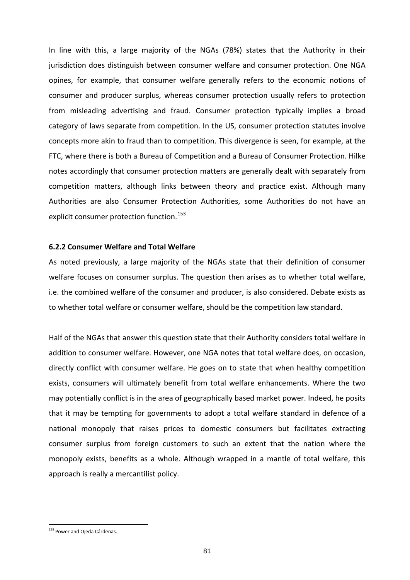In line with this, a large majority of the NGAs (78%) states that the Authority in their jurisdiction does distinguish between consumer welfare and consumer protection. One NGA opines, for example, that consumer welfare generally refers to the economic notions of consumer and producer surplus, whereas consumer protection usually refers to protection from misleading advertising and fraud. Consumer protection typically implies a broad category of laws separate from competition. In the US, consumer protection statutes involve concepts more akin to fraud than to competition. This divergence is seen, for example, at the FTC, where there is both a Bureau of Competition and a Bureau of Consumer Protection. Hilke notes accordingly that consumer protection matters are generally dealt with separately from ompetition matters, although links between theory and practice exist. Although many c Authorities are also Consumer Protection Authorities, some Authorities do not have an explicit consumer protection function.<sup>153</sup>

### **6.2.2 Consumer Welfare and Total Welfare**

As noted previously, a large majority of the NGAs state that their definition of consumer welfare focuses on consumer surplus. The question then arises as to whether total welfare, i.e. the combined welfare of the consumer and producer, is also considered. Debate exists as to whether total welfare or consumer welfare, should be the competition law standard.

directly conflict with consumer welfare. He goes on to state that when healthy competition exists, consumers will ultimately benefit from total welfare enhancements. Where the two may potentially conflict is in the area of geographically based market power. Indeed, he posits approach is really a mercantilist policy. Half of the NGAs that answer this question state that their Authority considers total welfare in addition to consumer welfare. However, one NGA notes that total welfare does, on occasion, that it may be tempting for governments to adopt a total welfare standard in defence of a national monopoly that raises prices to domestic consumers but facilitates extracting consumer surplus from foreign customers to such an extent that the nation where the monopoly exists, benefits as a whole. Although wrapped in a mantle of total welfare, this

<span id="page-80-0"></span><sup>&</sup>lt;sup>153</sup> Power and Ojeda Cárdenas.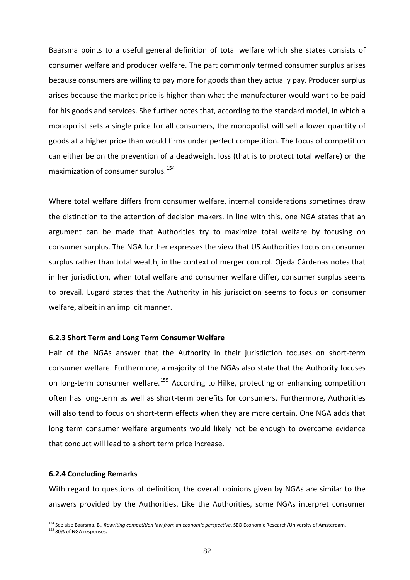Baarsma points to a useful general definition of total welfare which she states consists of consumer welfare and producer welfare. The part commonly termed consumer surplus arises because consumers are willing to pay more for goods than they actually pay. Producer surplus arises because the market price is higher than what the manufacturer would want to be paid for his goods and services. She further notes that, according to the standard model, in which a monopolist sets a single price for all consumers, the monopolist will sell a lower quantity of goods at a higher price than would firms under perfect competition. The focus of competition can either be on the prevention of a deadweight loss (that is to protect total welfare) or the maximization of consumer surplus.[154](#page-80-0)

Where total welfare differs from consumer welfare, internal [considerations](#page-80-0) sometimes draw the [distinction](#page-80-0) to the attention of decision makers. In line with this, one NGA states that an argument can be made that Authorities try to maximize total welfare by focusing on consumer surplus. The NGA further expresses the view that US Authorities focus on consumer surplus rather than total wealth, in the context of merger control. Ojeda Cárdenas notes that in her jurisdiction, when total welfare and consumer welfare differ, consumer surplus seems to prevail. Lugard states that the Authority in his jurisdiction seems to focus on consumer welfare, albeit in an implicit manner.

#### **6.2.3 Short Term and Long Term Consumer Welfare**

Half of the NGAs answer that the Authority in their jurisdiction focuses on short-term consumer welfare. Furthermore, a majority of the NGAs also state that the Authority focuses on long-term consumer welfare.<sup>155</sup> According to Hilke, protecting or enhancing competition often has long‐term as well as short‐term benefits for consumers. Furthermore, Authorities will also tend to focus on short-term effects when they are more certain. One NGA adds that long term consumer welfare arguments would likely not be enough to overcome evidence that conduct will lead to a short term price increase.

### **6.2.4 Concluding Remarks**

-

With regard to questions of definition, the overall opinions given by NGAs are similar to the answers provided by the Authorities. Like the Authorities, some NGAs interpret consumer

<sup>154</sup> See also Baarsma, B., *Rewriting competition law from an economic perspective*, SEO Economic Research/University of Amsterdam. 155 80% of NGA responses.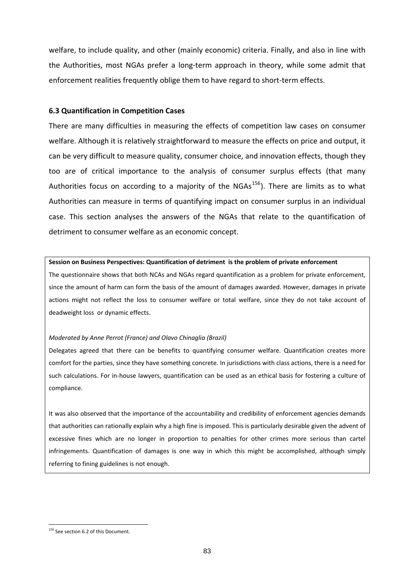welfare, to include quality, and other (mainly economic) criteria. Finally, and also in line with the Authorities, most NGAs prefer a long‐term approach in theory, while some admit that enforcement realities frequently oblige them to have regard to short-term effects.

## **6.3 Quantification in Competition Cases**

There are many difficulties in measuring the effects of competition law cases on consumer welfare. Although it is relatively straightforward to measure the effects on price and output, it can be very difficult to measure quality, consumer choice, and innovation effects, though they too are of critical importance to the analysis of consumer surplus effects (that many Authorities focus on according to a majority of the  $NGAs^{156}$ ). There are limits as to what Authorities can measure in terms of quantifying impact on consumer surplus in an individual case. This section analyses the answers of the NGAs that relate to the quantification of detriment to consumer welfare as an economic concept.

#### **Session on Business Perspectives: Quantification of detriment is the problem of private enforcement**

The questionnaire shows that both NCAs and NGAs regard quantification as a problem for private enforcement, since the amount of harm can form the basis of the amount of damages awarded. However, damages in private actions might not reflect the loss to consumer welfare or total welfare, since they do not take account of deadweight loss or dynamic effects.

#### *Moderated by Anne Perrot (France) and Olavo Chinaglia (Brazil)*

Delegates agreed that there can be benefits to quantifying consumer welfare. Quantification creates more comfort for the parties, since they have something concrete. In jurisdictions with class actions, there is a need for such calculations. For in‐house lawyers, quantification can be used as an ethical basis for fostering a culture of compliance.

It was also observed that the importance of the accountability and credibility of enforcement agencies demands that authorities can rationally explain why a high fine is imposed. This is particularly desirable given the advent of excessive fines which are no longer in proportion to penalties for other crimes more serious than cartel infringements. Quantification of damages is one way in which this might be accomplished, although simply referring to fining guidelines is not enough.

<sup>&</sup>lt;sup>156</sup> See section 6.2 of this Document.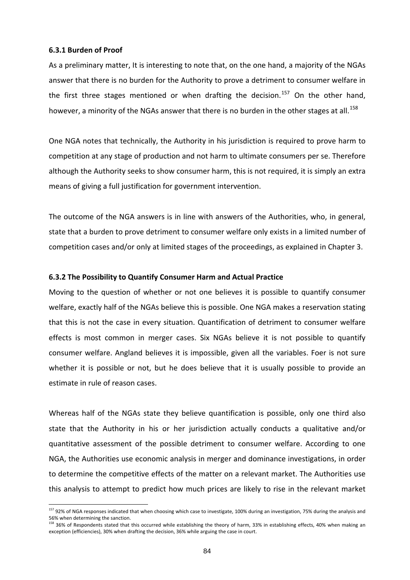## **6.3.1 Burden of Proof**

l

-

As a preliminary matter, It is interesting to note that, on the one hand, a majority of the NGAs answer that there is no burden for the Authority to prove a detriment to consumer welfare in the first three stages mentioned or when drafting the decision.<sup>157</sup> On the other hand, however, a minority of the NGAs answer that there is no burden in the other stages at all.<sup>158</sup>

One NGA notes that technically, the Authority in his jurisdiction is required to prove harm to competition at any stage of production and not harm to ultimate consumers per se. Therefore although the Authority seeks to show consumer harm, this is not required, it is simply an extra means of giving a full justification for government intervention.

state that a burden to prove detriment to consumer welfare only exists in a limited number of competition cases and/or only at limited stages of the proceedings, as explained in Chapter 3. The outcome of the NGA answers is in line with answers of the Authorities, who, in general,

## **6.3.2 The Possibility to Quantify Consumer Harm and Actual Practice**

welfare, exactly half of the NGAs believe this is possible. One NGA makes a reservation stating that this is not the case in every situation. Quantification of detriment to consumer welfare effects is most common in merger cases. Six NGAs believe it is not possible to quantify estimate in rule of reason cases. Moving to the question of whether or not one believes it is possible to quantify consumer consumer welfare. Angland believes it is impossible, given all the variables. Foer is not sure whether it is possible or not, but he does believe that it is usually possible to provide an

quantitative assessment of the possible detriment to consumer welfare. According to one NGA, the Authorities use economic analysis in merger and dominance investigations, in order to determine the competitive effects of the matter on a relevant market. The Authorities use this analysis to attempt to predict how much prices are likely to rise in the relevant market Whereas half of the NGAs state they believe quantification is possible, only one third also state that the Authority in his or her jurisdiction actually conducts a qualitative and/or

<sup>&</sup>lt;sup>157</sup> 92% of NGA responses indicated that when choosing which case to investigate, 100% during an investigation, 75% during the analysis and 56% when determining the sanction.<br><sup>158</sup> 36% of Respondents stated that this occurred while establishing the theory of harm, 33% in establishing effects, 40% when making an

exception (efficiencies), 30% when drafting the decision, 36% while arguing the case in court.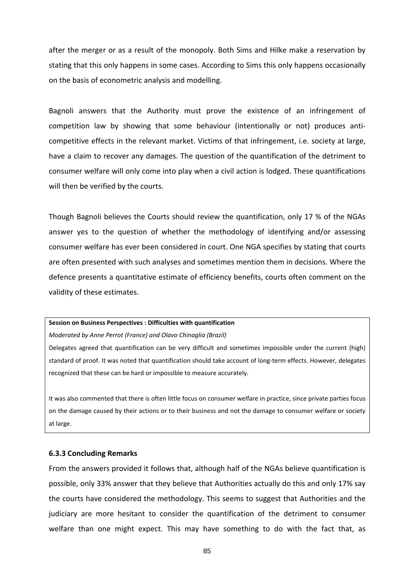after the merger or as a result of the monopoly. Both Sims and Hilke make a reservation by stating that this only happens in some cases. According to Sims this only happens occasionally on the basis of econometric analysis and modelling.

Bagnoli answers that the Authority must prove the existence of an infringement of competition law by showing that some behaviour (intentionally or not) produces anticompetitive effects in the relevant market. Victims of that infringement, i.e. society at large, have a claim to recover any damages. The question of the quantification of the detriment to consumer welfare will only come into play when a civil action is lodged. These quantifications will then be verified by the courts.

are often presented with such analyses and sometimes mention them in decisions. Where the defence presents a quantitative estimate of efficiency benefits, courts often comment on the Though Bagnoli believes the Courts should review the quantification, only 17 % of the NGAs answer yes to the question of whether the methodology of identifying and/or assessing consumer welfare has ever been considered in court. One NGA specifies by stating that courts validity of these estimates.

#### **Session on Business Perspectives : Difficulties with quantification**

*Moderated by Anne Perrot (France) and Olavo Chinaglia (Brazil)*

Delegates agreed that quantification can be very difficult and sometimes impossible under the current (high) standard of proof. It was noted that quantification should take account of long-term effects. However, delegates recognized that these can be hard or impossible to measure accurately.

It was also commented that there is often little focus on consumer welfare in practice, since private parties focus on the damage caused by their actions or to their business and not the damage to consumer welfare or society at large.

### **6.3.3 Concluding Remarks**

From the answers provided it follows that, although half of the NGAs believe quantification is possible, only 33% answer that they believe that Authorities actually do this and only 17% say the courts have considered the methodology. This seems to suggest that Authorities and the judiciary are more hesitant to consider the quantification of the detriment to consumer welfare than one might expect. This may have something to do with the fact that, as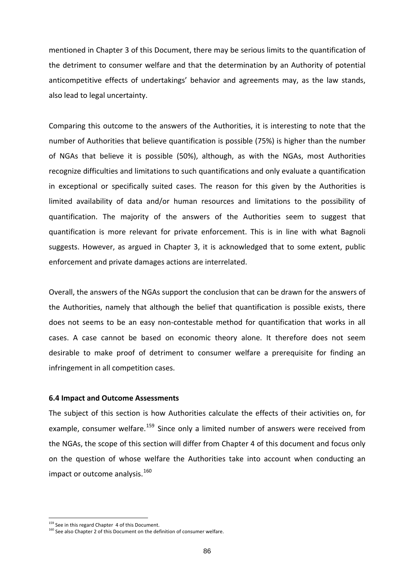mentioned in Chapter 3 of this Document, there may be serious limits to the quantification of the detriment to consumer welfare and that the determination by an Authority of potential anticompetitive effects of undertakings' behavior and agreements may, as the law stands, also lead to legal uncertainty.

in exceptional or specifically suited cases. The reason for this given by the Authorities is limited availability of data and/or human resources and limitations to the possibility of Comparing this outcome to the answers of the Authorities, it is interesting to note that the number of Authorities that believe quantification is possible (75%) is higher than the number of NGAs that believe it is possible (50%), although, as with the NGAs, most Authorities recognize difficulties and limitations to such quantifications and only evaluate a quantification quantification. The majority of the answers of the Authorities seem to suggest that quantification is more relevant for private enforcement. This is in line with what Bagnoli suggests. However, as argued in Chapter 3, it is acknowledged that to some extent, public enforcement and private damages actions are interrelated.

Overall, the answers of the NGAs support the conclusion that can be drawn for the answers of the Authorities, namely that although the belief that quantification is possible exists, there does not seems to be an easy non-contestable method for quantification that works in all cases. A case cannot be based on economic theory alone. It therefore does not seem desirable to make proof of detriment to consumer welfare a prerequisite for finding an infringement in all competition cases.

### **6.4 Impact and Outcome Assessments**

example, consumer welfare.<sup>159</sup> Since only a limited number of answers were received from the NGAs, the scope of this section will differ from Chapter 4 of this document and focus only on the question of whose welfare the Authorities take into account when conducting an The subject of this section is how Authorities calculate the effects of their activities on, for impact or outcome analysis.<sup>160</sup>

<sup>&</sup>lt;sup>159</sup> See in this regard Chapter 4 of this Document.

<sup>&</sup>lt;sup>160</sup> See also Chapter 2 of this Document on the definition of consumer welfare.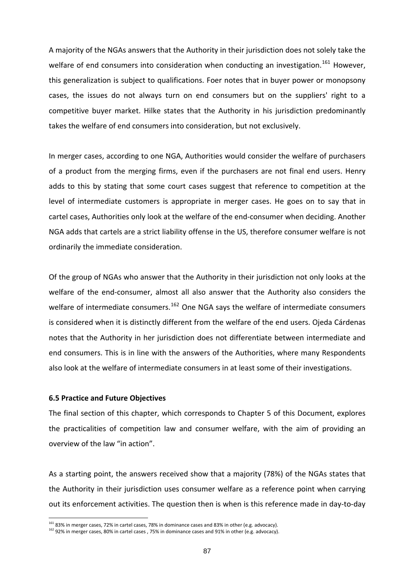A majority of the NGAs answers that the Authority in their jurisdiction does not solely take the welfare of end consumers into consideration when conducting an investigation.<sup>161</sup> However, this generalization is subject to qualifications. Foer notes that in buyer power or monopsony cases, the issues do not always turn on end consumers but on the suppliers' right to a ompetitive buyer market. Hilke states that the Authority in his jurisdiction predominantly c takes the welfare of end consumers into consideration, but not exclusively.

In merger cases, according to one NGA, Authorities would consider the welfare of purchasers of a product from the merging firms, even if the purchasers are not final end users. Henry adds to this by stating that some court cases suggest that reference to competition at the level of intermediate customers is appropriate in merger cases. He goes on to say that in cartel cases, Authorities only look at the welfare of the end‐consumer when deciding. Another NGA adds that cartels are a strict liability offense in the US, therefore consumer welfare is not ordinarily the immediate consideration.

Of the group of NGAs who answer that the Authority in their jurisdiction not only looks at the also look at the welfare of intermediate consumers in at least some of their investigations. welfare of the end-consumer, almost all also answer that the Authority also considers the welfare of intermediate consumers.<sup>162</sup> One NGA says the welfare of intermediate consumers is considered when it is distinctly different from the welfare of the end users. Ojeda Cárdenas notes that the Authority in her jurisdiction does not differentiate between intermediate and end consumers. This is in line with the answers of the Authorities, where many Respondents

## **6.5 Practice and Future Objectives**

-

The final section of this chapter, which corresponds to Chapter 5 of this Document, explores the practicalities of competition law and consumer welfare, with the aim of providing an overview of the law "in action".

As a starting point, the answers received show that a majority (78%) of the NGAs states that the Authority in their jurisdiction uses consumer welfare as a reference point when carrying out its enforcement activities. The question then is when is this reference made in day‐to‐day

 $161$  83% in merger cases, 72% in cartel cases, 78% in dominance cases and 83% in other (e.g. advocacy).

<sup>&</sup>lt;sup>162</sup> 92% in merger cases, 80% in cartel cases , 75% in dominance cases and 91% in other (e.g. advocacy).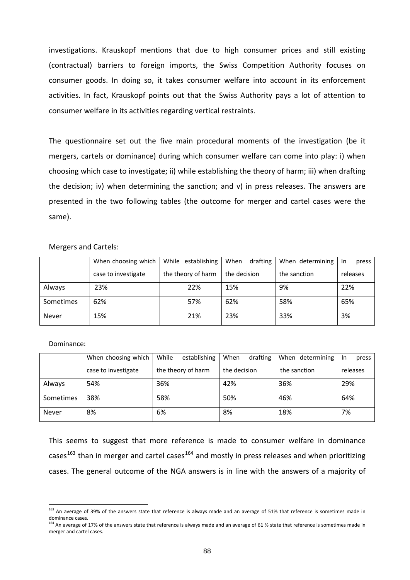investigations. Krauskopf mentions that due to high consumer prices and still existing (contractual) barriers to foreign imports, the Swiss Competition Authority focuses on consumer goods. In doing so, it takes consumer welfare into account in its enforcement activities. In fact, Krauskopf points out that the Swiss Authority pays a lot of attention to consumer welfare in its activities regarding vertical restraints.

The questionnaire set out the five main procedural moments of the investigation (be it mergers, cartels or dominance) during which consumer welfare can come into play: i) when choosing which case to investigate; ii) while establishing the theory of harm; iii) when drafting the decision; iv) when determining the sanction; and v) in press releases. The answers are presented in the two following tables (the outcome for merger and cartel cases were the same).

### Mergers and Cartels:

|              | When choosing which | While establishing | When<br>drafting | When determining | -In<br>press |
|--------------|---------------------|--------------------|------------------|------------------|--------------|
|              | case to investigate | the theory of harm | the decision     | the sanction     | releases     |
| Always       | 23%                 | 22%                | 15%              | 9%               | 22%          |
| Sometimes    | 62%                 | 57%                | 62%              | 58%              | 65%          |
| <b>Never</b> | 15%                 | 21%                | 23%              | 33%              | 3%           |

#### Dominance:

-

|           | When choosing which | While<br>establishing | drafting<br>When | When determining | press<br>-In |
|-----------|---------------------|-----------------------|------------------|------------------|--------------|
|           | case to investigate | the theory of harm    | the decision     | the sanction     | releases     |
| Always    | 54%                 | 36%                   | 42%              | 36%              | 29%          |
| Sometimes | 38%                 | 58%                   | 50%              | 46%              | 64%          |
| Never     | 8%                  | 6%                    | 8%               | 18%              | 7%           |

This seems to suggest that more reference is made to consumer welfare in dominance cases<sup>163</sup> than in merger and cartel cases<sup>164</sup> and mostly in press releases and when prioritizing cases. The general outcome of the NGA answers is in line with the answers of a majority of

<sup>&</sup>lt;sup>163</sup> An average of 39% of the answers state that reference is always made and an average of 51% that reference is sometimes made in dominance cases.

that made in 174 and 17% of the answers state that reference is always made and an average of 61 % state that reference is sometimes made in merger and cartel cases.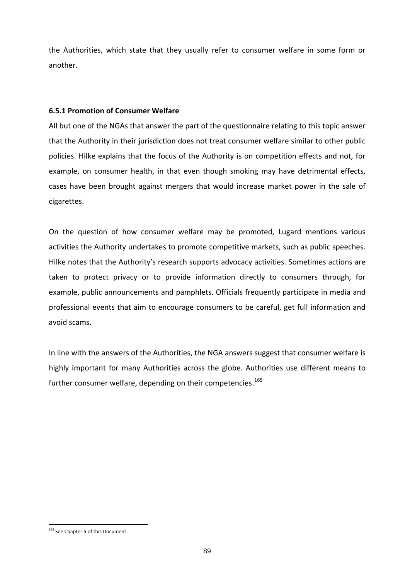the Authorities, which state that they usually refer to consumer welfare in some form or another.

# **6.5.1 Promotion of Consumer Welfare**

ll but one of the NGAs that answer the part of the questionnaire relating to this topic answer A that the Authority in their jurisdiction does not treat consumer welfare similar to other public policies. Hilke explains that the focus of the Authority is on competition effects and not, for example, on consumer health, in that even though smoking may have detrimental effects, cases have been brought against mergers that would increase market power in the sale of cigarettes.

On the question of how consumer welfare may be promoted, Lugard mentions various activities the Authority undertakes to promote competitive markets, such as public speeches. Hilke notes that the Authority's research supports advocacy activities. Sometimes actions are taken to protect privacy or to provide information directly to consumers through, for example, public announcements and pamphlets. Officials frequently participate in media and professional events that aim to encourage consumers to be careful, get full information and avoid scams.

In line with the answers of the Authorities, the NGA answers suggest that consumer welfare is highly important for many Authorities across the globe. Authorities use different means to further consumer welfare, depending on their competencies.<sup>165</sup>

<sup>&</sup>lt;sup>165</sup> See Chapter 5 of this Document.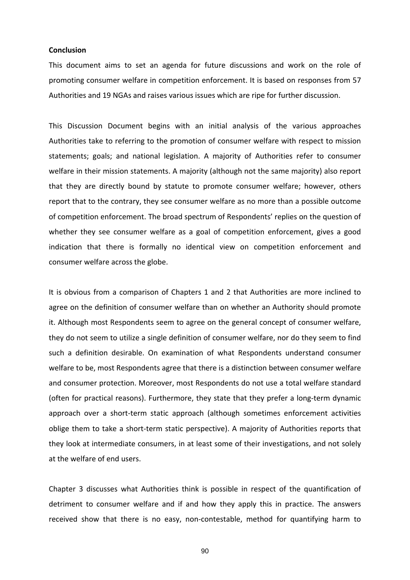## **Conclusion**

This document aims to set an agenda for future discussions and work on the role of romoting consumer welfare in competition enforcement. It is based on responses from 57 p Authorities and 19 NGAs and raises various issues which are ripe for further discussion.

report that to the contrary, they see consumer welfare as no more than a possible outcome of competition enforcement. The broad spectrum of Respondents' replies on the question of This Discussion Document begins with an initial analysis of the various approaches Authorities take to referring to the promotion of consumer welfare with respect to mission statements; goals; and national legislation. A majority of Authorities refer to consumer welfare in their mission statements. A majority (although not the same majority) also report that they are directly bound by statute to promote consumer welfare; however, others whether they see consumer welfare as a goal of competition enforcement, gives a good indication that there is formally no identical view on competition enforcement and consumer welfare across the globe.

it. Although most Respondents seem to agree on the general concept of consumer welfare, they do not seem to utilize a single definition of consumer welfare, nor do they seem to find and consumer protection. Moreover, most Respondents do not use a total welfare standard (often for practical reasons). Furthermore, they state that they prefer a long-term dynamic approach over a short-term static approach (although sometimes enforcement activities oblige them to take a short‐term static perspective). A majority of Authorities reports that they look at intermediate consumers, in at least some of their investigations, and not solely at the welfare of end users. It is obvious from a comparison of Chapters 1 and 2 that Authorities are more inclined to agree on the definition of consumer welfare than on whether an Authority should promote such a definition desirable. On examination of what Respondents understand consumer welfare to be, most Respondents agree that there is a distinction between consumer welfare

Chapter 3 discusses what Authorities think is possible in respect of the quantification of detriment to consumer welfare and if and how they apply this in practice. The answers received show that there is no easy, non-contestable, method for quantifying harm to

90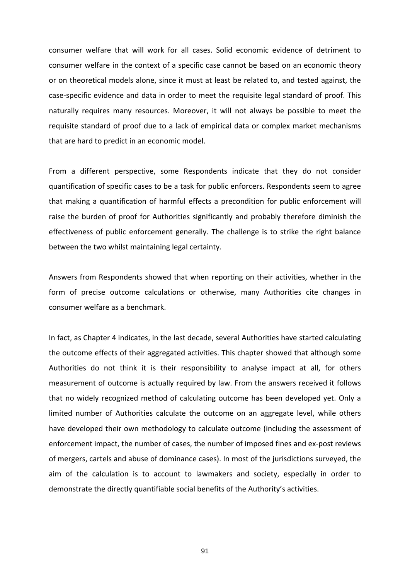consumer welfare that will work for all cases. Solid economic evidence of detriment to case-specific evidence and data in order to meet the requisite legal standard of proof. This aturally requires many resources. Moreover, it will not always be possible to meet the n consumer welfare in the context of a specific case cannot be based on an economic theory or on theoretical models alone, since it must at least be related to, and tested against, the requisite standard of proof due to a lack of empirical data or complex market mechanisms that are hard to predict in an economic model.

From a different perspective, some Respondents indicate that they do not consider quantification of specific cases to be a task for public enforcers. Respondents seem to agree that making a quantification of harmful effects a precondition for public enforcement will raise the burden of proof for Authorities significantly and probably therefore diminish the effectiveness of public enforcement generally. The challenge is to strike the right balance between the two whilst maintaining legal certainty.

Answers from Respondents showed that when reporting on their activities, whether in the form of precise outcome calculations or otherwise, many Authorities cite changes in consumer welfare as a benchmark.

of mergers, cartels and abuse of dominance cases). In most of the jurisdictions surveyed, the aim of the calculation is to account to lawmakers and society, especially in order to In fact, as Chapter 4 indicates, in the last decade, several Authorities have started calculating the outcome effects of their aggregated activities. This chapter showed that although some Authorities do not think it is their responsibility to analyse impact at all, for others measurement of outcome is actually required by law. From the answers received it follows that no widely recognized method of calculating outcome has been developed yet. Only a limited number of Authorities calculate the outcome on an aggregate level, while others have developed their own methodology to calculate outcome (including the assessment of enforcement impact, the number of cases, the number of imposed fines and ex‐post reviews demonstrate the directly quantifiable social benefits of the Authority's activities.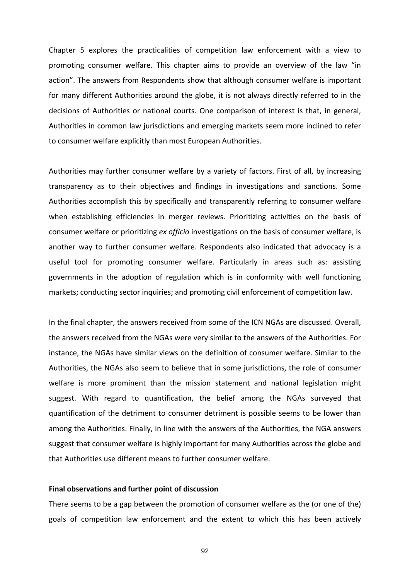Chapter 5 explores the practicalities of competition law enforcement with a view to promoting consumer welfare. This chapter aims to provide an overview of the law "in action". The answers from Respondents show that although consumer welfare is important for many different Authorities around the globe, it is not always directly referred to in the decisions of Authorities or national courts. One comparison of interest is that, in general, Authorities in common law jurisdictions and emerging markets seem more inclined to refer to consumer welfare explicitly than most European Authorities.

another way to further consumer welfare. Respondents also indicated that advocacy is a useful tool for promoting consumer welfare. Particularly in areas such as: assisting Authorities may further consumer welfare by a variety of factors. First of all, by increasing transparency as to their objectives and findings in investigations and sanctions. Some Authorities accomplish this by specifically and transparently referring to consumer welfare when establishing efficiencies in merger reviews. Prioritizing activities on the basis of consumer welfare or prioritizing *ex officio* investigations on the basis of consumer welfare, is governments in the adoption of regulation which is in conformity with well functioning markets; conducting sector inquiries; and promoting civil enforcement of competition law.

the final chapter, the answers received from some of the ICN NGAs are discussed. Overall, In the answers received from the NGAs were very similar to the answers of the Authorities. For instance, the NGAs have similar views on the definition of consumer welfare. Similar to the Authorities, the NGAs also seem to believe that in some jurisdictions, the role of consumer welfare is more prominent than the mission statement and national legislation might suggest. With regard to quantification, the belief among the NGAs surveyed that quantification of the detriment to consumer detriment is possible seems to be lower than among the Authorities. Finally, in line with the answers of the Authorities, the NGA answers suggest that consumer welfare is highly important for many Authorities across the globe and that Authorities use different means to further consumer welfare.

### **Final observations and further point of discussion**

here seems to be a gap between the promotion of consumer welfare as the (or one of the) T goals of competition law enforcement and the extent to which this has been actively

92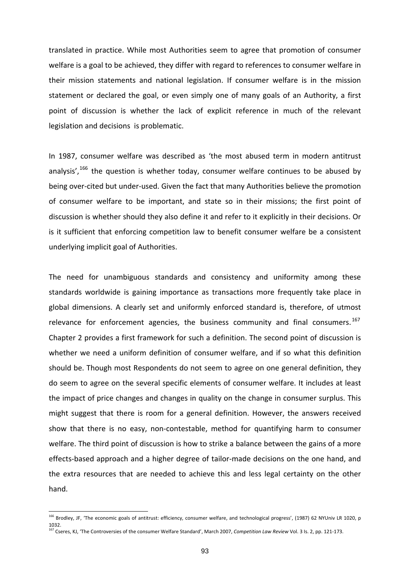translated in practice. While most Authorities seem to agree that promotion of consumer welfare is a goal to be achieved, they differ with regard to references to consumer welfare in their mission statements and national legislation. If consumer welfare is in the mission statement or declared the goal, or even simply one of many goals of an Authority, a first point of discussion is whether the lack of explicit reference in much of the relevant legislation and decisions is problematic.

In 1987, consumer welfare was described as 'the most abused term in modern antitrust analysis',<sup>166</sup> the question is whether today, consumer welfare continues to be abused by being over-cited but under-used. Given the fact that many Authorities believe the promotion of consumer welfare to be important, and state so in their missions; the first point of discussion is whether should they also define it and refer to it explicitly in their decisions. Or is it sufficient that enforcing competition law to benefit consumer welfare be a consistent underlying implicit goal of Authorities.

global dimensions. A clearly set and uniformly enforced standard is, therefore, of utmost effects-based approach and a higher degree of tailor-made decisions on the one hand, and the extra resources that are needed to achieve this and less legal certainty on the other The need for unambiguous standards and consistency and uniformity among these standards worldwide is gaining importance as transactions more frequently take place in relevance for enforcement agencies, the business community and final consumers.<sup>167</sup> Chapter 2 provides a first framework for such a definition. The second point of discussion is whether we need a uniform definition of consumer welfare, and if so what this definition should be. Though most Respondents do not seem to agree on one general definition, they do seem to agree on the several specific elements of consumer welfare. It includes at least the impact of price changes and changes in quality on the change in consumer surplus. This might suggest that there is room for a general definition. However, the answers received show that there is no easy, non-contestable, method for quantifying harm to consumer welfare. The third point of discussion is how to strike a balance between the gains of a more hand.

<sup>&</sup>lt;sup>166</sup> Brodley, JF, 'The economic goals of antitrust: efficiency, consumer welfare, and technological progress', (1987) 62 NYUniv LR 1020, p 1032.

<sup>167</sup> Cseres, KJ, 'The Controversies of the consumer Welfare Standard', March 2007, *Competition Law Review* Vol. 3 Is. 2, pp. 121‐173.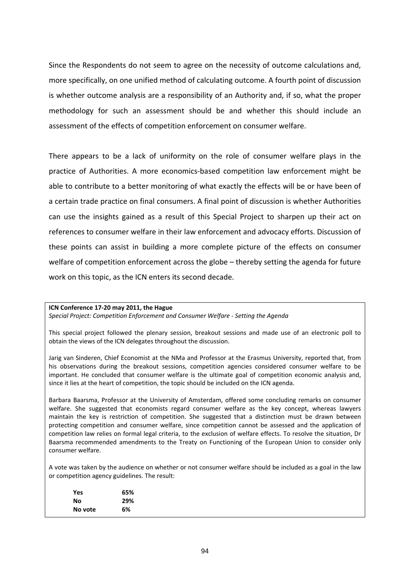assessment of the effects of competition enforcement on consumer welfare. Since the Respondents do not seem to agree on the necessity of outcome calculations and, more specifically, on one unified method of calculating outcome. A fourth point of discussion is whether outcome analysis are a responsibility of an Authority and, if so, what the proper methodology for such an assessment should be and whether this should include an

these points can assist in building a more complete picture of the effects on consumer welfare of competition enforcement across the globe - thereby setting the agenda for future There appears to be a lack of uniformity on the role of consumer welfare plays in the practice of Authorities. A more economics‐based competition law enforcement might be able to contribute to a better monitoring of what exactly the effects will be or have been of a certain trade practice on final consumers. A final point of discussion is whether Authorities can use the insights gained as a result of this Special Project to sharpen up their act on references to consumer welfare in their law enforcement and advocacy efforts. Discussion of work on this topic, as the ICN enters its second decade.

# **ICN Conference 17‐20 may 2011, the Hague**

*Special Project: Competition Enforcement and Consumer Welfare ‐ Setting the Agenda*

This special project followed the plenary session, breakout sessions and made use of an electronic poll to obtain the views of the ICN delegates throughout the discussion.

Jarig van Sinderen, Chief Economist at the NMa and Professor at the Erasmus University, reported that, from his observations during the breakout sessions, competition agencies considered consumer welfare to be important. He concluded that consumer welfare is the ultimate goal of competition economic analysis and, since it lies at the heart of competition, the topic should be included on the ICN agenda.

Barbara Baarsma, Professor at the University of Amsterdam, offered some concluding remarks on consumer welfare. She suggested that economists regard consumer welfare as the key concept, whereas lawyers maintain the key is restriction of competition. She suggested that a distinction must be drawn between protecting competition and consumer welfare, since competition cannot be assessed and the application of competition law relies on formal legal criteria, to the exclusion of welfare effects. To resolve the situation, Dr Baarsma recommended amendments to the Treaty on Functioning of the European Union to consider only consumer welfare.

A vote was taken by the audience on whether or not consumer welfare should be included as a goal in the law or competition agency guidelines. The result:

| Yes     | 65% |
|---------|-----|
| Nο      | 29% |
| No vote | 6%  |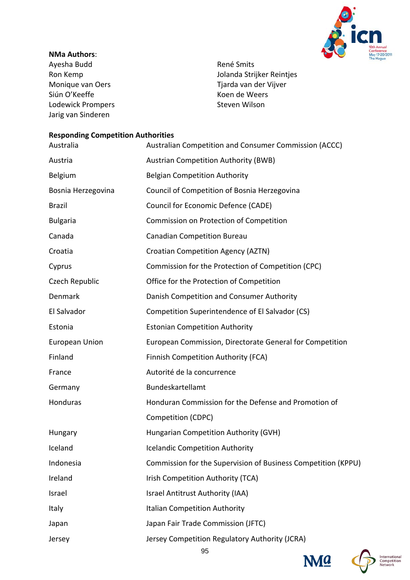

# **NMa Authors**:

Ayesha Budd Ron Kemp Monique van Oers Siún O'Keeffe Lodewick Prompers Jarig van Sinderen

René Smits Jolanda Strijker Reintjes Tjarda van der Vijver Koen de Weers Steven Wilson

# **Competition Authorities Responding**

| Australia             | Australian Competition and Consumer Commission (ACCC)         |
|-----------------------|---------------------------------------------------------------|
| Austria               | <b>Austrian Competition Authority (BWB)</b>                   |
| Belgium               | <b>Belgian Competition Authority</b>                          |
| Bosnia Herzegovina    | Council of Competition of Bosnia Herzegovina                  |
| <b>Brazil</b>         | Council for Economic Defence (CADE)                           |
| <b>Bulgaria</b>       | Commission on Protection of Competition                       |
| Canada                | <b>Canadian Competition Bureau</b>                            |
| Croatia               | <b>Croatian Competition Agency (AZTN)</b>                     |
| Cyprus                | Commission for the Protection of Competition (CPC)            |
| Czech Republic        | Office for the Protection of Competition                      |
| Denmark               | Danish Competition and Consumer Authority                     |
| El Salvador           | Competition Superintendence of El Salvador (CS)               |
| Estonia               | <b>Estonian Competition Authority</b>                         |
| <b>European Union</b> | European Commission, Directorate General for Competition      |
| Finland               | Finnish Competition Authority (FCA)                           |
| France                | Autorité de la concurrence                                    |
| Germany               | Bundeskartellamt                                              |
| Honduras              | Honduran Commission for the Defense and Promotion of          |
|                       | Competition (CDPC)                                            |
| Hungary               | Hungarian Competition Authority (GVH)                         |
| Iceland               | <b>Icelandic Competition Authority</b>                        |
| Indonesia             | Commission for the Supervision of Business Competition (KPPU) |
| Ireland               | Irish Competition Authority (TCA)                             |
| Israel                | Israel Antitrust Authority (IAA)                              |
| Italy                 | <b>Italian Competition Authority</b>                          |
| Japan                 | Japan Fair Trade Commission (JFTC)                            |
| Jersey                | Jersey Competition Regulatory Authority (JCRA)                |



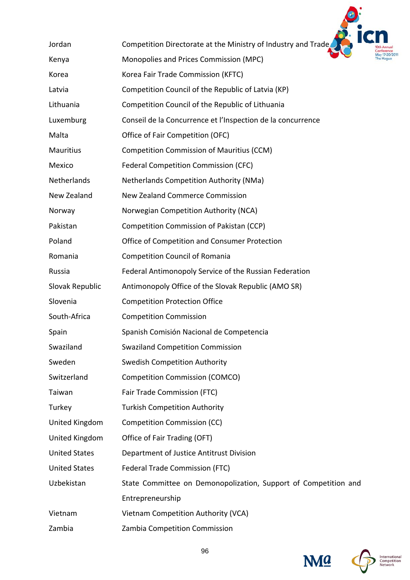

| Jordan               | Competition Directorate at the Ministry of Industry and Trade   |
|----------------------|-----------------------------------------------------------------|
| Kenya                | Monopolies and Prices Commission (MPC)                          |
| Korea                | Korea Fair Trade Commission (KFTC)                              |
| Latvia               | Competition Council of the Republic of Latvia (KP)              |
| Lithuania            | Competition Council of the Republic of Lithuania                |
| Luxemburg            | Conseil de la Concurrence et l'Inspection de la concurrence     |
| Malta                | Office of Fair Competition (OFC)                                |
| Mauritius            | <b>Competition Commission of Mauritius (CCM)</b>                |
| Mexico               | Federal Competition Commission (CFC)                            |
| Netherlands          | Netherlands Competition Authority (NMa)                         |
| New Zealand          | New Zealand Commerce Commission                                 |
| Norway               | Norwegian Competition Authority (NCA)                           |
| Pakistan             | Competition Commission of Pakistan (CCP)                        |
| Poland               | Office of Competition and Consumer Protection                   |
| Romania              | <b>Competition Council of Romania</b>                           |
| Russia               | Federal Antimonopoly Service of the Russian Federation          |
| Slovak Republic      | Antimonopoly Office of the Slovak Republic (AMO SR)             |
| Slovenia             | <b>Competition Protection Office</b>                            |
| South-Africa         | <b>Competition Commission</b>                                   |
| Spain                | Spanish Comisión Nacional de Competencia                        |
| Swaziland            | <b>Swaziland Competition Commission</b>                         |
| Sweden               | <b>Swedish Competition Authority</b>                            |
| Switzerland          | <b>Competition Commission (COMCO)</b>                           |
| Taiwan               | Fair Trade Commission (FTC)                                     |
| Turkey               | <b>Turkish Competition Authority</b>                            |
| United Kingdom       | <b>Competition Commission (CC)</b>                              |
| United Kingdom       | Office of Fair Trading (OFT)                                    |
| <b>United States</b> | Department of Justice Antitrust Division                        |
| <b>United States</b> | Federal Trade Commission (FTC)                                  |
| Uzbekistan           | State Committee on Demonopolization, Support of Competition and |
|                      | Entrepreneurship                                                |
| Vietnam              | Vietnam Competition Authority (VCA)                             |
| Zambia               | Zambia Competition Commission                                   |